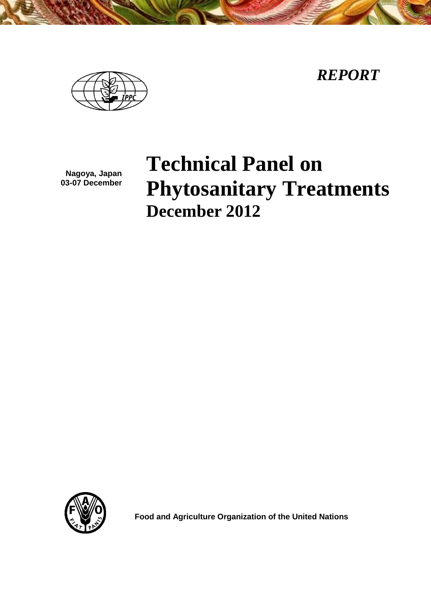*REPORT*



**Nagoya, Japan 03-07 December**

# **Technical Panel on Phytosanitary Treatments December 2012**



**Food and Agriculture Organization of the United Nations**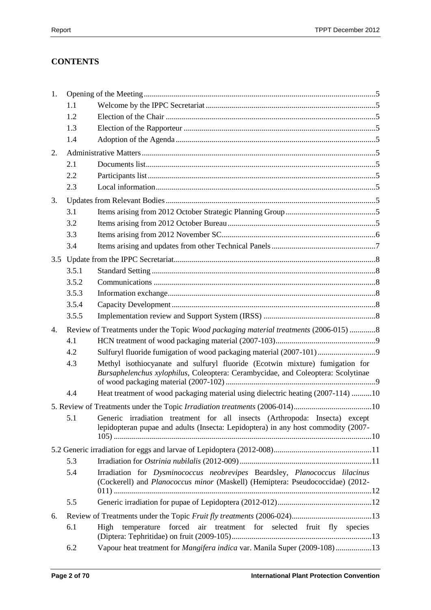# **CONTENTS**

| 1. |       |                                                                                                                                                                  |  |
|----|-------|------------------------------------------------------------------------------------------------------------------------------------------------------------------|--|
|    | 1.1   |                                                                                                                                                                  |  |
|    | 1.2   |                                                                                                                                                                  |  |
|    | 1.3   |                                                                                                                                                                  |  |
|    | 1.4   |                                                                                                                                                                  |  |
| 2. |       |                                                                                                                                                                  |  |
|    | 2.1   |                                                                                                                                                                  |  |
|    | 2.2   |                                                                                                                                                                  |  |
|    | 2.3   |                                                                                                                                                                  |  |
| 3. |       |                                                                                                                                                                  |  |
|    | 3.1   |                                                                                                                                                                  |  |
|    | 3.2   |                                                                                                                                                                  |  |
|    | 3.3   |                                                                                                                                                                  |  |
|    | 3.4   |                                                                                                                                                                  |  |
|    |       |                                                                                                                                                                  |  |
|    | 3.5.1 |                                                                                                                                                                  |  |
|    | 3.5.2 |                                                                                                                                                                  |  |
|    | 3.5.3 |                                                                                                                                                                  |  |
|    | 3.5.4 |                                                                                                                                                                  |  |
|    | 3.5.5 |                                                                                                                                                                  |  |
| 4. |       | Review of Treatments under the Topic Wood packaging material treatments (2006-015) 8                                                                             |  |
|    | 4.1   |                                                                                                                                                                  |  |
|    | 4.2   | Sulfuryl fluoride fumigation of wood packaging material (2007-101)                                                                                               |  |
|    | 4.3   | Methyl isothiocyanate and sulfuryl fluoride (Ecotwin mixture) fumigation for<br>Bursaphelenchus xylophilus, Coleoptera: Cerambycidae, and Coleoptera: Scolytinae |  |
|    | 4.4   | Heat treatment of wood packaging material using dielectric heating (2007-114) 10                                                                                 |  |
|    |       |                                                                                                                                                                  |  |
|    | 5.1   | Generic irradiation treatment for all insects (Arthropoda: Insecta) except<br>lepidopteran pupae and adults (Insecta: Lepidoptera) in any host commodity (2007-  |  |
|    |       |                                                                                                                                                                  |  |
|    | 5.3   |                                                                                                                                                                  |  |
|    | 5.4   | Irradiation for Dysminococcus neobrevipes Beardsley, Planococcus lilacinus<br>(Cockerell) and Planococcus minor (Maskell) (Hemiptera: Pseudococcidae) (2012-     |  |
|    | 5.5   |                                                                                                                                                                  |  |
| 6. |       |                                                                                                                                                                  |  |
|    | 6.1   | air treatment for selected fruit fly species<br>forced<br>temperature<br>High                                                                                    |  |
|    | 6.2   | Vapour heat treatment for Mangifera indica var. Manila Super (2009-108)13                                                                                        |  |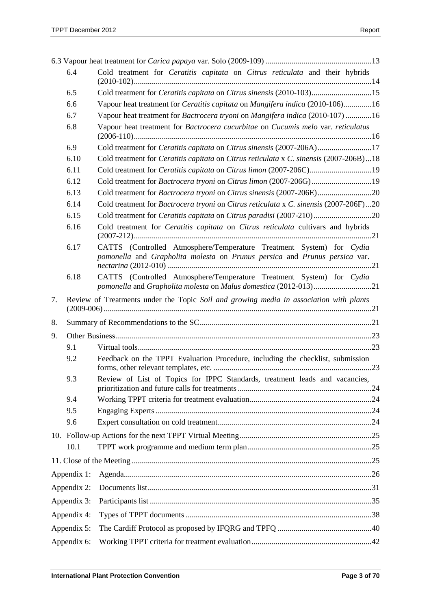|             | 6.4         | Cold treatment for Ceratitis capitata on Citrus reticulata and their hybrids                                                                       |
|-------------|-------------|----------------------------------------------------------------------------------------------------------------------------------------------------|
|             | 6.5         | Cold treatment for Ceratitis capitata on Citrus sinensis (2010-103)15                                                                              |
|             | 6.6         | Vapour heat treatment for <i>Ceratitis capitata</i> on <i>Mangifera indica</i> (2010-106)16                                                        |
|             | 6.7         | Vapour heat treatment for Bactrocera tryoni on Mangifera indica (2010-107) 16                                                                      |
|             | 6.8         | Vapour heat treatment for Bactrocera cucurbitae on Cucumis melo var. reticulatus                                                                   |
|             | 6.9         | Cold treatment for Ceratitis capitata on Citrus sinensis (2007-206A)17                                                                             |
|             | 6.10        | Cold treatment for <i>Ceratitis capitata</i> on <i>Citrus reticulata</i> x <i>C. sinensis</i> (2007-206B)18                                        |
|             | 6.11        |                                                                                                                                                    |
|             | 6.12        |                                                                                                                                                    |
|             | 6.13        | Cold treatment for Bactrocera tryoni on Citrus sinensis (2007-206E)20                                                                              |
|             | 6.14        | Cold treatment for Bactrocera tryoni on Citrus reticulata x C. sinensis (2007-206F)20                                                              |
|             | 6.15        | Cold treatment for Ceratitis capitata on Citrus paradisi (2007-210)20                                                                              |
|             | 6.16        | Cold treatment for Ceratitis capitata on Citrus reticulata cultivars and hybrids                                                                   |
|             | 6.17        | CATTS (Controlled Atmosphere/Temperature Treatment System) for Cydia<br>pomonella and Grapholita molesta on Prunus persica and Prunus persica var. |
|             | 6.18        | CATTS (Controlled Atmosphere/Temperature Treatment System) for Cydia                                                                               |
| 7.          |             | Review of Treatments under the Topic Soil and growing media in association with plants                                                             |
| 8.          |             |                                                                                                                                                    |
| 9.          |             |                                                                                                                                                    |
|             | 9.1         |                                                                                                                                                    |
|             | 9.2         | Feedback on the TPPT Evaluation Procedure, including the checklist, submission                                                                     |
|             | 9.3         | Review of List of Topics for IPPC Standards, treatment leads and vacancies,                                                                        |
|             | 9.4         |                                                                                                                                                    |
|             | 9.5         |                                                                                                                                                    |
|             | 9.6         |                                                                                                                                                    |
|             |             |                                                                                                                                                    |
|             | 10.1        |                                                                                                                                                    |
|             |             |                                                                                                                                                    |
|             | Appendix 1: |                                                                                                                                                    |
| Appendix 2: |             |                                                                                                                                                    |
| Appendix 3: |             |                                                                                                                                                    |
|             | Appendix 4: |                                                                                                                                                    |
|             | Appendix 5: |                                                                                                                                                    |
| Appendix 6: |             |                                                                                                                                                    |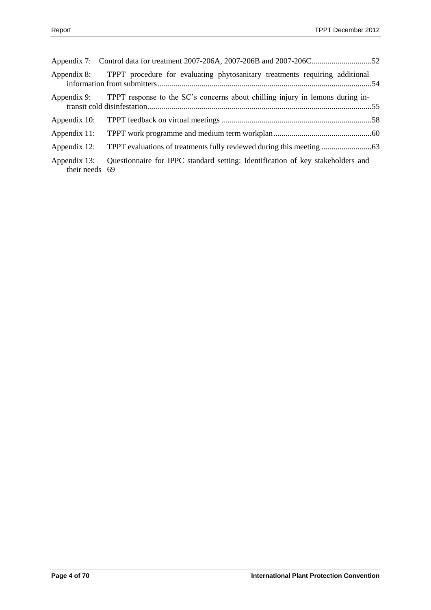| Appendix 8:                    | TPPT procedure for evaluating phytosanitary treatments requiring additional               |  |
|--------------------------------|-------------------------------------------------------------------------------------------|--|
|                                | Appendix 9: TPPT response to the SC's concerns about chilling injury in lemons during in- |  |
| Appendix 10:                   |                                                                                           |  |
| Appendix 11:                   |                                                                                           |  |
| Appendix 12:                   |                                                                                           |  |
| Appendix 13:<br>their needs 69 | Questionnaire for IPPC standard setting: Identification of key stakeholders and           |  |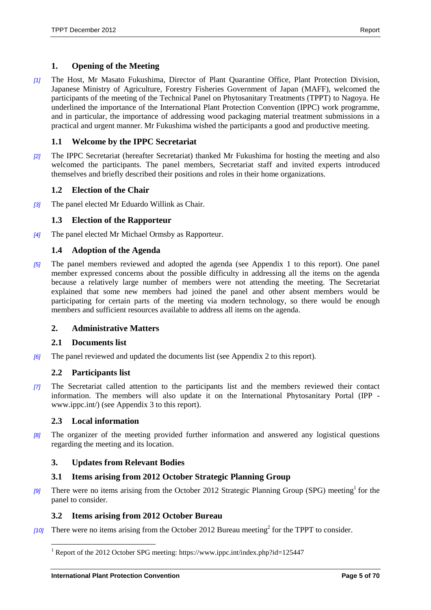# <span id="page-4-0"></span>**1. Opening of the Meeting**

*[1]* The Host, Mr Masato Fukushima, Director of Plant Quarantine Office, Plant Protection Division, Japanese Ministry of Agriculture, Forestry Fisheries Government of Japan (MAFF), welcomed the participants of the meeting of the Technical Panel on Phytosanitary Treatments (TPPT) to Nagoya. He underlined the importance of the International Plant Protection Convention (IPPC) work programme, and in particular, the importance of addressing wood packaging material treatment submissions in a practical and urgent manner. Mr Fukushima wished the participants a good and productive meeting.

# <span id="page-4-1"></span>**1.1 Welcome by the IPPC Secretariat**

*[2]* The IPPC Secretariat (hereafter Secretariat) thanked Mr Fukushima for hosting the meeting and also welcomed the participants. The panel members, Secretariat staff and invited experts introduced themselves and briefly described their positions and roles in their home organizations.

# <span id="page-4-2"></span>**1.2 Election of the Chair**

*[3]* The panel elected Mr Eduardo Willink as Chair.

# <span id="page-4-3"></span>**1.3 Election of the Rapporteur**

*[4]* The panel elected Mr Michael Ormsby as Rapporteur.

# <span id="page-4-4"></span>**1.4 Adoption of the Agenda**

*[5]* The panel members reviewed and adopted the agenda (see Appendix 1 to this report). One panel member expressed concerns about the possible difficulty in addressing all the items on the agenda because a relatively large number of members were not attending the meeting. The Secretariat explained that some new members had joined the panel and other absent members would be participating for certain parts of the meeting via modern technology, so there would be enough members and sufficient resources available to address all items on the agenda.

# <span id="page-4-5"></span>**2. Administrative Matters**

# <span id="page-4-6"></span>**2.1 Documents list**

*[6]* The panel reviewed and updated the documents list (see Appendix 2 to this report).

# <span id="page-4-7"></span>**2.2 Participants list**

*[7]* The Secretariat called attention to the participants list and the members reviewed their contact information. The members will also update it on the International Phytosanitary Portal (IPP www.ippc.int/) (see Appendix 3 to this report).

# <span id="page-4-8"></span>**2.3 Local information**

 $\overline{a}$ 

*[8]* The organizer of the meeting provided further information and answered any logistical questions regarding the meeting and its location.

# <span id="page-4-9"></span>**3. Updates from Relevant Bodies**

# <span id="page-4-10"></span>**3.1 Items arising from 2012 October Strategic Planning Group**

[9] There were no items arising from the October 2012 Strategic Planning Group (SPG) meeting<sup>1</sup> for the panel to consider.

# <span id="page-4-11"></span>**3.2 Items arising from 2012 October Bureau**

[10] There were no items arising from the October 2012 Bureau meeting<sup>2</sup> for the TPPT to consider.

<sup>&</sup>lt;sup>1</sup> Report of the 2012 October SPG meeting: https://www.ippc.int/index.php?id=125447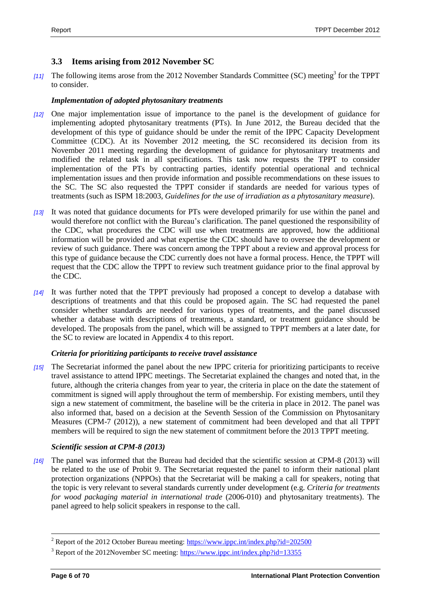# <span id="page-5-0"></span>**3.3 Items arising from 2012 November SC**

[11] The following items arose from the 2012 November Standards Committee (SC) meeting<sup>3</sup> for the TPPT to consider.

#### *Implementation of adopted phytosanitary treatments*

- *[12]* One major implementation issue of importance to the panel is the development of guidance for implementing adopted phytosanitary treatments (PTs). In June 2012, the Bureau decided that the development of this type of guidance should be under the remit of the IPPC Capacity Development Committee (CDC). At its November 2012 meeting, the SC reconsidered its decision from its November 2011 meeting regarding the development of guidance for phytosanitary treatments and modified the related task in all specifications. This task now requests the TPPT to consider implementation of the PTs by contracting parties, identify potential operational and technical implementation issues and then provide information and possible recommendations on these issues to the SC. The SC also requested the TPPT consider if standards are needed for various types of treatments (such as ISPM 18:2003, *Guidelines for the use of irradiation as a phytosanitary measure*).
- *[13]* It was noted that guidance documents for PTs were developed primarily for use within the panel and would therefore not conflict with the Bureau's clarification. The panel questioned the responsibility of the CDC, what procedures the CDC will use when treatments are approved, how the additional information will be provided and what expertise the CDC should have to oversee the development or review of such guidance. There was concern among the TPPT about a review and approval process for this type of guidance because the CDC currently does not have a formal process. Hence, the TPPT will request that the CDC allow the TPPT to review such treatment guidance prior to the final approval by the CDC.
- *[14]* It was further noted that the TPPT previously had proposed a concept to develop a database with descriptions of treatments and that this could be proposed again. The SC had requested the panel consider whether standards are needed for various types of treatments, and the panel discussed whether a database with descriptions of treatments, a standard, or treatment guidance should be developed. The proposals from the panel, which will be assigned to TPPT members at a later date, for the SC to review are located in Appendix 4 to this report.

#### *Criteria for prioritizing participants to receive travel assistance*

*[15]* The Secretariat informed the panel about the new IPPC criteria for prioritizing participants to receive travel assistance to attend IPPC meetings. The Secretariat explained the changes and noted that, in the future, although the criteria changes from year to year, the criteria in place on the date the statement of commitment is signed will apply throughout the term of membership. For existing members, until they sign a new statement of commitment, the baseline will be the criteria in place in 2012. The panel was also informed that, based on a decision at the Seventh Session of the Commission on Phytosanitary Measures (CPM-7 (2012)), a new statement of commitment had been developed and that all TPPT members will be required to sign the new statement of commitment before the 2013 TPPT meeting.

#### *Scientific session at CPM-8 (2013)*

*[16]* The panel was informed that the Bureau had decided that the scientific session at CPM-8 (2013) will be related to the use of Probit 9. The Secretariat requested the panel to inform their national plant protection organizations (NPPOs) that the Secretariat will be making a call for speakers, noting that the topic is very relevant to several standards currently under development (e.g. *Criteria for treatments for wood packaging material in international trade* (2006-010) and phytosanitary treatments). The panel agreed to help solicit speakers in response to the call.

l

<sup>&</sup>lt;sup>2</sup> Report of the 2012 October Bureau meeting:<https://www.ippc.int/index.php?id=202500>

 $3$  Report of the 2012November SC meeting:<https://www.ippc.int/index.php?id=13355>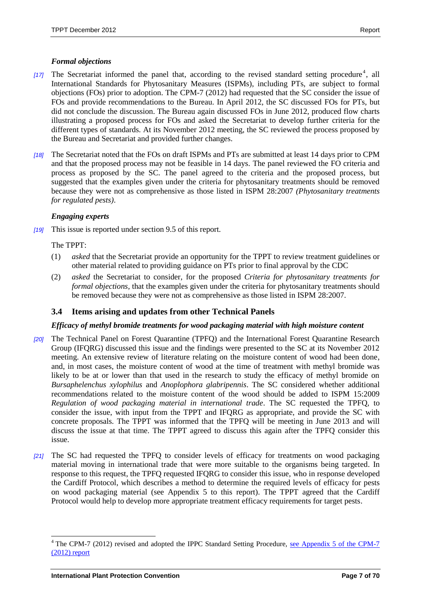# *Formal objections*

- [17] The Secretariat informed the panel that, according to the revised standard setting procedure<sup>4</sup>, all International Standards for Phytosanitary Measures (ISPMs), including PTs, are subject to formal objections (FOs) prior to adoption. The CPM-7 (2012) had requested that the SC consider the issue of FOs and provide recommendations to the Bureau. In April 2012, the SC discussed FOs for PTs, but did not conclude the discussion. The Bureau again discussed FOs in June 2012, produced flow charts illustrating a proposed process for FOs and asked the Secretariat to develop further criteria for the different types of standards. At its November 2012 meeting, the SC reviewed the process proposed by the Bureau and Secretariat and provided further changes.
- *[18]* The Secretariat noted that the FOs on draft ISPMs and PTs are submitted at least 14 days prior to CPM and that the proposed process may not be feasible in 14 days. The panel reviewed the FO criteria and process as proposed by the SC. The panel agreed to the criteria and the proposed process, but suggested that the examples given under the criteria for phytosanitary treatments should be removed because they were not as comprehensive as those listed in ISPM 28:2007 *(Phytosanitary treatments for regulated pests)*.

#### *Engaging experts*

*[19]* This issue is reported under section 9.5 of this report.

#### The TPPT:

- (1) *asked* that the Secretariat provide an opportunity for the TPPT to review treatment guidelines or other material related to providing guidance on PTs prior to final approval by the CDC
- (2) *asked* the Secretariat to consider, for the proposed *Criteria for phytosanitary treatments for formal objections*, that the examples given under the criteria for phytosanitary treatments should be removed because they were not as comprehensive as those listed in ISPM 28:2007.

# <span id="page-6-0"></span>**3.4 Items arising and updates from other Technical Panels**

#### *Efficacy of methyl bromide treatments for wood packaging material with high moisture content*

- *[20]* The Technical Panel on Forest Quarantine (TPFQ) and the International Forest Quarantine Research Group (IFQRG) discussed this issue and the findings were presented to the SC at its November 2012 meeting. An extensive review of literature relating on the moisture content of wood had been done, and, in most cases, the moisture content of wood at the time of treatment with methyl bromide was likely to be at or lower than that used in the research to study the efficacy of methyl bromide on *Bursaphelenchus xylophilus* and *Anoplophora glabripennis*. The SC considered whether additional recommendations related to the moisture content of the wood should be added to ISPM 15:2009 *Regulation of wood packaging material in international trade*. The SC requested the TPFQ, to consider the issue, with input from the TPPT and IFQRG as appropriate, and provide the SC with concrete proposals. The TPPT was informed that the TPFQ will be meeting in June 2013 and will discuss the issue at that time. The TPPT agreed to discuss this again after the TPFQ consider this issue.
- *[21]* The SC had requested the TPFQ to consider levels of efficacy for treatments on wood packaging material moving in international trade that were more suitable to the organisms being targeted. In response to this request, the TPFQ requested IFQRG to consider this issue, who in response developed the Cardiff Protocol, which describes a method to determine the required levels of efficacy for pests on wood packaging material (see Appendix 5 to this report). The TPPT agreed that the Cardiff Protocol would help to develop more appropriate treatment efficacy requirements for target pests.

 $\overline{a}$ 

<sup>&</sup>lt;sup>4</sup> The CPM-7 (2012) revised and adopted the IPPC Standard Setting Procedure, see Appendix 5 of the CPM-7 [\(2012\) report](https://www.ippc.int/index.php?id=1110798&frompage=13330&tx_publication_pi1%5bshowUid%5d=2185127&type=publication&L=0)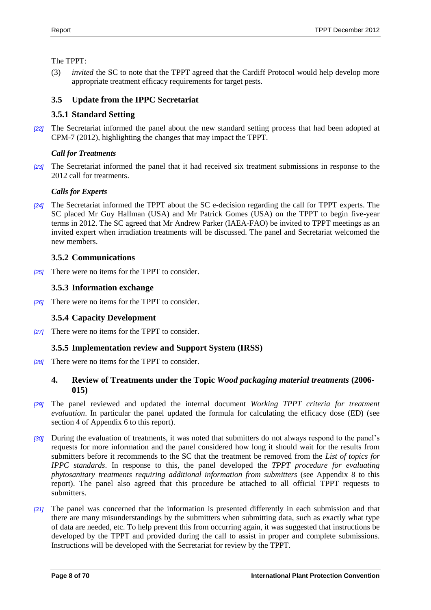The TPPT:

(3) *invited* the SC to note that the TPPT agreed that the Cardiff Protocol would help develop more appropriate treatment efficacy requirements for target pests.

# <span id="page-7-0"></span>**3.5 Update from the IPPC Secretariat**

# <span id="page-7-1"></span>**3.5.1 Standard Setting**

*[22]* The Secretariat informed the panel about the new standard setting process that had been adopted at CPM-7 (2012), highlighting the changes that may impact the TPPT.

# *Call for Treatments*

*[23]* The Secretariat informed the panel that it had received six treatment submissions in response to the 2012 call for treatments.

# *Calls for Experts*

*[24]* The Secretariat informed the TPPT about the SC e-decision regarding the call for TPPT experts. The SC placed Mr Guy Hallman (USA) and Mr Patrick Gomes (USA) on the TPPT to begin five-year terms in 2012. The SC agreed that Mr Andrew Parker (IAEA-FAO) be invited to TPPT meetings as an invited expert when irradiation treatments will be discussed. The panel and Secretariat welcomed the new members.

# <span id="page-7-2"></span>**3.5.2 Communications**

*[25]* There were no items for the TPPT to consider.

# <span id="page-7-3"></span>**3.5.3 Information exchange**

*[26]* There were no items for the TPPT to consider.

# <span id="page-7-4"></span>**3.5.4 Capacity Development**

*[27]* There were no items for the TPPT to consider.

# <span id="page-7-5"></span>**3.5.5 Implementation review and Support System (IRSS)**

*[28]* There were no items for the TPPT to consider.

# <span id="page-7-6"></span>**4. Review of Treatments under the Topic** *Wood packaging material treatments* **(2006- 015)**

- *[29]* The panel reviewed and updated the internal document *Working TPPT criteria for treatment evaluation*. In particular the panel updated the formula for calculating the efficacy dose (ED) (see section 4 of Appendix 6 to this report).
- *[30]* During the evaluation of treatments, it was noted that submitters do not always respond to the panel's requests for more information and the panel considered how long it should wait for the results from submitters before it recommends to the SC that the treatment be removed from the *List of topics for IPPC standards*. In response to this, the panel developed the *TPPT procedure for evaluating phytosanitary treatments requiring additional information from submitters* (see Appendix 8 to this report). The panel also agreed that this procedure be attached to all official TPPT requests to submitters.
- *[31]* The panel was concerned that the information is presented differently in each submission and that there are many misunderstandings by the submitters when submitting data, such as exactly what type of data are needed, etc. To help prevent this from occurring again, it was suggested that instructions be developed by the TPPT and provided during the call to assist in proper and complete submissions. Instructions will be developed with the Secretariat for review by the TPPT.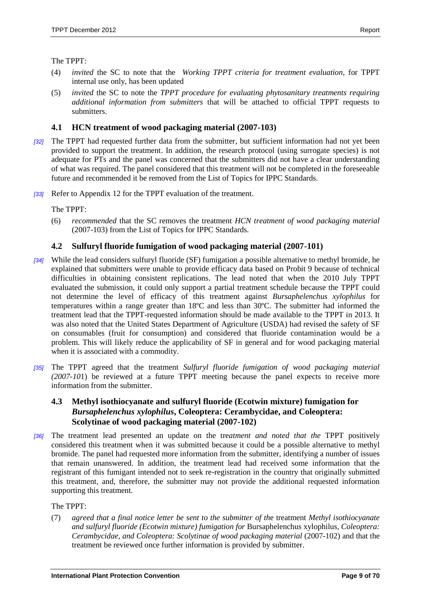The TPPT:

- (4) *invited* the SC to note that the *Working TPPT criteria for treatment evaluation*, for TPPT internal use only, has been updated
- (5) *invited* the SC to note the *TPPT procedure for evaluating phytosanitary treatments requiring additional information from submitters* that will be attached to official TPPT requests to submitters.

# <span id="page-8-0"></span>**4.1 HCN treatment of wood packaging material (2007-103)**

- *[32]* The TPPT had requested further data from the submitter, but sufficient information had not yet been provided to support the treatment. In addition, the research protocol (using surrogate species) is not adequate for PTs and the panel was concerned that the submitters did not have a clear understanding of what was required. The panel considered that this treatment will not be completed in the foreseeable future and recommended it be removed from the List of Topics for IPPC Standards.
- *[33]* Refer to Appendix 12 for the TPPT evaluation of the treatment.

The TPPT:

(6) *recommended* that the SC removes the treatment *HCN treatment of wood packaging material* (2007-103) from the List of Topics for IPPC Standards.

# <span id="page-8-1"></span>**4.2 Sulfuryl fluoride fumigation of wood packaging material (2007-101)**

- *[34]* While the lead considers sulfuryl fluoride (SF) fumigation a possible alternative to methyl bromide, he explained that submitters were unable to provide efficacy data based on Probit 9 because of technical difficulties in obtaining consistent replications. The lead noted that when the 2010 July TPPT evaluated the submission, it could only support a partial treatment schedule because the TPPT could not determine the level of efficacy of this treatment against *Bursaphelenchus xylophilus* for temperatures within a range greater than 18ºC and less than 30ºC. The submitter had informed the treatment lead that the TPPT-requested information should be made available to the TPPT in 2013. It was also noted that the United States Department of Agriculture (USDA) had revised the safety of SF on consumables (fruit for consumption) and considered that fluoride contamination would be a problem. This will likely reduce the applicability of SF in general and for wood packaging material when it is associated with a commodity.
- *[35]* The TPPT agreed that the treatment *Sulfuryl fluoride fumigation of wood packaging material (2007-10*1) be reviewed at a future TPPT meeting because the panel expects to receive more information from the submitter.

# <span id="page-8-2"></span>**4.3 Methyl isothiocyanate and sulfuryl fluoride (Ecotwin mixture) fumigation for**  *Bursaphelenchus xylophilus***, Coleoptera: Cerambycidae, and Coleoptera: Scolytinae of wood packaging material (2007-102)**

*[36]* The treatment lead presented an update on the tre*atment and noted that the* TPPT positively considered this treatment when it was submitted because it could be a possible alternative to methyl bromide. The panel had requested more information from the submitter, identifying a number of issues that remain unanswered. In addition, the treatment lead had received some information that the registrant of this fumigant intended not to seek re-registration in the country that originally submitted this treatment, and, therefore, the submitter may not provide the additional requested information supporting this treatment*.*

The TPPT:

(7) *agreed that a final notice letter be sent to the submitter of th*e treatment *Methyl isothiocyanate and sulfuryl fluoride (Ecotwin mixture) fumigation for* Bursaphelenchus xylophilus*, Coleoptera: Cerambycidae, and Coleoptera: Scolytinae of wood packaging material* (2007-102) and that the treatment be reviewed once further information is provided by submitter.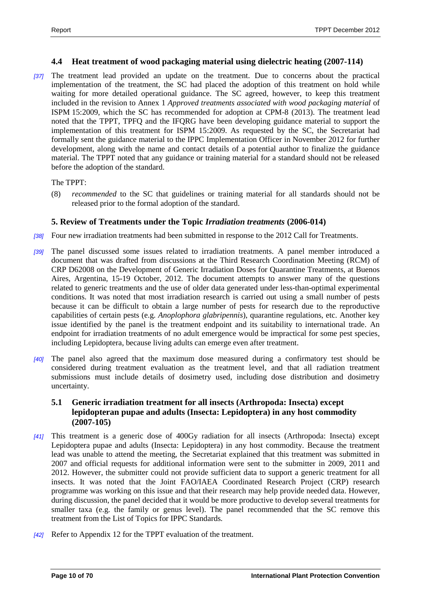#### <span id="page-9-0"></span>**4.4 Heat treatment of wood packaging material using dielectric heating (2007-114)**

*[37]* The treatment lead provided an update on the treatment. Due to concerns about the practical implementation of the treatment, the SC had placed the adoption of this treatment on hold while waiting for more detailed operational guidance. The SC agreed, however, to keep this treatment included in the revision to Annex 1 *Approved treatments associated with wood packaging material* of ISPM 15:2009, which the SC has recommended for adoption at CPM-8 (2013). The treatment lead noted that the TPPT, TPFQ and the IFQRG have been developing guidance material to support the implementation of this treatment for ISPM 15:2009. As requested by the SC, the Secretariat had formally sent the guidance material to the IPPC Implementation Officer in November 2012 for further development, along with the name and contact details of a potential author to finalize the guidance material. The TPPT noted that any guidance or training material for a standard should not be released before the adoption of the standard.

The TPPT:

(8) *recommended* to the SC that guidelines or training material for all standards should not be released prior to the formal adoption of the standard.

# <span id="page-9-1"></span>**5. Review of Treatments under the Topic** *Irradiation treatments* **(2006-014)**

- *[38]* Four new irradiation treatments had been submitted in response to the 2012 Call for Treatments.
- *[39]* The panel discussed some issues related to irradiation treatments. A panel member introduced a document that was drafted from discussions at the Third Research Coordination Meeting (RCM) of CRP D62008 on the Development of Generic Irradiation Doses for Quarantine Treatments, at Buenos Aires, Argentina, 15-19 October, 2012. The document attempts to answer many of the questions related to generic treatments and the use of older data generated under less-than-optimal experimental conditions. It was noted that most irradiation research is carried out using a small number of pests because it can be difficult to obtain a large number of pests for research due to the reproductive capabilities of certain pests (e.g. *Anoplophora glabripennis*), quarantine regulations, etc. Another key issue identified by the panel is the treatment endpoint and its suitability to international trade. An endpoint for irradiation treatments of no adult emergence would be impractical for some pest species, including Lepidoptera, because living adults can emerge even after treatment.
- *[40]* The panel also agreed that the maximum dose measured during a confirmatory test should be considered during treatment evaluation as the treatment level, and that all radiation treatment submissions must include details of dosimetry used, including dose distribution and dosimetry uncertainty.

# <span id="page-9-2"></span>**5.1 Generic irradiation treatment for all insects (Arthropoda: Insecta) except lepidopteran pupae and adults (Insecta: Lepidoptera) in any host commodity (2007-105)**

- *[41]* This treatment is a generic dose of 400Gy radiation for all insects (Arthropoda: Insecta) except Lepidoptera pupae and adults (Insecta: Lepidoptera) in any host commodity. Because the treatment lead was unable to attend the meeting, the Secretariat explained that this treatment was submitted in 2007 and official requests for additional information were sent to the submitter in 2009, 2011 and 2012. However, the submitter could not provide sufficient data to support a generic treatment for all insects. It was noted that the Joint FAO/IAEA Coordinated Research Project (CRP) research programme was working on this issue and that their research may help provide needed data. However, during discussion, the panel decided that it would be more productive to develop several treatments for smaller taxa (e.g. the family or genus level). The panel recommended that the SC remove this treatment from the List of Topics for IPPC Standards*.*
- *[42]* Refer to Appendix 12 for the TPPT evaluation of the treatment.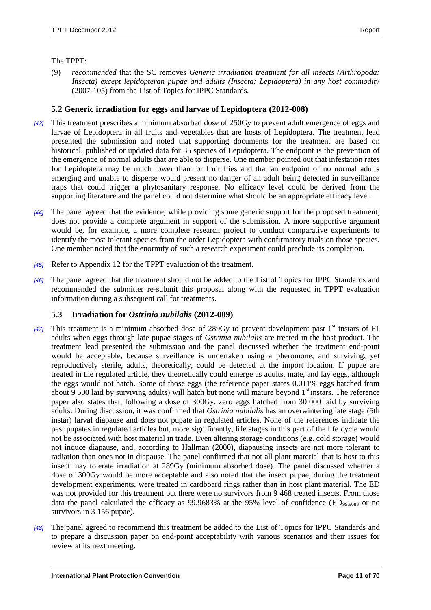#### The TPPT:

(9) *recommended* that the SC removes *Generic irradiation treatment for all insects (Arthropoda: Insecta) except lepidopteran pupae and adults (Insecta: Lepidoptera) in any host commodity* (2007-105) from the List of Topics for IPPC Standards.

# <span id="page-10-0"></span>**5.2 Generic irradiation for eggs and larvae of Lepidoptera (2012-008)**

- *[43]* This treatment prescribes a minimum absorbed dose of 250Gy to prevent adult emergence of eggs and larvae of Lepidoptera in all fruits and vegetables that are hosts of Lepidoptera. The treatment lead presented the submission and noted that supporting documents for the treatment are based on historical, published or updated data for 35 species of Lepidoptera. The endpoint is the prevention of the emergence of normal adults that are able to disperse. One member pointed out that infestation rates for Lepidoptera may be much lower than for fruit flies and that an endpoint of no normal adults emerging and unable to disperse would present no danger of an adult being detected in surveillance traps that could trigger a phytosanitary response. No efficacy level could be derived from the supporting literature and the panel could not determine what should be an appropriate efficacy level.
- *[44]* The panel agreed that the evidence, while providing some generic support for the proposed treatment, does not provide a complete argument in support of the submission. A more supportive argument would be, for example, a more complete research project to conduct comparative experiments to identify the most tolerant species from the order Lepidoptera with confirmatory trials on those species. One member noted that the enormity of such a research experiment could preclude its completion.
- *[45]* Refer to Appendix 12 for the TPPT evaluation of the treatment.
- *[46]* The panel agreed that the treatment should not be added to the List of Topics for IPPC Standards and recommended the submitter re-submit this proposal along with the requested in TPPT evaluation information during a subsequent call for treatments.

# <span id="page-10-1"></span>**5.3 Irradiation for** *Ostrinia nubilalis* **(2012-009)**

- *[47]* This treatment is a minimum absorbed dose of 289Gy to prevent development past 1<sup>st</sup> instars of F1 adults when eggs through late pupae stages of *Ostrinia nubilalis* are treated in the host product. The treatment lead presented the submission and the panel discussed whether the treatment end-point would be acceptable, because surveillance is undertaken using a pheromone, and surviving, yet reproductively sterile, adults, theoretically, could be detected at the import location. If pupae are treated in the regulated article, they theoretically could emerge as adults, mate, and lay eggs, although the eggs would not hatch. Some of those eggs (the reference paper states 0.011% eggs hatched from about 9 500 laid by surviving adults) will hatch but none will mature beyond  $1<sup>st</sup>$  instars. The reference paper also states that, following a dose of 300Gy, zero eggs hatched from 30 000 laid by surviving adults. During discussion, it was confirmed that *Ostrinia nubilalis* has an overwintering late stage (5th instar) larval diapause and does not pupate in regulated articles. None of the references indicate the pest pupates in regulated articles but, more significantly, life stages in this part of the life cycle would not be associated with host material in trade. Even altering storage conditions (e.g. cold storage) would not induce diapause, and, according to Hallman (2000), diapausing insects are not more tolerant to radiation than ones not in diapause. The panel confirmed that not all plant material that is host to this insect may tolerate irradiation at 289Gy (minimum absorbed dose). The panel discussed whether a dose of 300Gy would be more acceptable and also noted that the insect pupae, during the treatment development experiments, were treated in cardboard rings rather than in host plant material. The ED was not provided for this treatment but there were no survivors from 9 468 treated insects. From those data the panel calculated the efficacy as 99.9683% at the 95% level of confidence (ED<sub>99.9683</sub> or no survivors in 3 156 pupae).
- *[48]* The panel agreed to recommend this treatment be added to the List of Topics for IPPC Standards and to prepare a discussion paper on end-point acceptability with various scenarios and their issues for review at its next meeting.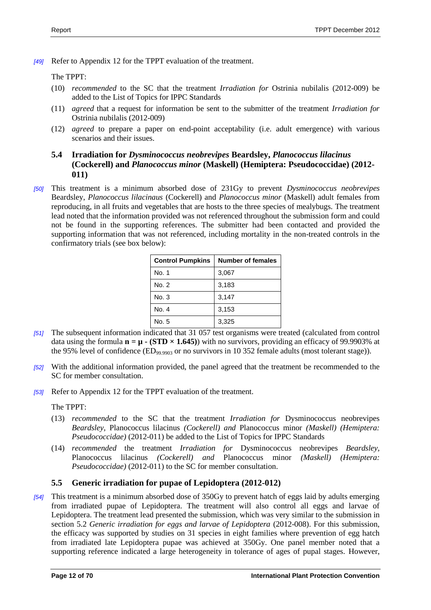*[49]* Refer to Appendix 12 for the TPPT evaluation of the treatment.

The TPPT:

- (10) *recommended* to the SC that the treatment *Irradiation for* Ostrinia nubilalis (2012-009) be added to the List of Topics for IPPC Standards
- (11) *agreed* that a request for information be sent to the submitter of the treatment *Irradiation for*  Ostrinia nubilalis (2012-009)
- (12) *agreed* to prepare a paper on end-point acceptability (i.e. adult emergence) with various scenarios and their issues.

# <span id="page-11-0"></span>**5.4 Irradiation for** *Dysminococcus neobrevipes* **Beardsley,** *Planococcus lilacinus* **(Cockerell) and** *Planococcus minor* **(Maskell) (Hemiptera: Pseudococcidae) (2012- 011)**

*[50]* This treatment is a minimum absorbed dose of 231Gy to prevent *Dysminococcus neobrevipes* Beardsley, *Planococcus lilacinaus* (Cockerell) and *Planococcus minor* (Maskell) adult females from reproducing, in all fruits and vegetables that are hosts to the three species of mealybugs. The treatment lead noted that the information provided was not referenced throughout the submission form and could not be found in the supporting references. The submitter had been contacted and provided the supporting information that was not referenced, including mortality in the non-treated controls in the confirmatory trials (see box below):

| <b>Control Pumpkins</b> | <b>Number of females</b> |
|-------------------------|--------------------------|
| No. 1                   | 3,067                    |
| No. 2                   | 3,183                    |
| No. 3                   | 3,147                    |
| No. 4                   | 3,153                    |
| No. 5                   | 3,325                    |

- *[51]* The subsequent information indicated that 31 057 test organisms were treated (calculated from control data using the formula  $\mathbf{n} = \mathbf{\mu} - (\mathbf{STD} \times \mathbf{1.645}))$  with no survivors, providing an efficacy of 99.9903% at the 95% level of confidence  $(ED_{99.9903}$  or no survivors in 10 352 female adults (most tolerant stage)).
- *[52]* With the additional information provided, the panel agreed that the treatment be recommended to the SC for member consultation.
- *[53]* Refer to Appendix 12 for the TPPT evaluation of the treatment.

The TPPT:

- (13) *recommended* to the SC that the treatment *Irradiation for* Dysminococcus neobrevipes *Beardsley,* Planococcus lilacinus *(Cockerell) and* Planococcus minor *(Maskell) (Hemiptera: Pseudococcidae)* (2012-011) be added to the List of Topics for IPPC Standards
- (14) *recommended* the treatment *Irradiation for* Dysminococcus neobrevipes *Beardsley,*  Planococcus lilacinus *(Cockerell) and* Planococcus minor *(Maskell) (Hemiptera: Pseudococcidae)* (2012-011) to the SC for member consultation.

# <span id="page-11-1"></span>**5.5 Generic irradiation for pupae of Lepidoptera (2012-012)**

*[54]* This treatment is a minimum absorbed dose of 350Gy to prevent hatch of eggs laid by adults emerging from irradiated pupae of Lepidoptera. The treatment will also control all eggs and larvae of Lepidoptera. The treatment lead presented the submission, which was very similar to the submission in section 5.2 *Generic irradiation for eggs and larvae of Lepidoptera* (2012-008). For this submission, the efficacy was supported by studies on 31 species in eight families where prevention of egg hatch from irradiated late Lepidoptera pupae was achieved at 350Gy. One panel member noted that a supporting reference indicated a large heterogeneity in tolerance of ages of pupal stages. However,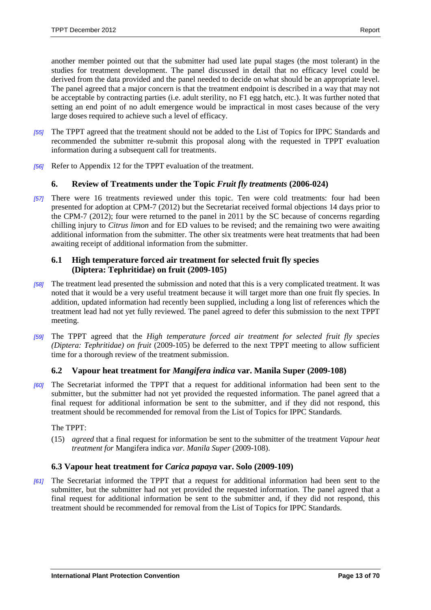another member pointed out that the submitter had used late pupal stages (the most tolerant) in the studies for treatment development. The panel discussed in detail that no efficacy level could be derived from the data provided and the panel needed to decide on what should be an appropriate level. The panel agreed that a major concern is that the treatment endpoint is described in a way that may not be acceptable by contracting parties (i.e. adult sterility, no F1 egg hatch, etc.). It was further noted that setting an end point of no adult emergence would be impractical in most cases because of the very large doses required to achieve such a level of efficacy.

- *[55]* The TPPT agreed that the treatment should not be added to the List of Topics for IPPC Standards and recommended the submitter re-submit this proposal along with the requested in TPPT evaluation information during a subsequent call for treatments.
- *[56]* Refer to Appendix 12 for the TPPT evaluation of the treatment.

# <span id="page-12-0"></span>**6. Review of Treatments under the Topic** *Fruit fly treatments* **(2006-024)**

*[57]* There were 16 treatments reviewed under this topic. Ten were cold treatments: four had been presented for adoption at CPM-7 (2012) but the Secretariat received formal objections 14 days prior to the CPM-7 (2012); four were returned to the panel in 2011 by the SC because of concerns regarding chilling injury to *Citrus limon* and for ED values to be revised; and the remaining two were awaiting additional information from the submitter. The other six treatments were heat treatments that had been awaiting receipt of additional information from the submitter.

# <span id="page-12-1"></span>**6.1 High temperature forced air treatment for selected fruit fly species (Diptera: Tephritidae) on fruit (2009-105)**

- *[58]* The treatment lead presented the submission and noted that this is a very complicated treatment. It was noted that it would be a very useful treatment because it will target more than one fruit fly species. In addition, updated information had recently been supplied, including a long list of references which the treatment lead had not yet fully reviewed. The panel agreed to defer this submission to the next TPPT meeting.
- *[59]* The TPPT agreed that the *High temperature forced air treatment for selected fruit fly species (Diptera: Tephritidae) on fruit* (2009-105) be deferred to the next TPPT meeting to allow sufficient time for a thorough review of the treatment submission.

# <span id="page-12-2"></span>**6.2 Vapour heat treatment for** *Mangifera indica* **var. Manila Super (2009-108)**

*[60]* The Secretariat informed the TPPT that a request for additional information had been sent to the submitter, but the submitter had not yet provided the requested information. The panel agreed that a final request for additional information be sent to the submitter, and if they did not respond, this treatment should be recommended for removal from the List of Topics for IPPC Standards.

The TPPT:

(15) *agreed* that a final request for information be sent to the submitter of the treatment *Vapour heat treatment for* Mangifera indica *var. Manila Super* (2009-108).

# <span id="page-12-3"></span>**6.3 Vapour heat treatment for** *Carica papaya* **var. Solo (2009-109)**

*[61]* The Secretariat informed the TPPT that a request for additional information had been sent to the submitter, but the submitter had not yet provided the requested information. The panel agreed that a final request for additional information be sent to the submitter and, if they did not respond, this treatment should be recommended for removal from the List of Topics for IPPC Standards.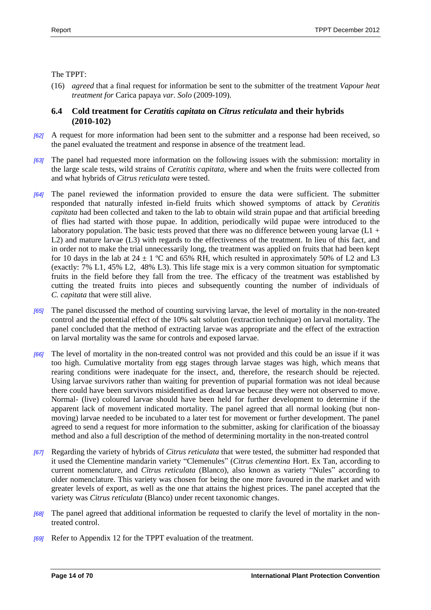#### The TPPT:

(16) *agreed* that a final request for information be sent to the submitter of the treatment *Vapour heat treatment for* Carica papaya *var. Solo* (2009-109).

# <span id="page-13-0"></span>**6.4 Cold treatment for** *Ceratitis capitata* **on** *Citrus reticulata* **and their hybrids (2010-102)**

- *[62]* A request for more information had been sent to the submitter and a response had been received, so the panel evaluated the treatment and response in absence of the treatment lead.
- *[63]* The panel had requested more information on the following issues with the submission: mortality in the large scale tests, wild strains of *Ceratitis capitata,* where and when the fruits were collected from and what hybrids of *Citrus reticulata* were tested.
- *[64]* The panel reviewed the information provided to ensure the data were sufficient. The submitter responded that naturally infested in-field fruits which showed symptoms of attack by *Ceratitis capitata* had been collected and taken to the lab to obtain wild strain pupae and that artificial breeding of flies had started with those pupae. In addition, periodically wild pupae were introduced to the laboratory population. The basic tests proved that there was no difference between young larvae ( $L1$  + L2) and mature larvae (L3) with regards to the effectiveness of the treatment. In lieu of this fact, and in order not to make the trial unnecessarily long, the treatment was applied on fruits that had been kept for 10 days in the lab at  $24 \pm 1$  °C and 65% RH, which resulted in approximately 50% of L2 and L3 (exactly: 7% L1, 45% L2, 48% L3). This life stage mix is a very common situation for symptomatic fruits in the field before they fall from the tree. The efficacy of the treatment was established by cutting the treated fruits into pieces and subsequently counting the number of individuals of *C. capitata* that were still alive.
- *[65]* The panel discussed the method of counting surviving larvae, the level of mortality in the non-treated control and the potential effect of the 10% salt solution (extraction technique) on larval mortality. The panel concluded that the method of extracting larvae was appropriate and the effect of the extraction on larval mortality was the same for controls and exposed larvae.
- *[66]* The level of mortality in the non-treated control was not provided and this could be an issue if it was too high. Cumulative mortality from egg stages through larvae stages was high, which means that rearing conditions were inadequate for the insect, and, therefore, the research should be rejected. Using larvae survivors rather than waiting for prevention of puparial formation was not ideal because there could have been survivors misidentified as dead larvae because they were not observed to move. Normal- (live) coloured larvae should have been held for further development to determine if the apparent lack of movement indicated mortality. The panel agreed that all normal looking (but nonmoving) larvae needed to be incubated to a later test for movement or further development. The panel agreed to send a request for more information to the submitter, asking for clarification of the bioassay method and also a full description of the method of determining mortality in the non-treated control
- *[67]* Regarding the variety of hybrids of *Citrus reticulata* that were tested, the submitter had responded that it used the Clementine mandarin variety "Clemenules" (*Citrus clementina* Hort. Ex Tan, according to current nomenclature, and *Citrus reticulata* (Blanco), also known as variety "Nules" according to older nomenclature. This variety was chosen for being the one more favoured in the market and with greater levels of export, as well as the one that attains the highest prices. The panel accepted that the variety was *Citrus reticulata* (Blanco) under recent taxonomic changes.
- *[68]* The panel agreed that additional information be requested to clarify the level of mortality in the nontreated control.
- *[69]* Refer to Appendix 12 for the TPPT evaluation of the treatment.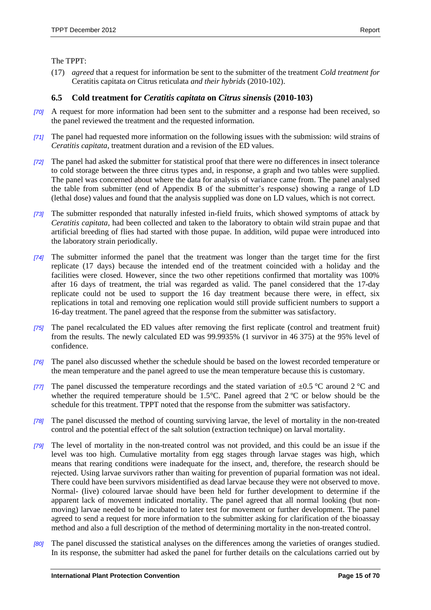#### The TPPT:

(17) *agreed* that a request for information be sent to the submitter of the treatment *Cold treatment for*  Ceratitis capitata *on* Citrus reticulata *and their hybrids* (2010-102).

# <span id="page-14-0"></span>**6.5 Cold treatment for** *Ceratitis capitata* **on** *Citrus sinensis* **(2010-103)**

- *[70]* A request for more information had been sent to the submitter and a response had been received, so the panel reviewed the treatment and the requested information.
- *[71]* The panel had requested more information on the following issues with the submission: wild strains of *Ceratitis capitata*, treatment duration and a revision of the ED values.
- *[72]* The panel had asked the submitter for statistical proof that there were no differences in insect tolerance to cold storage between the three citrus types and, in response, a graph and two tables were supplied. The panel was concerned about where the data for analysis of variance came from. The panel analysed the table from submitter (end of Appendix B of the submitter's response) showing a range of LD (lethal dose) values and found that the analysis supplied was done on LD values, which is not correct.
- *[73]* The submitter responded that naturally infested in-field fruits, which showed symptoms of attack by *Ceratitis capitata,* had been collected and taken to the laboratory to obtain wild strain pupae and that artificial breeding of flies had started with those pupae. In addition, wild pupae were introduced into the laboratory strain periodically.
- *[74]* The submitter informed the panel that the treatment was longer than the target time for the first replicate (17 days) because the intended end of the treatment coincided with a holiday and the facilities were closed. However, since the two other repetitions confirmed that mortality was 100% after 16 days of treatment, the trial was regarded as valid. The panel considered that the 17-day replicate could not be used to support the 16 day treatment because there were, in effect, six replications in total and removing one replication would still provide sufficient numbers to support a 16-day treatment. The panel agreed that the response from the submitter was satisfactory.
- *[75]* The panel recalculated the ED values after removing the first replicate (control and treatment fruit) from the results. The newly calculated ED was 99.9935% (1 survivor in 46 375) at the 95% level of confidence.
- *[76]* The panel also discussed whether the schedule should be based on the lowest recorded temperature or the mean temperature and the panel agreed to use the mean temperature because this is customary.
- *[77]* The panel discussed the temperature recordings and the stated variation of  $\pm 0.5$  °C around 2 °C and whether the required temperature should be 1.5°C. Panel agreed that 2°C or below should be the schedule for this treatment. TPPT noted that the response from the submitter was satisfactory.
- *[78]* The panel discussed the method of counting surviving larvae, the level of mortality in the non-treated control and the potential effect of the salt solution (extraction technique) on larval mortality.
- *[79]* The level of mortality in the non-treated control was not provided, and this could be an issue if the level was too high. Cumulative mortality from egg stages through larvae stages was high, which means that rearing conditions were inadequate for the insect, and, therefore, the research should be rejected. Using larvae survivors rather than waiting for prevention of puparial formation was not ideal. There could have been survivors misidentified as dead larvae because they were not observed to move. Normal- (live) coloured larvae should have been held for further development to determine if the apparent lack of movement indicated mortality. The panel agreed that all normal looking (but nonmoving) larvae needed to be incubated to later test for movement or further development. The panel agreed to send a request for more information to the submitter asking for clarification of the bioassay method and also a full description of the method of determining mortality in the non-treated control.
- *[80]* The panel discussed the statistical analyses on the differences among the varieties of oranges studied. In its response, the submitter had asked the panel for further details on the calculations carried out by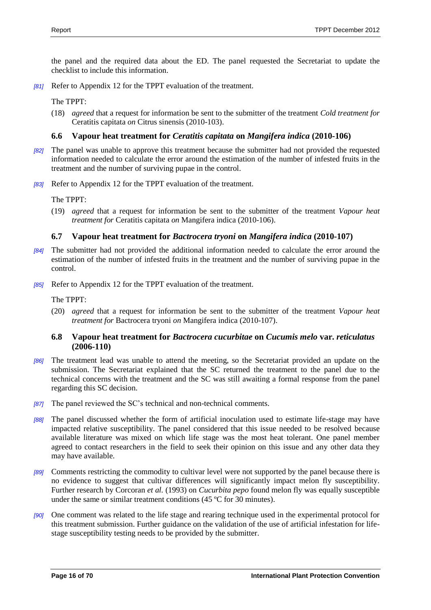the panel and the required data about the ED. The panel requested the Secretariat to update the checklist to include this information.

*[81]* Refer to Appendix 12 for the TPPT evaluation of the treatment.

The TPPT:

(18) *agreed* that a request for information be sent to the submitter of the treatment *Cold treatment for*  Ceratitis capitata *on* Citrus sinensis (2010-103).

# <span id="page-15-0"></span>**6.6 Vapour heat treatment for** *Ceratitis capitata* **on** *Mangifera indica* **(2010-106)**

- *[82]* The panel was unable to approve this treatment because the submitter had not provided the requested information needed to calculate the error around the estimation of the number of infested fruits in the treatment and the number of surviving pupae in the control.
- *[83]* Refer to Appendix 12 for the TPPT evaluation of the treatment.

The TPPT:

(19) *agreed* that a request for information be sent to the submitter of the treatment *Vapour heat treatment for* Ceratitis capitata *on* Mangifera indica (2010-106).

# <span id="page-15-1"></span>**6.7 Vapour heat treatment for** *Bactrocera tryoni* **on** *Mangifera indica* **(2010-107)**

- *[84]* The submitter had not provided the additional information needed to calculate the error around the estimation of the number of infested fruits in the treatment and the number of surviving pupae in the control.
- *[85]* Refer to Appendix 12 for the TPPT evaluation of the treatment.

The TPPT:

(20) *agreed* that a request for information be sent to the submitter of the treatment *Vapour heat treatment for* Bactrocera tryoni *on* Mangifera indica (2010-107).

# <span id="page-15-2"></span>**6.8 Vapour heat treatment for** *Bactrocera cucurbitae* **on** *Cucumis melo* **var.** *reticulatus* **(2006-110)**

- *[86]* The treatment lead was unable to attend the meeting, so the Secretariat provided an update on the submission. The Secretariat explained that the SC returned the treatment to the panel due to the technical concerns with the treatment and the SC was still awaiting a formal response from the panel regarding this SC decision.
- *[87]* The panel reviewed the SC's technical and non-technical comments.
- *[88]* The panel discussed whether the form of artificial inoculation used to estimate life-stage may have impacted relative susceptibility. The panel considered that this issue needed to be resolved because available literature was mixed on which life stage was the most heat tolerant. One panel member agreed to contact researchers in the field to seek their opinion on this issue and any other data they may have available.
- *[89]* Comments restricting the commodity to cultivar level were not supported by the panel because there is no evidence to suggest that cultivar differences will significantly impact melon fly susceptibility. Further research by Corcoran *et al.* (1993) on *Cucurbita pepo* found melon fly was equally susceptible under the same or similar treatment conditions (45 ºC for 30 minutes).
- *[90]* One comment was related to the life stage and rearing technique used in the experimental protocol for this treatment submission. Further guidance on the validation of the use of artificial infestation for lifestage susceptibility testing needs to be provided by the submitter.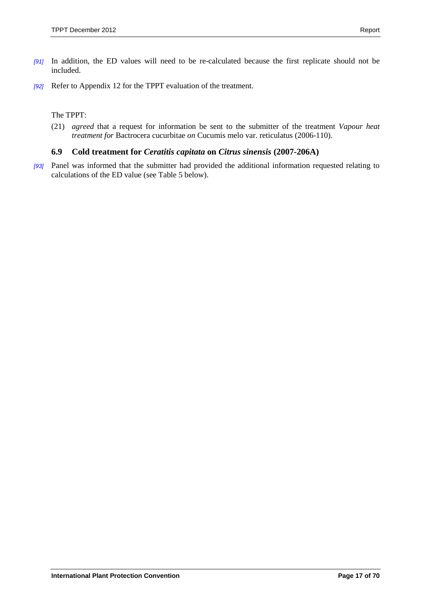- *[91]* In addition, the ED values will need to be re-calculated because the first replicate should not be included.
- *[92]* Refer to Appendix 12 for the TPPT evaluation of the treatment.

#### The TPPT:

(21) *agreed* that a request for information be sent to the submitter of the treatment *Vapour heat treatment for* Bactrocera cucurbitae *on* Cucumis melo var. reticulatus (2006-110).

# <span id="page-16-0"></span>**6.9 Cold treatment for** *Ceratitis capitata* **on** *Citrus sinensis* **(2007-206A)**

*[93]* Panel was informed that the submitter had provided the additional information requested relating to calculations of the ED value (see Table 5 below).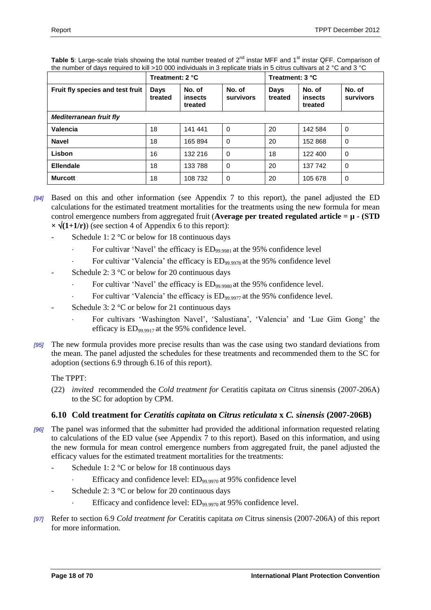|                                  | Treatment: 2 °C |                              |                     | Treatment: 3 °C        |                              |                     |
|----------------------------------|-----------------|------------------------------|---------------------|------------------------|------------------------------|---------------------|
| Fruit fly species and test fruit | Days<br>treated | No. of<br>insects<br>treated | No. of<br>survivors | <b>Days</b><br>treated | No. of<br>insects<br>treated | No. of<br>survivors |
| <b>Mediterranean fruit fly</b>   |                 |                              |                     |                        |                              |                     |
| <b>Valencia</b>                  | 18              | 141 441                      | $\mathbf 0$         | 20                     | 142 584                      | $\mathbf 0$         |
| <b>Navel</b>                     | 18              | 165 894                      | 0                   | 20                     | 152 868                      | 0                   |
| Lisbon                           | 16              | 132 216                      | $\Omega$            | 18                     | 122 400                      | 0                   |
| <b>Ellendale</b>                 | 18              | 133 788                      | $\Omega$            | 20                     | 137 742                      | $\mathbf 0$         |
| <b>Murcott</b>                   | 18              | 108 732                      | 0                   | 20                     | 105 678                      | 0                   |

Table 5: Large-scale trials showing the total number treated of 2<sup>nd</sup> instar MFF and 1<sup>st</sup> instar QFF. Comparison of the number of days required to kill >10 000 individuals in 3 replicate trials in 5 citrus cultivars at 2 °C and 3 °C

- *[94]* Based on this and other information (see Appendix 7 to this report), the panel adjusted the ED calculations for the estimated treatment mortalities for the treatments using the new formula for mean control emergence numbers from aggregated fruit (**Average per treated regulated article = µ - (STD**   $\times \sqrt{(1+1/r)}$  (see section 4 of [Appendix 6](#page-41-0) to this report):
	- Schedule 1:  $2^{\circ}$ C or below for 18 continuous days
		- For cultivar 'Navel' the efficacy is  $ED_{99,9981}$  at the 95% confidence level
		- For cultivar 'Valencia' the efficacy is  $ED_{99.9978}$  at the 95% confidence level
	- Schedule 2:  $3^{\circ}$ C or below for 20 continuous days
		- For cultivar 'Navel' the efficacy is  $ED_{99,9980}$  at the 95% confidence level.
		- For cultivar 'Valencia' the efficacy is  $ED_{99.9977}$  at the 95% confidence level.
	- Schedule 3:  $2^{\circ}$ C or below for 21 continuous days
		- For cultivars 'Washington Navel', 'Salustiana', 'Valencia' and 'Lue Gim Gong' the efficacy is  $ED_{99.9917}$  at the 95% confidence level.
- *[95]* The new formula provides more precise results than was the case using two standard deviations from the mean. The panel adjusted the schedules for these treatments and recommended them to the SC for adoption (sections 6.9 through 6.16 of this report).

# The TPPT:

(22) *invited* recommended the *Cold treatment for* Ceratitis capitata *on* Citrus sinensis (2007-206A) to the SC for adoption by CPM.

# <span id="page-17-0"></span>**6.10 Cold treatment for** *Ceratitis capitata* **on** *Citrus reticulata* **x** *C. sinensis* **(2007-206B)**

- *[96]* The panel was informed that the submitter had provided the additional information requested relating to calculations of the ED value (see Appendix 7 to this report). Based on this information, and using the new formula for mean control emergence numbers from aggregated fruit, the panel adjusted the efficacy values for the estimated treatment mortalities for the treatments:
	- Schedule 1:  $2^{\circ}$ C or below for 18 continuous days
		- Efficacy and confidence level: ED99.9970 at 95% confidence level
	- Schedule 2:  $3 \text{ °C}$  or below for 20 continuous days
		- Efficacy and confidence level: ED99.9970 at 95% confidence level.
- *[97]* Refer to section 6.9 *Cold treatment for* Ceratitis capitata *on* Citrus sinensis (2007-206A) of this report for more information.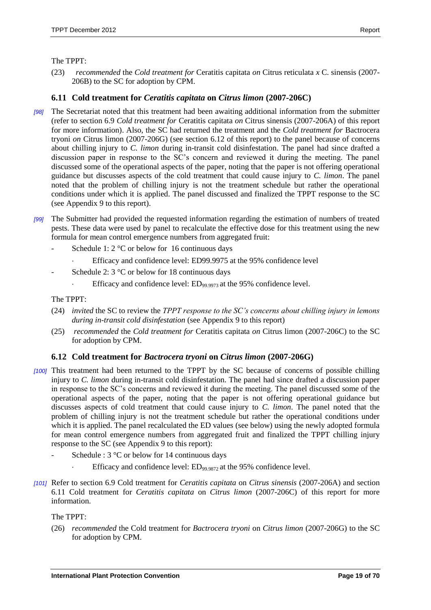#### The TPPT:

(23) *recommended* the *Cold treatment for* Ceratitis capitata *on* Citrus reticulata *x* C. sinensis (2007- 206B) to the SC for adoption by CPM.

# <span id="page-18-0"></span>**6.11 Cold treatment for** *Ceratitis capitata* **on** *Citrus limon* **(2007-206C)**

- *[98]* The Secretariat noted that this treatment had been awaiting additional information from the submitter (refer to section 6.9 *Cold treatment for* Ceratitis capitata *on* Citrus sinensis (2007-206A) of this report for more information). Also, the SC had returned the treatment and the *Cold treatment for* Bactrocera tryoni *on* Citrus limon (2007-206G) (see section 6.12 of this report) to the panel because of concerns about chilling injury to *C. limon* during in-transit cold disinfestation. The panel had since drafted a discussion paper in response to the SC's concern and reviewed it during the meeting. The panel discussed some of the operational aspects of the paper, noting that the paper is not offering operational guidance but discusses aspects of the cold treatment that could cause injury to *C. limon*. The panel noted that the problem of chilling injury is not the treatment schedule but rather the operational conditions under which it is applied. The panel discussed and finalized the TPPT response to the SC (see Appendix 9 to this report).
- *[99]* The Submitter had provided the requested information regarding the estimation of numbers of treated pests. These data were used by panel to recalculate the effective dose for this treatment using the new formula for mean control emergence numbers from aggregated fruit:
	- Schedule 1:  $2^{\circ}$ C or below for 16 continuous days
		- Efficacy and confidence level: ED99.9975 at the 95% confidence level
	- Schedule 2:  $3 \text{°C}$  or below for 18 continuous days
		- Efficacy and confidence level:  $ED_{99,9973}$  at the 95% confidence level.

The TPPT:

- (24) *invited* the SC to review the *TPPT response to the SC's concerns about chilling injury in lemons during in-transit cold disinfestation* (see Appendix 9 to this report)
- (25) *recommended* the *Cold treatment for* Ceratitis capitata *on* Citrus limon (2007-206C) to the SC for adoption by CPM.

# <span id="page-18-1"></span>**6.12 Cold treatment for** *Bactrocera tryoni* **on** *Citrus limon* **(2007-206G)**

- *[100]* This treatment had been returned to the TPPT by the SC because of concerns of possible chilling injury to *C. limon* during in-transit cold disinfestation. The panel had since drafted a discussion paper in response to the SC's concerns and reviewed it during the meeting. The panel discussed some of the operational aspects of the paper, noting that the paper is not offering operational guidance but discusses aspects of cold treatment that could cause injury to *C. limon*. The panel noted that the problem of chilling injury is not the treatment schedule but rather the operational conditions under which it is applied. The panel recalculated the ED values (see below) using the newly adopted formula for mean control emergence numbers from aggregated fruit and finalized the TPPT chilling injury response to the SC (see Appendix 9 to this report):
	- Schedule :  $3^{\circ}$ C or below for 14 continuous days
		- Efficacy and confidence level:  $ED_{99,9872}$  at the 95% confidence level.
- *[101]* Refer to section 6.9 Cold treatment for *Ceratitis capitata* on *Citrus sinensis* (2007-206A) and section 6.11 Cold treatment for *Ceratitis capitata* on *Citrus limon* (2007-206C) of this report for more information.

The TPPT:

(26) *recommended* the Cold treatment for *Bactrocera tryoni* on *Citrus limon* (2007-206G) to the SC for adoption by CPM.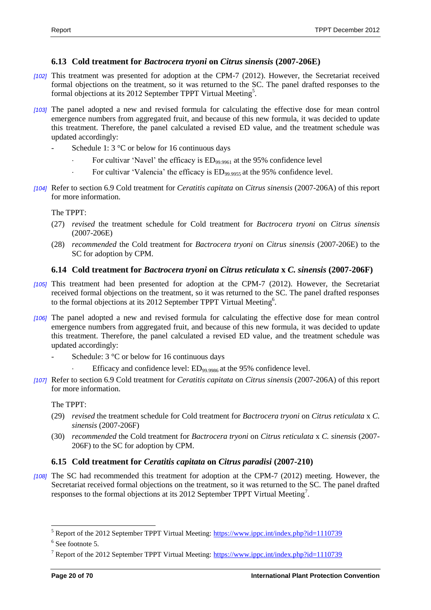# <span id="page-19-0"></span>**6.13 Cold treatment for** *Bactrocera tryoni* **on** *Citrus sinensis* **(2007-206E)**

- *[102]* This treatment was presented for adoption at the CPM-7 (2012). However, the Secretariat received formal objections on the treatment, so it was returned to the SC. The panel drafted responses to the formal objections at its 2012 September TPPT Virtual Meeting<sup>5</sup>.
- *[103]* The panel adopted a new and revised formula for calculating the effective dose for mean control emergence numbers from aggregated fruit, and because of this new formula, it was decided to update this treatment. Therefore, the panel calculated a revised ED value, and the treatment schedule was updated accordingly:
	- Schedule 1:  $3^{\circ}$ C or below for 16 continuous days
		- For cultivar 'Navel' the efficacy is  $ED_{99.9961}$  at the 95% confidence level
		- For cultivar 'Valencia' the efficacy is  $ED_{99.9955}$  at the 95% confidence level.
- *[104]* Refer to section 6.9 Cold treatment for *Ceratitis capitata* on *Citrus sinensis* (2007-206A) of this report for more information.

The TPPT:

- (27) *revised* the treatment schedule for Cold treatment for *Bactrocera tryoni* on *Citrus sinensis* (2007-206E)
- (28) *recommended* the Cold treatment for *Bactrocera tryoni* on *Citrus sinensis* (2007-206E) to the SC for adoption by CPM.

#### <span id="page-19-1"></span>**6.14 Cold treatment for** *Bactrocera tryoni* **on** *Citrus reticulata* **x** *C. sinensis* **(2007-206F)**

- *[105]* This treatment had been presented for adoption at the CPM-7 (2012). However, the Secretariat received formal objections on the treatment, so it was returned to the SC. The panel drafted responses to the formal objections at its 2012 September TPPT Virtual Meeting<sup>6</sup>.
- *[106]* The panel adopted a new and revised formula for calculating the effective dose for mean control emergence numbers from aggregated fruit, and because of this new formula, it was decided to update this treatment. Therefore, the panel calculated a revised ED value, and the treatment schedule was updated accordingly:
	- Schedule:  $3^{\circ}$ C or below for 16 continuous days
		- Efficacy and confidence level: ED<sub>99.9986</sub> at the 95% confidence level.
- *[107]* Refer to section 6.9 Cold treatment for *Ceratitis capitata* on *Citrus sinensis* (2007-206A) of this report for more information.

The TPPT:

- (29) *revised* the treatment schedule for Cold treatment for *Bactrocera tryoni* on *Citrus reticulata* x *C. sinensis* (2007-206F)
- (30) *recommended* the Cold treatment for *Bactrocera tryoni* on *Citrus reticulata* x *C. sinensis* (2007- 206F) to the SC for adoption by CPM.

# <span id="page-19-2"></span>**6.15 Cold treatment for** *Ceratitis capitata* **on** *Citrus paradisi* **(2007-210)**

*[108]* The SC had recommended this treatment for adoption at the CPM-7 (2012) meeting. However, the Secretariat received formal objections on the treatment, so it was returned to the SC. The panel drafted responses to the formal objections at its 2012 September TPPT Virtual Meeting<sup>7</sup>.

l

 $<sup>5</sup>$  Report of the 2012 September TPPT Virtual Meeting:  $https://www.ippc.int/index.php?id=1110739$ </sup></u>

<sup>&</sup>lt;sup>6</sup> See footnote 5.

<sup>&</sup>lt;sup>7</sup> Report of the 2012 September TPPT Virtual Meeting:  $\frac{https://www.ippc.int/index.php?id=1110739}{https://www.ippc.int/index.php?id=1110739}$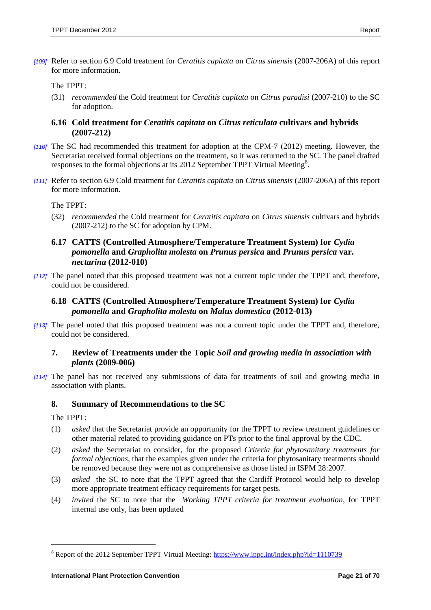*[109]* Refer to section 6.9 Cold treatment for *Ceratitis capitata* on *Citrus sinensis* (2007-206A) of this report for more information.

The TPPT:

(31) *recommended* the Cold treatment for *Ceratitis capitata* on *Citrus paradisi* (2007-210) to the SC for adoption.

# <span id="page-20-0"></span>**6.16 Cold treatment for** *Ceratitis capitata* **on** *Citrus reticulata* **cultivars and hybrids (2007-212)**

- *[110]* The SC had recommended this treatment for adoption at the CPM-7 (2012) meeting. However, the Secretariat received formal objections on the treatment, so it was returned to the SC. The panel drafted responses to the formal objections at its 2012 September TPPT Virtual Meeting<sup>8</sup>.
- *[111]* Refer to section 6.9 Cold treatment for *Ceratitis capitata* on *Citrus sinensis* (2007-206A) of this report for more information.

The TPPT:

(32) *recommended* the Cold treatment for *Ceratitis capitata* on *Citrus sinensis* cultivars and hybrids (2007-212) to the SC for adoption by CPM.

# <span id="page-20-1"></span>**6.17 CATTS (Controlled Atmosphere/Temperature Treatment System) for** *Cydia pomonella* **and** *Grapholita molesta* **on** *Prunus persica* **and** *Prunus persica* **var.**  *nectarina* **(2012-010)**

*[112]* The panel noted that this proposed treatment was not a current topic under the TPPT and, therefore, could not be considered.

# <span id="page-20-2"></span>**6.18 CATTS (Controlled Atmosphere/Temperature Treatment System) for** *Cydia pomonella* **and** *Grapholita molesta* **on** *Malus domestica* **(2012-013)**

*[113]* The panel noted that this proposed treatment was not a current topic under the TPPT and, therefore, could not be considered.

# <span id="page-20-3"></span>**7. Review of Treatments under the Topic** *Soil and growing media in association with plants* **(2009-006)**

*[114]* The panel has not received any submissions of data for treatments of soil and growing media in association with plants.

# <span id="page-20-4"></span>**8. Summary of Recommendations to the SC**

The TPPT:

 $\overline{a}$ 

- (1) *asked* that the Secretariat provide an opportunity for the TPPT to review treatment guidelines or other material related to providing guidance on PTs prior to the final approval by the CDC.
- (2) *asked* the Secretariat to consider, for the proposed *Criteria for phytosanitary treatments for formal objections*, that the examples given under the criteria for phytosanitary treatments should be removed because they were not as comprehensive as those listed in ISPM 28:2007.
- (3) *asked* the SC to note that the TPPT agreed that the Cardiff Protocol would help to develop more appropriate treatment efficacy requirements for target pests.
- (4) *invited* the SC to note that the *Working TPPT criteria for treatment evaluation*, for TPPT internal use only, has been updated

<sup>&</sup>lt;sup>8</sup> Report of the 2012 September TPPT Virtual Meeting:<https://www.ippc.int/index.php?id=1110739>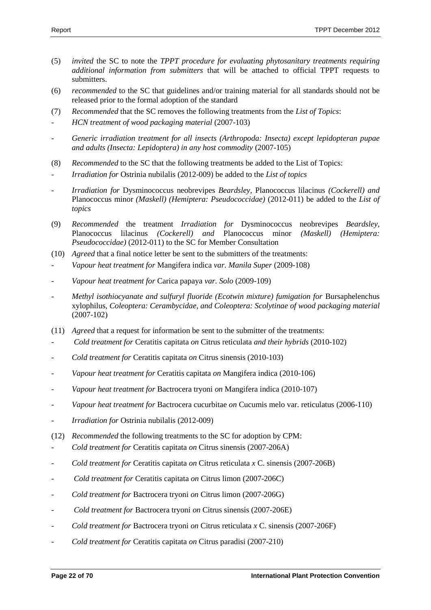- (5) *invited* the SC to note the *TPPT procedure for evaluating phytosanitary treatments requiring additional information from submitters* that will be attached to official TPPT requests to submitters.
- (6) *recommended* to the SC that guidelines and/or training material for all standards should not be released prior to the formal adoption of the standard
- (7) *Recommended* that the SC removes the following treatments from the *List of Topics*:
- *HCN treatment of wood packaging material* (2007-103)
- *Generic irradiation treatment for all insects (Arthropoda: Insecta) except lepidopteran pupae and adults (Insecta: Lepidoptera) in any host commodity* (2007-105)
- (8) *Recommended* to the SC that the following treatments be added to the List of Topics:
- *Irradiation for* Ostrinia nubilalis (2012-009) be added to the *List of topics*
- *Irradiation for* Dysminococcus neobrevipes *Beardsley,* Planococcus lilacinus *(Cockerell) and*  Planococcus minor *(Maskell) (Hemiptera: Pseudococcidae)* (2012-011) be added to the *List of topics*
- (9) *Recommended* the treatment *Irradiation for* Dysminococcus neobrevipes *Beardsley,*  Planococcus lilacinus *(Cockerell) and* Planococcus minor *(Maskell) (Hemiptera: Pseudococcidae)* (2012-011) to the SC for Member Consultation
- (10) *Agreed* that a final notice letter be sent to the submitters of the treatments:
- *Vapour heat treatment for* Mangifera indica *var. Manila Super* (2009-108)
- *Vapour heat treatment for* Carica papaya *var. Solo* (2009-109)
- *Methyl isothiocyanate and sulfuryl fluoride (Ecotwin mixture) fumigation for* Bursaphelenchus xylophilus, *Coleoptera: Cerambycidae, and Coleoptera: Scolytinae of wood packaging material* (2007-102)
- (11) *Agreed* that a request for information be sent to the submitter of the treatments:
- *Cold treatment for* Ceratitis capitata *on* Citrus reticulata *and their hybrids* (2010-102)
- *Cold treatment for* Ceratitis capitata *on* Citrus sinensis (2010-103)
- *Vapour heat treatment for* Ceratitis capitata *on* Mangifera indica (2010-106)
- *Vapour heat treatment for* Bactrocera tryoni *on* Mangifera indica (2010-107)
- *Vapour heat treatment for* Bactrocera cucurbitae *on* Cucumis melo var. reticulatus (2006-110)
- *Irradiation for* Ostrinia nubilalis (2012-009)
- (12) *Recommended* the following treatments to the SC for adoption by CPM:
- *Cold treatment for* Ceratitis capitata *on* Citrus sinensis (2007-206A)
- *Cold treatment for* Ceratitis capitata *on* Citrus reticulata *x* C. sinensis (2007-206B)
- *Cold treatment for* Ceratitis capitata *on* Citrus limon (2007-206C)
- *Cold treatment for* Bactrocera tryoni *on* Citrus limon (2007-206G)
- *Cold treatment for* Bactrocera tryoni *on* Citrus sinensis (2007-206E)
- *Cold treatment for* Bactrocera tryoni *on* Citrus reticulata *x* C. sinensis (2007-206F)
- *Cold treatment for* Ceratitis capitata *on* Citrus paradisi (2007-210)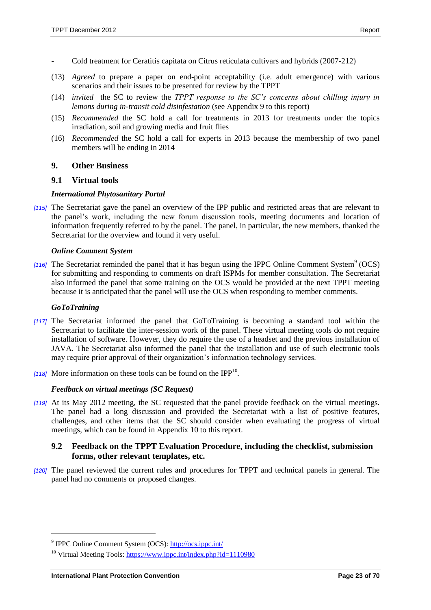- Cold treatment for Ceratitis capitata on Citrus reticulata cultivars and hybrids (2007-212)
- (13) *Agreed* to prepare a paper on end-point acceptability (i.e. adult emergence) with various scenarios and their issues to be presented for review by the TPPT
- (14) *invited* the SC to review the *TPPT response to the SC's concerns about chilling injury in lemons during in-transit cold disinfestation* (see Appendix 9 to this report)
- (15) *Recommended* the SC hold a call for treatments in 2013 for treatments under the topics irradiation, soil and growing media and fruit flies
- (16) *Recommended* the SC hold a call for experts in 2013 because the membership of two panel members will be ending in 2014

# <span id="page-22-0"></span>**9. Other Business**

# <span id="page-22-1"></span>**9.1 Virtual tools**

#### *International Phytosanitary Portal*

*[115]* The Secretariat gave the panel an overview of the IPP public and restricted areas that are relevant to the panel's work, including the new forum discussion tools, meeting documents and location of information frequently referred to by the panel. The panel, in particular, the new members, thanked the Secretariat for the overview and found it very useful.

#### *Online Comment System*

[116] The Secretariat reminded the panel that it has begun using the IPPC [Online Comment System](http://ocs.ippc.int/)<sup>9</sup> (OCS) for submitting and responding to comments on draft ISPMs for member consultation. The Secretariat also informed the panel that some training on the OCS would be provided at the next TPPT meeting because it is anticipated that the panel will use the OCS when responding to member comments.

#### *GoToTraining*

 $\overline{a}$ 

- *[117]* The Secretariat informed the panel that GoToTraining is becoming a standard tool within the Secretariat to facilitate the inter-session work of the panel. These virtual meeting tools do not require installation of software. However, they do require the use of a headset and the previous installation of JAVA. The Secretariat also informed the panel that the installation and use of such electronic tools may require prior approval of their organization's information technology services.
- [118] More information on these tools can be found on the  $IPP^{10}$ .

#### *Feedback on virtual meetings (SC Request)*

*[119]* At its May 2012 meeting, the SC requested that the panel provide feedback on the virtual meetings. The panel had a long discussion and provided the Secretariat with a list of positive features, challenges, and other items that the SC should consider when evaluating the progress of virtual meetings, which can be found in Appendix 10 to this report.

#### <span id="page-22-2"></span>**9.2 Feedback on the TPPT Evaluation Procedure, including the checklist, submission forms, other relevant templates, etc.**

*[120]* The panel reviewed the current rules and procedures for TPPT and technical panels in general. The panel had no comments or proposed changes.

<sup>&</sup>lt;sup>9</sup> IPPC Online Comment System (OCS):<http://ocs.ippc.int/>

<sup>&</sup>lt;sup>10</sup> Virtual Meeting Tools[: https://www.ippc.int/index.php?id=1110980](https://www.ippc.int/index.php?id=1110980)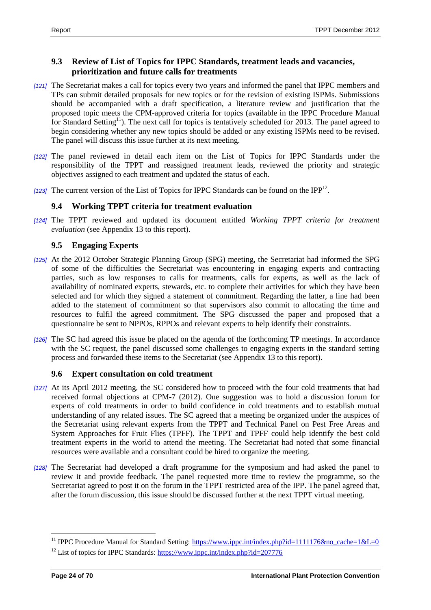# <span id="page-23-0"></span>**9.3 Review of List of Topics for IPPC Standards, treatment leads and vacancies, prioritization and future calls for treatments**

- *[121]* The Secretariat makes a call for topics every two years and informed the panel that IPPC members and [TPs](https://www.ippc.int/index.php?id=179728) can submit detailed proposals for new topics or for the revision of existing ISPMs. Submissions should be accompanied with a draft specification, a literature review and justification that the proposed topic meets the CPM-approved criteria for topics (available in the [IPPC Procedure Manual](https://www.ippc.int/index.php?id=159891) for Standard Setting<sup>11</sup>). The next call for topics is tentatively scheduled for 2013. The panel agreed to begin considering whether any new topics should be added or any existing ISPMs need to be revised. The panel will discuss this issue further at its next meeting.
- *[122]* The panel reviewed in detail each item on the List of Topics for IPPC Standards under the responsibility of the TPPT and reassigned treatment leads, reviewed the priority and strategic objectives assigned to each treatment and updated the status of each.
- [123] The current version of the List of Topics for IPPC Standards can be found on the IPP<sup>12</sup>.

# <span id="page-23-1"></span>**9.4 Working TPPT criteria for treatment evaluation**

*[124]* The TPPT reviewed and updated its document entitled *Working TPPT criteria for treatment evaluation* (see Appendix 13 to this report).

# <span id="page-23-2"></span>**9.5 Engaging Experts**

- *[125]* At the 2012 October Strategic Planning Group (SPG) meeting, the Secretariat had informed the SPG of some of the difficulties the Secretariat was encountering in engaging experts and contracting parties, such as low responses to calls for treatments, calls for experts, as well as the lack of availability of nominated experts, stewards, etc. to complete their activities for which they have been selected and for which they signed a statement of commitment. Regarding the latter, a line had been added to the statement of commitment so that supervisors also commit to allocating the time and resources to fulfil the agreed commitment. The SPG discussed the paper and proposed that a questionnaire be sent to NPPOs, RPPOs and relevant experts to help identify their constraints.
- *[126]* The SC had agreed this issue be placed on the agenda of the forthcoming TP meetings. In accordance with the SC request, the panel discussed some challenges to engaging experts in the standard setting process and forwarded these items to the Secretariat (see Appendix 13 to this report).

# <span id="page-23-3"></span>**9.6 Expert consultation on cold treatment**

- *[127]* At its April 2012 meeting, the SC considered how to proceed with the four cold treatments that had received formal objections at CPM-7 (2012). One suggestion was to hold a discussion forum for experts of cold treatments in order to build confidence in cold treatments and to establish mutual understanding of any related issues. The SC agreed that a meeting be organized under the auspices of the Secretariat using relevant experts from the TPPT and Technical Panel on Pest Free Areas and System Approaches for Fruit Flies (TPFF). The TPPT and TPFF could help identify the best cold treatment experts in the world to attend the meeting. The Secretariat had noted that some financial resources were available and a consultant could be hired to organize the meeting.
- *[128]* The Secretariat had developed a draft programme for the symposium and had asked the panel to review it and provide feedback. The panel requested more time to review the programme, so the Secretariat agreed to post it on the forum in the TPPT restricted area of the IPP. The panel agreed that, after the forum discussion, this issue should be discussed further at the next TPPT virtual meeting.

 $\overline{a}$ 

<sup>&</sup>lt;sup>11</sup> IPPC Procedure Manual for Standard Setting: [https://www.ippc.int/index.php?id=1111176&no\\_cache=1&L=0](https://www.ippc.int/index.php?id=1111176&no_cache=1&L=0)

<sup>&</sup>lt;sup>12</sup> List of topics for IPPC Standards[: https://www.ippc.int/index.php?id=207776](https://www.ippc.int/index.php?id=207776)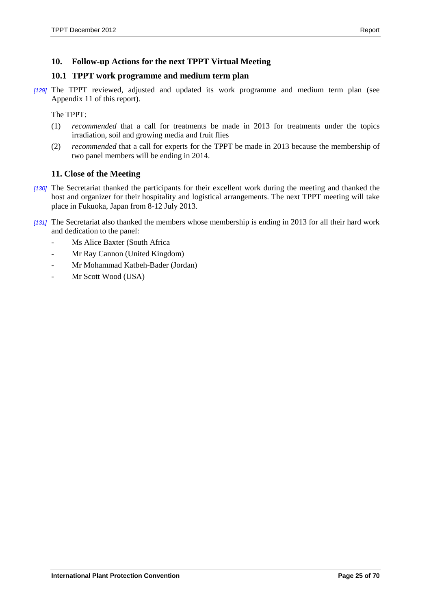# <span id="page-24-0"></span>**10. Follow-up Actions for the next TPPT Virtual Meeting**

#### <span id="page-24-1"></span>**10.1 TPPT work programme and medium term plan**

*[129]* The TPPT reviewed, adjusted and updated its work programme and medium term plan (see Appendix 11 of this report).

The TPPT:

- (1) *recommended* that a call for treatments be made in 2013 for treatments under the topics irradiation, soil and growing media and fruit flies
- (2) *recommended* that a call for experts for the TPPT be made in 2013 because the membership of two panel members will be ending in 2014.

# <span id="page-24-2"></span>**11. Close of the Meeting**

- *[130]* The Secretariat thanked the participants for their excellent work during the meeting and thanked the host and organizer for their hospitality and logistical arrangements. The next TPPT meeting will take place in Fukuoka, Japan from 8-12 July 2013.
- *[131]* The Secretariat also thanked the members whose membership is ending in 2013 for all their hard work and dedication to the panel:
	- Ms Alice Baxter (South Africa
	- Mr Ray Cannon (United Kingdom)
	- Mr Mohammad Katbeh-Bader (Jordan)
	- Mr Scott Wood (USA)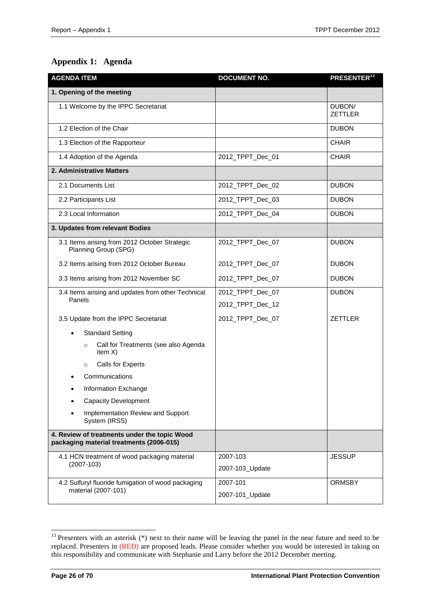# <span id="page-25-0"></span>**Appendix 1: Agenda**

| <b>AGENDA ITEM</b>                                                                       | <b>DOCUMENT NO.</b>                  | PRESENTER <sup>13</sup>  |
|------------------------------------------------------------------------------------------|--------------------------------------|--------------------------|
| 1. Opening of the meeting                                                                |                                      |                          |
| 1.1 Welcome by the IPPC Secretariat                                                      |                                      | DUBON/<br><b>ZETTLER</b> |
| 1.2 Election of the Chair                                                                |                                      | <b>DUBON</b>             |
| 1.3 Election of the Rapporteur                                                           |                                      | <b>CHAIR</b>             |
| 1.4 Adoption of the Agenda                                                               | 2012_TPPT_Dec_01                     | <b>CHAIR</b>             |
| 2. Administrative Matters                                                                |                                      |                          |
| 2.1 Documents List                                                                       | 2012_TPPT_Dec_02                     | <b>DUBON</b>             |
| 2.2 Participants List                                                                    | 2012_TPPT_Dec_03                     | <b>DUBON</b>             |
| 2.3 Local Information                                                                    | 2012_TPPT_Dec_04                     | <b>DUBON</b>             |
| 3. Updates from relevant Bodies                                                          |                                      |                          |
| 3.1 Items arising from 2012 October Strategic<br>Planning Group (SPG)                    | 2012_TPPT_Dec_07                     | <b>DUBON</b>             |
| 3.2 Items arising from 2012 October Bureau                                               | 2012_TPPT_Dec_07                     | <b>DUBON</b>             |
| 3.3 Items arising from 2012 November SC                                                  | 2012_TPPT_Dec_07                     | <b>DUBON</b>             |
| 3.4 Items arising and updates from other Technical<br>Panels                             | 2012_TPPT_Dec_07<br>2012_TPPT_Dec_12 | <b>DUBON</b>             |
| 3.5 Update from the IPPC Secretariat                                                     | 2012_TPPT_Dec_07                     | <b>ZETTLER</b>           |
| <b>Standard Setting</b>                                                                  |                                      |                          |
| Call for Treatments (see also Agenda<br>$\circ$<br>item $X$ )                            |                                      |                          |
| Calls for Experts<br>$\circ$                                                             |                                      |                          |
| Communications                                                                           |                                      |                          |
| Information Exchange                                                                     |                                      |                          |
| <b>Capacity Development</b>                                                              |                                      |                          |
| Implementation Review and Support<br>System (IRSS)                                       |                                      |                          |
| 4. Review of treatments under the topic Wood<br>packaging material treatments (2006-015) |                                      |                          |
| 4.1 HCN treatment of wood packaging material<br>$(2007-103)$                             | 2007-103<br>2007-103_Update          | <b>JESSUP</b>            |
| 4.2 Sulfuryl fluoride fumigation of wood packaging                                       | 2007-101                             | <b>ORMSBY</b>            |
| material (2007-101)                                                                      | 2007-101_Update                      |                          |

l

 $13$  Presenters with an asterisk (\*) next to their name will be leaving the panel in the near future and need to be replaced. Presenters in (RED) are proposed leads. Please consider whether you would be interested in taking on this responsibility and communicate with Stephanie and Larry before the 2012 December meeting.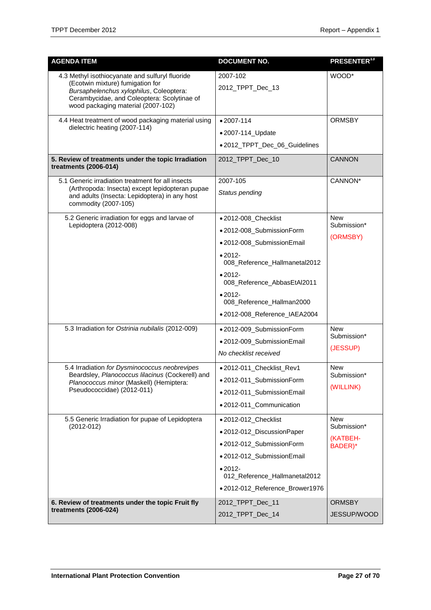| <b>AGENDA ITEM</b>                                                                                                                                                                                                  | <b>DOCUMENT NO.</b>                                                                                                                                                                                                                            | PRESENTER <sup>13</sup>                          |
|---------------------------------------------------------------------------------------------------------------------------------------------------------------------------------------------------------------------|------------------------------------------------------------------------------------------------------------------------------------------------------------------------------------------------------------------------------------------------|--------------------------------------------------|
| 4.3 Methyl isothiocyanate and sulfuryl fluoride<br>(Ecotwin mixture) fumigation for<br>Bursaphelenchus xylophilus, Coleoptera:<br>Cerambycidae, and Coleoptera: Scolytinae of<br>wood packaging material (2007-102) | 2007-102<br>2012_TPPT_Dec_13                                                                                                                                                                                                                   | WOOD*                                            |
| 4.4 Heat treatment of wood packaging material using<br>dielectric heating (2007-114)                                                                                                                                | $• 2007 - 114$<br>•2007-114_Update<br>•2012_TPPT_Dec_06_Guidelines                                                                                                                                                                             | <b>ORMSBY</b>                                    |
| 5. Review of treatments under the topic Irradiation<br>treatments (2006-014)                                                                                                                                        | 2012_TPPT_Dec_10                                                                                                                                                                                                                               | <b>CANNON</b>                                    |
| 5.1 Generic irradiation treatment for all insects<br>(Arthropoda: Insecta) except lepidopteran pupae<br>and adults (Insecta: Lepidoptera) in any host<br>commodity (2007-105)                                       | 2007-105<br>Status pending                                                                                                                                                                                                                     | CANNON*                                          |
| 5.2 Generic irradiation for eggs and larvae of<br>Lepidoptera (2012-008)                                                                                                                                            | ● 2012-008_Checklist<br>·2012-008_SubmissionForm<br>·2012-008_SubmissionEmail<br>$•2012-$<br>008_Reference_Hallmanetal2012<br>$•2012-$<br>008_Reference_AbbasEtAl2011<br>$•2012-$<br>008_Reference_Hallman2000<br>•2012-008_Reference_IAEA2004 | <b>New</b><br>Submission*<br>(ORMSBY)            |
| 5.3 Irradiation for Ostrinia nubilalis (2012-009)                                                                                                                                                                   | ·2012-009_SubmissionForm<br>•2012-009_SubmissionEmail<br>No checklist received                                                                                                                                                                 | <b>New</b><br>Submission*<br>(JESSUP)            |
| 5.4 Irradiation for Dysminococcus neobrevipes<br>Beardsley, Planococcus lilacinus (Cockerell) and<br>Planococcus minor (Maskell) (Hemiptera:<br>Pseudococcidae) (2012-011)                                          | ● 2012-011_Checklist_Rev1<br>·2012-011_SubmissionForm<br>•2012-011_SubmissionEmail<br>•2012-011_Communication                                                                                                                                  | <b>New</b><br>Submission*<br>(WILLINK)           |
| 5.5 Generic Irradiation for pupae of Lepidoptera<br>$(2012 - 012)$                                                                                                                                                  | ● 2012-012_Checklist<br>•2012-012_DiscussionPaper<br>•2012-012_SubmissionForm<br>•2012-012 SubmissionEmail<br>$•2012-$<br>012_Reference_Hallmanetal2012<br>● 2012-012_Reference_Brower1976                                                     | <b>New</b><br>Submission*<br>(KATBEH-<br>BADER)* |
| 6. Review of treatments under the topic Fruit fly<br>treatments (2006-024)                                                                                                                                          | 2012_TPPT_Dec_11<br>2012_TPPT_Dec_14                                                                                                                                                                                                           | <b>ORMSBY</b><br>JESSUP/WOOD                     |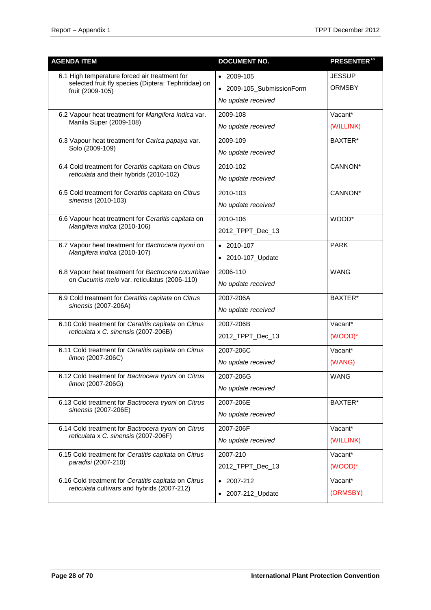| <b>AGENDA ITEM</b>                                                                                                        | <b>DOCUMENT NO.</b>                                                   | <b>PRESENTER<sup>13</sup></b>  |
|---------------------------------------------------------------------------------------------------------------------------|-----------------------------------------------------------------------|--------------------------------|
| 6.1 High temperature forced air treatment for<br>selected fruit fly species (Diptera: Tephritidae) on<br>fruit (2009-105) | $\bullet$ 2009-105<br>• 2009-105_SubmissionForm<br>No update received | <b>JESSUP</b><br><b>ORMSBY</b> |
| 6.2 Vapour heat treatment for Mangifera indica var.<br>Manila Super (2009-108)                                            | 2009-108<br>No update received                                        | Vacant*<br>(WILLINK)           |
| 6.3 Vapour heat treatment for Carica papaya var.<br>Solo (2009-109)                                                       | 2009-109<br>No update received                                        | BAXTER*                        |
| 6.4 Cold treatment for Ceratitis capitata on Citrus<br>reticulata and their hybrids (2010-102)                            | 2010-102<br>No update received                                        | CANNON*                        |
| 6.5 Cold treatment for Ceratitis capitata on Citrus<br>sinensis (2010-103)                                                | 2010-103<br>No update received                                        | CANNON*                        |
| 6.6 Vapour heat treatment for Ceratitis capitata on<br>Mangifera indica (2010-106)                                        | 2010-106<br>2012_TPPT_Dec_13                                          | WOOD*                          |
| 6.7 Vapour heat treatment for Bactrocera tryoni on<br>Mangifera indica (2010-107)                                         | $\bullet$ 2010-107<br>• 2010-107_Update                               | <b>PARK</b>                    |
| 6.8 Vapour heat treatment for Bactrocera cucurbitae<br>on Cucumis melo var. reticulatus (2006-110)                        | 2006-110<br>No update received                                        | <b>WANG</b>                    |
| 6.9 Cold treatment for Ceratitis capitata on Citrus<br>sinensis (2007-206A)                                               | 2007-206A<br>No update received                                       | BAXTER*                        |
| 6.10 Cold treatment for Ceratitis capitata on Citrus<br>reticulata x C. sinensis (2007-206B)                              | 2007-206B<br>2012_TPPT_Dec_13                                         | Vacant*<br>(WOOD)*             |
| 6.11 Cold treatment for Ceratitis capitata on Citrus<br>limon (2007-206C)                                                 | 2007-206C<br>No update received                                       | Vacant*<br>(WANG)              |
| 6.12 Cold treatment for Bactrocera tryoni on Citrus<br>limon (2007-206G)                                                  | 2007-206G<br>No update received                                       | <b>WANG</b>                    |
| 6.13 Cold treatment for Bactrocera tryoni on Citrus<br>sinensis (2007-206E)                                               | 2007-206E<br>No update received                                       | BAXTER*                        |
| 6.14 Cold treatment for Bactrocera tryoni on Citrus<br>reticulata x C. sinensis (2007-206F)                               | 2007-206F<br>No update received                                       | Vacant*<br>(WILLINK)           |
| 6.15 Cold treatment for Ceratitis capitata on Citrus<br>paradisi (2007-210)                                               | 2007-210<br>2012_TPPT_Dec_13                                          | Vacant*<br>(WOOD)*             |
| 6.16 Cold treatment for Ceratitis capitata on Citrus<br>reticulata cultivars and hybrids (2007-212)                       | $\bullet$ 2007-212<br>• 2007-212_Update                               | Vacant*<br>(ORMSBY)            |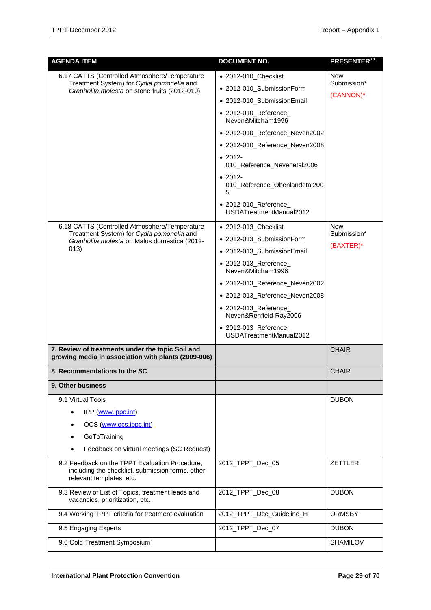| <b>AGENDA ITEM</b>                                                                                                             | <b>DOCUMENT NO.</b>                                   | <b>PRESENTER<sup>13</sup></b> |
|--------------------------------------------------------------------------------------------------------------------------------|-------------------------------------------------------|-------------------------------|
| 6.17 CATTS (Controlled Atmosphere/Temperature                                                                                  | • 2012-010_Checklist                                  | New<br>Submission*            |
| Treatment System) for Cydia pomonella and<br>Grapholita molesta on stone fruits (2012-010)                                     | • 2012-010_SubmissionForm                             |                               |
|                                                                                                                                | • 2012-010_SubmissionEmail                            | (CANNON)*                     |
|                                                                                                                                | • 2012-010_Reference_<br>Neven&Mitcham1996            |                               |
|                                                                                                                                | • 2012-010_Reference_Neven2002                        |                               |
|                                                                                                                                | • 2012-010_Reference_Neven2008                        |                               |
|                                                                                                                                | $\bullet$ 2012-<br>010_Reference_Nevenetal2006        |                               |
|                                                                                                                                | $\bullet$ 2012-<br>010_Reference_Obenlandetal200<br>5 |                               |
|                                                                                                                                | • 2012-010_Reference_<br>USDATreatmentManual2012      |                               |
| 6.18 CATTS (Controlled Atmosphere/Temperature                                                                                  | • 2012-013_Checklist                                  | New                           |
| Treatment System) for Cydia pomonella and<br>Grapholita molesta on Malus domestica (2012-                                      | • 2012-013_SubmissionForm                             | Submission*<br>$(BAXTER)^*$   |
| 013)                                                                                                                           | • 2012-013_SubmissionEmail                            |                               |
|                                                                                                                                | • 2012-013_Reference_<br>Neven&Mitcham1996            |                               |
|                                                                                                                                | • 2012-013_Reference_Neven2002                        |                               |
|                                                                                                                                | • 2012-013_Reference_Neven2008                        |                               |
|                                                                                                                                | • 2012-013_Reference_<br>Neven&Rehfield-Ray2006       |                               |
|                                                                                                                                | • 2012-013_Reference_<br>USDATreatmentManual2012      |                               |
| 7. Review of treatments under the topic Soil and<br>growing media in association with plants (2009-006)                        |                                                       | <b>CHAIR</b>                  |
| 8. Recommendations to the SC                                                                                                   |                                                       | <b>CHAIR</b>                  |
| 9. Other business                                                                                                              |                                                       |                               |
| 9.1 Virtual Tools                                                                                                              |                                                       | <b>DUBON</b>                  |
| IPP (www.ippc.int)                                                                                                             |                                                       |                               |
| OCS (www.ocs.ippc.int)                                                                                                         |                                                       |                               |
| GoToTraining                                                                                                                   |                                                       |                               |
| Feedback on virtual meetings (SC Request)                                                                                      |                                                       |                               |
| 9.2 Feedback on the TPPT Evaluation Procedure,<br>including the checklist, submission forms, other<br>relevant templates, etc. | 2012_TPPT_Dec_05                                      | <b>ZETTLER</b>                |
| 9.3 Review of List of Topics, treatment leads and<br>vacancies, prioritization, etc.                                           | 2012_TPPT_Dec_08                                      | <b>DUBON</b>                  |
| 9.4 Working TPPT criteria for treatment evaluation                                                                             | 2012_TPPT_Dec_Guideline_H                             | <b>ORMSBY</b>                 |
| 9.5 Engaging Experts                                                                                                           | 2012_TPPT_Dec_07                                      | <b>DUBON</b>                  |
| 9.6 Cold Treatment Symposium`                                                                                                  |                                                       | <b>SHAMILOV</b>               |
|                                                                                                                                |                                                       |                               |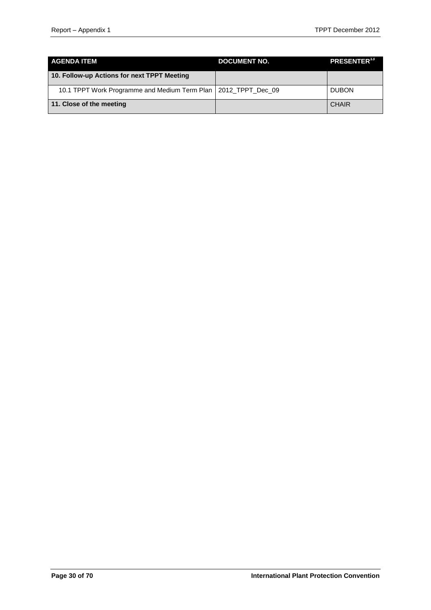| <b>AGENDA ITEM</b>                                               | <b>DOCUMENT NO.</b> | <b>PRESENTER<sup>13</sup></b> |
|------------------------------------------------------------------|---------------------|-------------------------------|
| 10. Follow-up Actions for next TPPT Meeting                      |                     |                               |
| 10.1 TPPT Work Programme and Medium Term Plan   2012 TPPT Dec 09 |                     | <b>DUBON</b>                  |
| 11. Close of the meeting                                         |                     | <b>CHAIR</b>                  |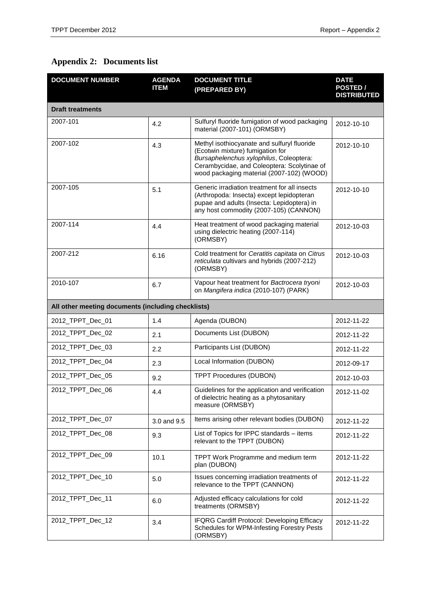# <span id="page-30-0"></span>**Appendix 2: Documents list**

| <b>DOCUMENT NUMBER</b>                             | <b>AGENDA</b><br><b>ITEM</b> | <b>DOCUMENT TITLE</b><br>(PREPARED BY)                                                                                                                                                                                 | <b>DATE</b><br>POSTED /<br><b>DISTRIBUTED</b> |  |  |  |  |
|----------------------------------------------------|------------------------------|------------------------------------------------------------------------------------------------------------------------------------------------------------------------------------------------------------------------|-----------------------------------------------|--|--|--|--|
| <b>Draft treatments</b>                            |                              |                                                                                                                                                                                                                        |                                               |  |  |  |  |
| 2007-101                                           | 4.2                          | Sulfuryl fluoride fumigation of wood packaging<br>material (2007-101) (ORMSBY)                                                                                                                                         | 2012-10-10                                    |  |  |  |  |
| 2007-102                                           | 4.3                          | Methyl isothiocyanate and sulfuryl fluoride<br>(Ecotwin mixture) fumigation for<br>Bursaphelenchus xylophilus, Coleoptera:<br>Cerambycidae, and Coleoptera: Scolytinae of<br>wood packaging material (2007-102) (WOOD) | 2012-10-10                                    |  |  |  |  |
| 2007-105                                           | 5.1                          | Generic irradiation treatment for all insects<br>(Arthropoda: Insecta) except lepidopteran<br>pupae and adults (Insecta: Lepidoptera) in<br>any host commodity (2007-105) (CANNON)                                     | 2012-10-10                                    |  |  |  |  |
| 2007-114                                           | 4.4                          | Heat treatment of wood packaging material<br>using dielectric heating (2007-114)<br>(ORMSBY)                                                                                                                           | 2012-10-03                                    |  |  |  |  |
| 2007-212                                           | 6.16                         | Cold treatment for Ceratitis capitata on Citrus<br>reticulata cultivars and hybrids (2007-212)<br>(ORMSBY)                                                                                                             | 2012-10-03                                    |  |  |  |  |
| 2010-107                                           | 6.7                          | Vapour heat treatment for Bactrocera tryoni<br>on Mangifera indica (2010-107) (PARK)                                                                                                                                   | 2012-10-03                                    |  |  |  |  |
| All other meeting documents (including checklists) |                              |                                                                                                                                                                                                                        |                                               |  |  |  |  |
| 2012_TPPT_Dec_01                                   | 1.4                          | Agenda (DUBON)                                                                                                                                                                                                         | 2012-11-22                                    |  |  |  |  |
| 2012_TPPT_Dec_02                                   | 2.1                          | Documents List (DUBON)                                                                                                                                                                                                 | 2012-11-22                                    |  |  |  |  |
| 2012_TPPT_Dec_03                                   | 2.2                          | Participants List (DUBON)                                                                                                                                                                                              | 2012-11-22                                    |  |  |  |  |
| 2012_TPPT_Dec_04                                   | 2.3                          | Local Information (DUBON)                                                                                                                                                                                              | 2012-09-17                                    |  |  |  |  |
| 2012_TPPT_Dec_05                                   | 9.2                          | <b>TPPT Procedures (DUBON)</b>                                                                                                                                                                                         | 2012-10-03                                    |  |  |  |  |
| 2012 TPPT Dec 06                                   | 4.4                          | Guidelines for the application and verification<br>of dielectric heating as a phytosanitary<br>measure (ORMSBY)                                                                                                        | 2012-11-02                                    |  |  |  |  |
| 2012_TPPT_Dec_07                                   | 3.0 and 9.5                  | Items arising other relevant bodies (DUBON)                                                                                                                                                                            | 2012-11-22                                    |  |  |  |  |
| 2012 TPPT Dec 08                                   | 9.3                          | List of Topics for IPPC standards - items<br>relevant to the TPPT (DUBON)                                                                                                                                              | 2012-11-22                                    |  |  |  |  |
| 2012 TPPT Dec 09                                   | 10.1                         | TPPT Work Programme and medium term<br>plan (DUBON)                                                                                                                                                                    | 2012-11-22                                    |  |  |  |  |
| 2012_TPPT_Dec_10                                   | 5.0                          | Issues concerning irradiation treatments of<br>relevance to the TPPT (CANNON)                                                                                                                                          | 2012-11-22                                    |  |  |  |  |
| 2012_TPPT_Dec_11                                   | 6.0                          | Adjusted efficacy calculations for cold<br>treatments (ORMSBY)                                                                                                                                                         | 2012-11-22                                    |  |  |  |  |
| 2012_TPPT_Dec_12                                   | 3.4                          | <b>IFQRG Cardiff Protocol: Developing Efficacy</b><br>Schedules for WPM-Infesting Forestry Pests<br>(ORMSBY)                                                                                                           | 2012-11-22                                    |  |  |  |  |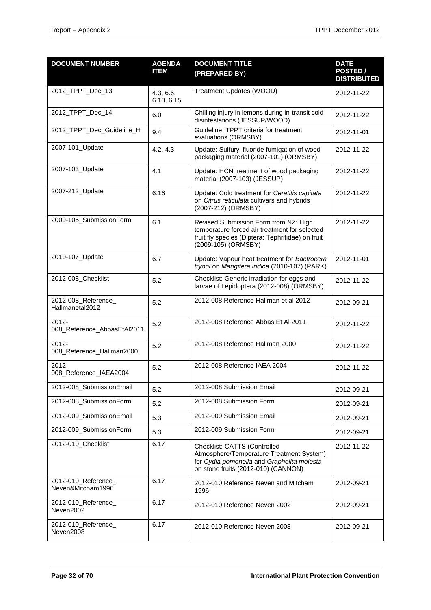| <b>DOCUMENT NUMBER</b>                   | <b>AGENDA</b><br><b>ITEM</b> | <b>DOCUMENT TITLE</b><br>(PREPARED BY)                                                                                                                             | <b>DATE</b><br>POSTED /<br><b>DISTRIBUTED</b> |
|------------------------------------------|------------------------------|--------------------------------------------------------------------------------------------------------------------------------------------------------------------|-----------------------------------------------|
| 2012_TPPT_Dec_13                         | 4.3, 6.6,<br>6.10, 6.15      | Treatment Updates (WOOD)                                                                                                                                           | 2012-11-22                                    |
| 2012_TPPT_Dec_14                         | 6.0                          | Chilling injury in lemons during in-transit cold<br>disinfestations (JESSUP/WOOD)                                                                                  | 2012-11-22                                    |
| 2012_TPPT_Dec_Guideline_H                | 9.4                          | Guideline: TPPT criteria for treatment<br>evaluations (ORMSBY)                                                                                                     | 2012-11-01                                    |
| 2007-101_Update                          | 4.2, 4.3                     | Update: Sulfuryl fluoride fumigation of wood<br>packaging material (2007-101) (ORMSBY)                                                                             | 2012-11-22                                    |
| 2007-103_Update                          | 4.1                          | Update: HCN treatment of wood packaging<br>material (2007-103) (JESSUP)                                                                                            | 2012-11-22                                    |
| 2007-212_Update                          | 6.16                         | Update: Cold treatment for Ceratitis capitata<br>on Citrus reticulata cultivars and hybrids<br>(2007-212) (ORMSBY)                                                 | 2012-11-22                                    |
| 2009-105_SubmissionForm                  | 6.1                          | Revised Submission Form from NZ: High<br>temperature forced air treatment for selected<br>fruit fly species (Diptera: Tephritidae) on fruit<br>(2009-105) (ORMSBY) | 2012-11-22                                    |
| 2010-107_Update                          | 6.7                          | Update: Vapour heat treatment for Bactrocera<br>tryoni on Mangifera indica (2010-107) (PARK)                                                                       | 2012-11-01                                    |
| 2012-008_Checklist                       | 5.2                          | Checklist: Generic irradiation for eggs and<br>larvae of Lepidoptera (2012-008) (ORMSBY)                                                                           | 2012-11-22                                    |
| 2012-008_Reference_<br>Hallmanetal2012   | 5.2                          | 2012-008 Reference Hallman et al 2012                                                                                                                              | 2012-09-21                                    |
| $2012 -$<br>008_Reference_AbbasEtAl2011  | 5.2                          | 2012-008 Reference Abbas Et Al 2011                                                                                                                                | 2012-11-22                                    |
| $2012 -$<br>008_Reference_Hallman2000    | 5.2                          | 2012-008 Reference Hallman 2000                                                                                                                                    | 2012-11-22                                    |
| $2012 -$<br>008_Reference_IAEA2004       | 5.2                          | 2012-008 Reference IAEA 2004                                                                                                                                       | 2012-11-22                                    |
| 2012-008_SubmissionEmail                 | 5.2                          | 2012-008 Submission Email                                                                                                                                          | 2012-09-21                                    |
| 2012-008_SubmissionForm                  | 5.2                          | 2012-008 Submission Form                                                                                                                                           | 2012-09-21                                    |
| 2012-009_SubmissionEmail                 | 5.3                          | 2012-009 Submission Email                                                                                                                                          | 2012-09-21                                    |
| 2012-009 SubmissionForm                  | 5.3                          | 2012-009 Submission Form                                                                                                                                           | 2012-09-21                                    |
| 2012-010_Checklist                       | 6.17                         | Checklist: CATTS (Controlled<br>Atmosphere/Temperature Treatment System)<br>for Cydia pomonella and Grapholita molesta<br>on stone fruits (2012-010) (CANNON)      | 2012-11-22                                    |
| 2012-010_Reference_<br>Neven&Mitcham1996 | 6.17                         | 2012-010 Reference Neven and Mitcham<br>1996                                                                                                                       | 2012-09-21                                    |
| 2012-010_Reference_<br>Neven2002         | 6.17                         | 2012-010 Reference Neven 2002                                                                                                                                      | 2012-09-21                                    |
| 2012-010_Reference_<br>Neven2008         | 6.17                         | 2012-010 Reference Neven 2008                                                                                                                                      | 2012-09-21                                    |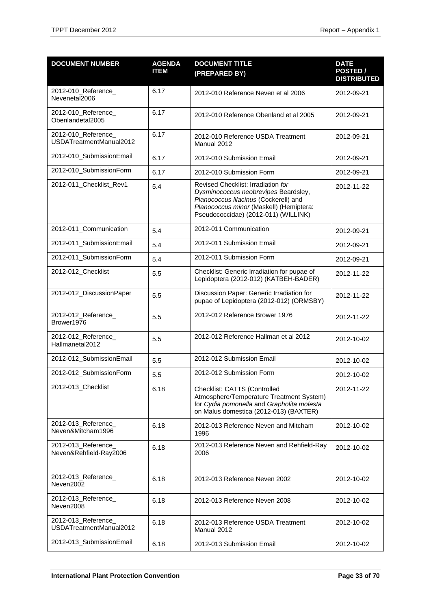| <b>DOCUMENT NUMBER</b>                         | <b>AGENDA</b><br><b>ITEM</b> | <b>DOCUMENT TITLE</b><br>(PREPARED BY)                                                                                                                                                                 | <b>DATE</b><br>POSTED /<br><b>DISTRIBUTED</b> |
|------------------------------------------------|------------------------------|--------------------------------------------------------------------------------------------------------------------------------------------------------------------------------------------------------|-----------------------------------------------|
| 2012-010_Reference_<br>Nevenetal2006           | 6.17                         | 2012-010 Reference Neven et al 2006                                                                                                                                                                    | 2012-09-21                                    |
| 2012-010_Reference_<br>Obenlandetal2005        | 6.17                         | 2012-010 Reference Obenland et al 2005                                                                                                                                                                 | 2012-09-21                                    |
| 2012-010_Reference_<br>USDATreatmentManual2012 | 6.17                         | 2012-010 Reference USDA Treatment<br>Manual 2012                                                                                                                                                       | 2012-09-21                                    |
| 2012-010_SubmissionEmail                       | 6.17                         | 2012-010 Submission Email                                                                                                                                                                              | 2012-09-21                                    |
| 2012-010_SubmissionForm                        | 6.17                         | 2012-010 Submission Form                                                                                                                                                                               | 2012-09-21                                    |
| 2012-011_Checklist_Rev1                        | 5.4                          | Revised Checklist: Irradiation for<br>Dysminococcus neobrevipes Beardsley,<br>Planococcus lilacinus (Cockerell) and<br>Planococcus minor (Maskell) (Hemiptera:<br>Pseudococcidae) (2012-011) (WILLINK) | 2012-11-22                                    |
| 2012-011_Communication                         | 5.4                          | 2012-011 Communication                                                                                                                                                                                 | 2012-09-21                                    |
| 2012-011_SubmissionEmail                       | 5.4                          | 2012-011 Submission Email                                                                                                                                                                              | 2012-09-21                                    |
| 2012-011_SubmissionForm                        | 5.4                          | 2012-011 Submission Form                                                                                                                                                                               | 2012-09-21                                    |
| 2012-012_Checklist                             | 5.5                          | Checklist: Generic Irradiation for pupae of<br>Lepidoptera (2012-012) (KATBEH-BADER)                                                                                                                   | 2012-11-22                                    |
| 2012-012_DiscussionPaper                       | 5.5                          | Discussion Paper: Generic Irradiation for<br>pupae of Lepidoptera (2012-012) (ORMSBY)                                                                                                                  | 2012-11-22                                    |
| 2012-012_Reference_<br>Brower1976              | 5.5                          | 2012-012 Reference Brower 1976                                                                                                                                                                         | 2012-11-22                                    |
| 2012-012 Reference<br>Hallmanetal2012          | 5.5                          | 2012-012 Reference Hallman et al 2012                                                                                                                                                                  | 2012-10-02                                    |
| 2012-012_SubmissionEmail                       | 5.5                          | 2012-012 Submission Email                                                                                                                                                                              | 2012-10-02                                    |
| 2012-012_SubmissionForm                        | 5.5                          | 2012-012 Submission Form                                                                                                                                                                               | 2012-10-02                                    |
| 2012-013_Checklist                             | 6.18                         | Checklist: CATTS (Controlled<br>Atmosphere/Temperature Treatment System)<br>for Cydia pomonella and Grapholita molesta<br>on Malus domestica (2012-013) (BAXTER)                                       | 2012-11-22                                    |
| 2012-013_Reference_<br>Neven&Mitcham1996       | 6.18                         | 2012-013 Reference Neven and Mitcham<br>1996                                                                                                                                                           | 2012-10-02                                    |
| 2012-013_Reference_<br>Neven&Rehfield-Ray2006  | 6.18                         | 2012-013 Reference Neven and Rehfield-Ray<br>2006                                                                                                                                                      | 2012-10-02                                    |
| 2012-013_Reference_<br>Neven2002               | 6.18                         | 2012-013 Reference Neven 2002                                                                                                                                                                          | 2012-10-02                                    |
| 2012-013_Reference_<br>Neven2008               | 6.18                         | 2012-013 Reference Neven 2008                                                                                                                                                                          | 2012-10-02                                    |
| 2012-013_Reference_<br>USDATreatmentManual2012 | 6.18                         | 2012-013 Reference USDA Treatment<br>Manual 2012                                                                                                                                                       | 2012-10-02                                    |
| 2012-013_SubmissionEmail                       | 6.18                         | 2012-013 Submission Email                                                                                                                                                                              | 2012-10-02                                    |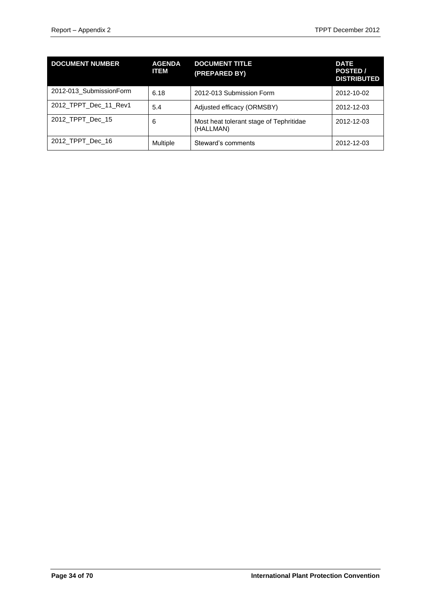| <b>DOCUMENT NUMBER</b>  | <b>AGENDA</b><br><b>ITEM</b> | <b>DOCUMENT TITLE</b><br>(PREPARED BY)               | <b>DATE</b><br>POSTED /<br><b>DISTRIBUTED</b> |
|-------------------------|------------------------------|------------------------------------------------------|-----------------------------------------------|
| 2012-013 SubmissionForm | 6.18                         | 2012-013 Submission Form                             | 2012-10-02                                    |
| 2012_TPPT_Dec_11_Rev1   | 5.4                          | Adjusted efficacy (ORMSBY)                           | 2012-12-03                                    |
| 2012 TPPT Dec 15        | 6                            | Most heat tolerant stage of Tephritidae<br>(HALLMAN) | 2012-12-03                                    |
| 2012_TPPT_Dec_16        | Multiple                     | Steward's comments                                   | 2012-12-03                                    |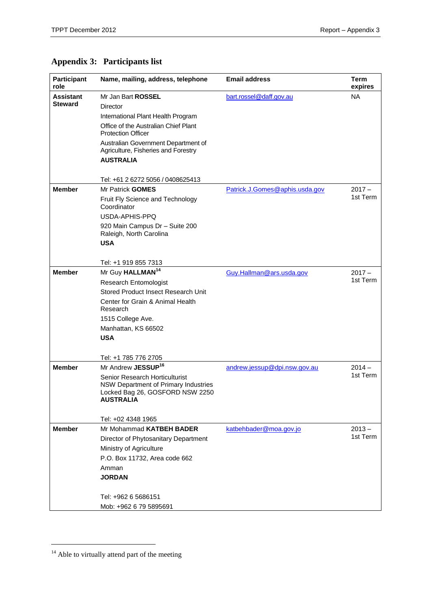# <span id="page-34-0"></span>**Appendix 3: Participants list**

| Participant<br>role | Name, mailing, address, telephone                                                                                             | <b>Email address</b>           | Term<br>expires |
|---------------------|-------------------------------------------------------------------------------------------------------------------------------|--------------------------------|-----------------|
| Assistant           | Mr Jan Bart ROSSEL                                                                                                            | bart.rossel@daff.gov.au        | <b>NA</b>       |
| <b>Steward</b>      | Director                                                                                                                      |                                |                 |
|                     | International Plant Health Program                                                                                            |                                |                 |
|                     | Office of the Australian Chief Plant<br><b>Protection Officer</b>                                                             |                                |                 |
|                     | Australian Government Department of<br>Agriculture, Fisheries and Forestry<br><b>AUSTRALIA</b>                                |                                |                 |
|                     | Tel: +61 2 6272 5056 / 0408625413                                                                                             |                                |                 |
| <b>Member</b>       | Mr Patrick GOMES                                                                                                              | Patrick.J.Gomes@aphis.usda.gov | $2017 -$        |
|                     | Fruit Fly Science and Technology<br>Coordinator                                                                               |                                | 1st Term        |
|                     | USDA-APHIS-PPQ                                                                                                                |                                |                 |
|                     | 920 Main Campus Dr - Suite 200<br>Raleigh, North Carolina                                                                     |                                |                 |
|                     | <b>USA</b>                                                                                                                    |                                |                 |
|                     | Tel: +1 919 855 7313                                                                                                          |                                |                 |
| <b>Member</b>       | Mr Guy HALLMAN <sup>14</sup>                                                                                                  | Guy.Hallman@ars.usda.gov       | $2017 -$        |
|                     | <b>Research Entomologist</b>                                                                                                  |                                | 1st Term        |
|                     | Stored Product Insect Research Unit                                                                                           |                                |                 |
|                     | Center for Grain & Animal Health<br>Research                                                                                  |                                |                 |
|                     | 1515 College Ave.                                                                                                             |                                |                 |
|                     | Manhattan, KS 66502                                                                                                           |                                |                 |
|                     | <b>USA</b>                                                                                                                    |                                |                 |
|                     | Tel: +1 785 776 2705                                                                                                          |                                |                 |
| <b>Member</b>       | Mr Andrew JESSUP <sup>16</sup>                                                                                                | andrew.jessup@dpi.nsw.gov.au   | $2014 -$        |
|                     | Senior Research Horticulturist<br>NSW Department of Primary Industries<br>Locked Bag 26, GOSFORD NSW 2250<br><b>AUSTRALIA</b> |                                | 1st Term        |
|                     | Tel: +02 4348 1965                                                                                                            |                                |                 |
| <b>Member</b>       | Mr Mohammad KATBEH BADER                                                                                                      | katbehbader@moa.gov.jo         | $2013 -$        |
|                     | Director of Phytosanitary Department                                                                                          |                                | 1st Term        |
|                     | Ministry of Agriculture                                                                                                       |                                |                 |
|                     | P.O. Box 11732, Area code 662                                                                                                 |                                |                 |
|                     | Amman<br><b>JORDAN</b>                                                                                                        |                                |                 |
|                     | Tel: +962 6 5686151                                                                                                           |                                |                 |
|                     | Mob: +962 6 79 5895691                                                                                                        |                                |                 |

 $\overline{a}$ 

 $14$  Able to virtually attend part of the meeting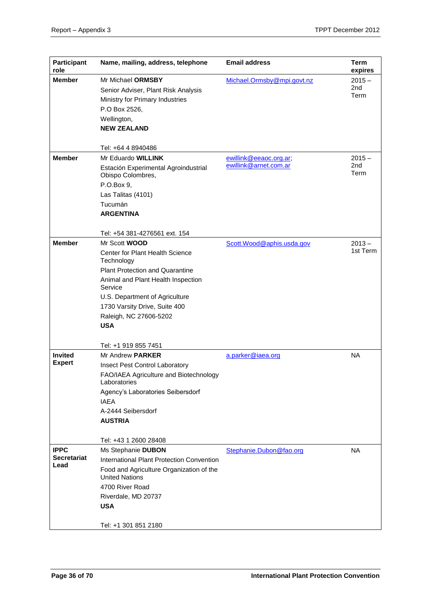| <b>Participant</b><br>role | Name, mailing, address, telephone                                                                            | <b>Email address</b>                            | Term<br>expires         |
|----------------------------|--------------------------------------------------------------------------------------------------------------|-------------------------------------------------|-------------------------|
| <b>Member</b>              | Mr Michael ORMSBY<br>Senior Adviser, Plant Risk Analysis<br>Ministry for Primary Industries<br>P.O Box 2526, | Michael.Ormsby@mpi.govt.nz                      | $2015 -$<br>2nd<br>Term |
|                            | Wellington,<br><b>NEW ZEALAND</b>                                                                            |                                                 |                         |
|                            | Tel: +64 4 8940486                                                                                           |                                                 |                         |
| <b>Member</b>              | Mr Eduardo WILLINK<br>Estación Experimental Agroindustrial<br>Obispo Colombres,                              | ewillink@eeaoc.org.ar;<br>ewillink@arnet.com.ar | $2015 -$<br>2nd<br>Term |
|                            | P.O.Box 9,<br>Las Talitas (4101)                                                                             |                                                 |                         |
|                            | Tucumán<br><b>ARGENTINA</b>                                                                                  |                                                 |                         |
|                            | Tel: +54 381-4276561 ext. 154                                                                                |                                                 |                         |
| <b>Member</b>              | Mr Scott <b>WOOD</b>                                                                                         | Scott.Wood@aphis.usda.gov                       | $2013 -$                |
|                            | Center for Plant Health Science<br>Technology                                                                |                                                 | 1st Term                |
|                            | <b>Plant Protection and Quarantine</b>                                                                       |                                                 |                         |
|                            | Animal and Plant Health Inspection<br>Service                                                                |                                                 |                         |
|                            | U.S. Department of Agriculture                                                                               |                                                 |                         |
|                            | 1730 Varsity Drive, Suite 400                                                                                |                                                 |                         |
|                            | Raleigh, NC 27606-5202                                                                                       |                                                 |                         |
|                            | <b>USA</b>                                                                                                   |                                                 |                         |
|                            | Tel: +1 919 855 7451                                                                                         |                                                 |                         |
| <b>Invited</b>             | Mr Andrew PARKER                                                                                             | a.parker@iaea.org                               | <b>NA</b>               |
| <b>Expert</b>              | Insect Pest Control Laboratory                                                                               |                                                 |                         |
|                            | FAO/IAEA Agriculture and Biotechnology<br>Laboratories                                                       |                                                 |                         |
|                            | Agency's Laboratories Seibersdorf<br><b>IAEA</b>                                                             |                                                 |                         |
|                            | A-2444 Seibersdorf                                                                                           |                                                 |                         |
|                            | <b>AUSTRIA</b>                                                                                               |                                                 |                         |
|                            | Tel: +43 1 2600 28408                                                                                        |                                                 |                         |
| <b>IPPC</b>                | Ms Stephanie DUBON                                                                                           | Stephanie.Dubon@fao.org                         | <b>NA</b>               |
| <b>Secretariat</b>         | International Plant Protection Convention                                                                    |                                                 |                         |
| Lead                       | Food and Agriculture Organization of the<br><b>United Nations</b>                                            |                                                 |                         |
|                            | 4700 River Road                                                                                              |                                                 |                         |
|                            | Riverdale, MD 20737                                                                                          |                                                 |                         |
|                            | <b>USA</b>                                                                                                   |                                                 |                         |
|                            | Tel: +1 301 851 2180                                                                                         |                                                 |                         |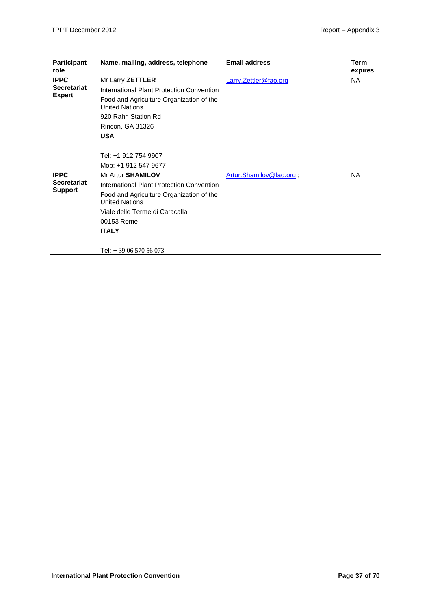| <b>Participant</b><br>role | Name, mailing, address, telephone                                 | <b>Email address</b>    | Term<br>expires |
|----------------------------|-------------------------------------------------------------------|-------------------------|-----------------|
| <b>IPPC</b>                | Mr Larry ZETTLER                                                  | Larry.Zettler@fao.org   | <b>NA</b>       |
| <b>Secretariat</b>         | International Plant Protection Convention                         |                         |                 |
| <b>Expert</b>              | Food and Agriculture Organization of the<br><b>United Nations</b> |                         |                 |
|                            | 920 Rahn Station Rd                                               |                         |                 |
|                            | Rincon, GA 31326                                                  |                         |                 |
|                            | <b>USA</b>                                                        |                         |                 |
|                            |                                                                   |                         |                 |
|                            | Tel: +1 912 754 9907                                              |                         |                 |
|                            | Mob: +1 912 547 9677                                              |                         |                 |
| <b>IPPC</b>                | Mr Artur SHAMILOV                                                 | Artur.Shamilov@fao.org, | <b>NA</b>       |
| Secretariat                | International Plant Protection Convention                         |                         |                 |
| <b>Support</b>             | Food and Agriculture Organization of the<br><b>United Nations</b> |                         |                 |
|                            | Viale delle Terme di Caracalla                                    |                         |                 |
|                            | 00153 Rome                                                        |                         |                 |
|                            | <b>ITALY</b>                                                      |                         |                 |
|                            |                                                                   |                         |                 |
|                            | Tel: +39 06 570 56 073                                            |                         |                 |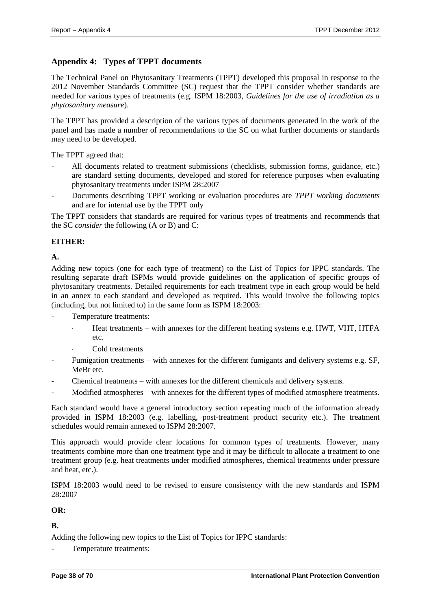# <span id="page-37-0"></span>**Appendix 4: Types of TPPT documents**

The Technical Panel on Phytosanitary Treatments (TPPT) developed this proposal in response to the 2012 November Standards Committee (SC) request that the TPPT consider whether standards are needed for various types of treatments (e.g. ISPM 18:2003, *Guidelines for the use of irradiation as a phytosanitary measure*).

The TPPT has provided a description of the various types of documents generated in the work of the panel and has made a number of recommendations to the SC on what further documents or standards may need to be developed.

The TPPT agreed that:

- All documents related to treatment submissions (checklists, submission forms, guidance, etc.) are standard setting documents, developed and stored for reference purposes when evaluating phytosanitary treatments under ISPM 28:2007
- Documents describing TPPT working or evaluation procedures are *TPPT working documents* and are for internal use by the TPPT only

The TPPT considers that standards are required for various types of treatments and recommends that the SC *consider* the following (A or B) and C:

#### **EITHER:**

**A.**

Adding new topics (one for each type of treatment) to the List of Topics for IPPC standards. The resulting separate draft ISPMs would provide guidelines on the application of specific groups of phytosanitary treatments. Detailed requirements for each treatment type in each group would be held in an annex to each standard and developed as required. This would involve the following topics (including, but not limited to) in the same form as ISPM 18:2003:

Temperature treatments:

- Heat treatments with annexes for the different heating systems e.g. HWT, VHT, HTFA etc.
- Cold treatments
- Fumigation treatments with annexes for the different fumigants and delivery systems e.g. SF, MeBr etc.
- Chemical treatments with annexes for the different chemicals and delivery systems.
- Modified atmospheres with annexes for the different types of modified atmosphere treatments.

Each standard would have a general introductory section repeating much of the information already provided in ISPM 18:2003 (e.g. labelling, post-treatment product security etc.). The treatment schedules would remain annexed to ISPM 28:2007.

This approach would provide clear locations for common types of treatments. However, many treatments combine more than one treatment type and it may be difficult to allocate a treatment to one treatment group (e.g. heat treatments under modified atmospheres, chemical treatments under pressure and heat, etc.).

ISPM 18:2003 would need to be revised to ensure consistency with the new standards and ISPM 28:2007

#### **OR:**

**B.**

Adding the following new topics to the List of Topics for IPPC standards:

Temperature treatments: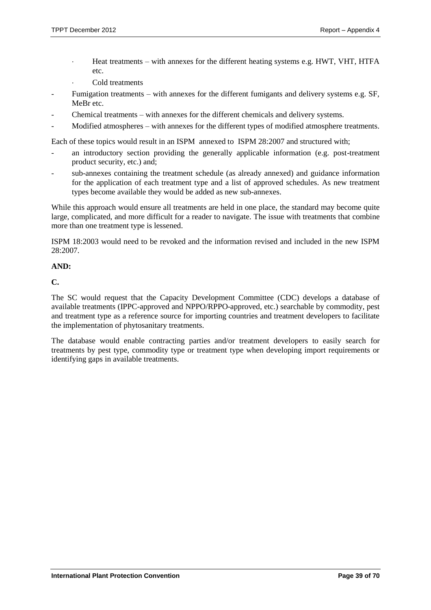- Heat treatments with annexes for the different heating systems e.g. HWT, VHT, HTFA etc.
- Cold treatments
- Fumigation treatments with annexes for the different fumigants and delivery systems e.g. SF, MeBr etc.
- Chemical treatments with annexes for the different chemicals and delivery systems.
- Modified atmospheres with annexes for the different types of modified atmosphere treatments.

Each of these topics would result in an ISPM annexed to ISPM 28:2007 and structured with;

- an introductory section providing the generally applicable information (e.g. post-treatment product security, etc.) and;
- sub-annexes containing the treatment schedule (as already annexed) and guidance information for the application of each treatment type and a list of approved schedules. As new treatment types become available they would be added as new sub-annexes.

While this approach would ensure all treatments are held in one place, the standard may become quite large, complicated, and more difficult for a reader to navigate. The issue with treatments that combine more than one treatment type is lessened.

ISPM 18:2003 would need to be revoked and the information revised and included in the new ISPM 28:2007.

#### **AND:**

**C.**

The SC would request that the Capacity Development Committee (CDC) develops a database of available treatments (IPPC-approved and NPPO/RPPO-approved, etc.) searchable by commodity, pest and treatment type as a reference source for importing countries and treatment developers to facilitate the implementation of phytosanitary treatments.

The database would enable contracting parties and/or treatment developers to easily search for treatments by pest type, commodity type or treatment type when developing import requirements or identifying gaps in available treatments.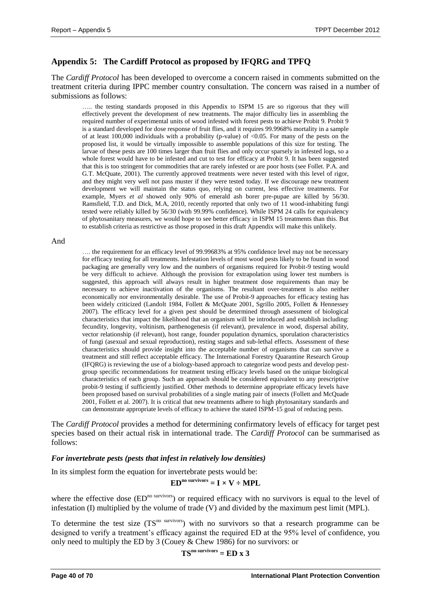# <span id="page-39-0"></span>**Appendix 5: The Cardiff Protocol as proposed by IFQRG and TPFQ**

The *Cardiff Protocol* has been developed to overcome a concern raised in comments submitted on the treatment criteria during IPPC member country consultation. The concern was raised in a number of submissions as follows:

..... the testing standards proposed in this Appendix to ISPM 15 are so rigorous that they will effectively prevent the development of new treatments. The major difficulty lies in assembling the required number of experimental units of wood infested with forest pests to achieve Probit 9. Probit 9 is a standard developed for dose response of fruit flies, and it requires 99.9968% mortality in a sample of at least 100,000 individuals with a probability (p-value) of  $\langle 0.05$ . For many of the pests on the proposed list, it would be virtually impossible to assemble populations of this size for testing. The larvae of these pests are 100 times larger than fruit flies and only occur sparsely in infested logs, so a whole forest would have to be infested and cut to test for efficacy at Probit 9. It has been suggested that this is too stringent for commodities that are rarely infested or are poor hosts (see Follet. P.A. and G.T. McQuate, 2001). The currently approved treatments were never tested with this level of rigor, and they might very well not pass muster if they were tested today. If we discourage new treatment development we will maintain the status quo, relying on current, less effective treatments. For example, Myers *et al* showed only 90% of emerald ash borer pre-pupae are killed by 56/30. Ramsfield, T.D. and Dick, M.A, 2010, recently reported that only two of 11 wood-inhabiting fungi tested were reliably killed by 56/30 (with 99.99% confidence). While ISPM 24 calls for equivalency of phytosanitary measures, we would hope to see better efficacy in ISPM 15 treatments than this. But to establish criteria as restrictive as those proposed in this draft Appendix will make this unlikely.

#### And

…. the requirement for an efficacy level of 99.99683% at 95% confidence level may not be necessary for efficacy testing for all treatments. Infestation levels of most wood pests likely to be found in wood packaging are generally very low and the numbers of organisms required for Probit-9 testing would be very difficult to achieve. Although the provision for extrapolation using lower test numbers is suggested, this approach will always result in higher treatment dose requirements than may be necessary to achieve inactivation of the organisms. The resultant over-treatment is also neither economically nor environmentally desirable. The use of Probit-9 approaches for efficacy testing has been widely criticized (Landolt 1984, Follett & McQuate 2001, Sgrillo 2005, Follett & Hennessey 2007). The efficacy level for a given pest should be determined through assessment of biological characteristics that impact the likelihood that an organism will be introduced and establish including: fecundity, longevity, voltinism, parthenogenesis (if relevant), prevalence in wood, dispersal ability, vector relationship (if relevant), host range, founder population dynamics, sporulation characteristics of fungi (asexual and sexual reproduction), resting stages and sub-lethal effects. Assessment of these characteristics should provide insight into the acceptable number of organisms that can survive a treatment and still reflect acceptable efficacy. The International Forestry Quarantine Research Group (IFQRG) is reviewing the use of a biology-based approach to categorize wood pests and develop pestgroup specific recommendations for treatment testing efficacy levels based on the unique biological characteristics of each group. Such an approach should be considered equivalent to any prescriptive probit-9 testing if sufficiently justified. Other methods to determine appropriate efficacy levels have been proposed based on survival probabilities of a single mating pair of insects (Follett and McQuade 2001, Follett et al. 2007). It is critical that new treatments adhere to high phytosanitary standards and can demonstrate appropriate levels of efficacy to achieve the stated ISPM-15 goal of reducing pests.

The *Cardiff Protocol* provides a method for determining confirmatory levels of efficacy for target pest species based on their actual risk in international trade. The *Cardiff Protocol* can be summarised as follows:

#### *For invertebrate pests (pests that infest in relatively low densities)*

In its simplest form the equation for invertebrate pests would be:

$$
EDno survivors = I \times V \div MPL
$$

where the effective dose  $(ED<sup>no</sup>$  survivors) or required efficacy with no survivors is equal to the level of infestation (I) multiplied by the volume of trade (V) and divided by the maximum pest limit (MPL).

To determine the test size (TS<sup>no survivors</sup>) with no survivors so that a research programme can be designed to verify a treatment's efficacy against the required ED at the 95% level of confidence, you only need to multiply the ED by 3 (Couey & Chew 1986) for no survivors: or

 $TS<sup>no</sup>$  survivors = ED x 3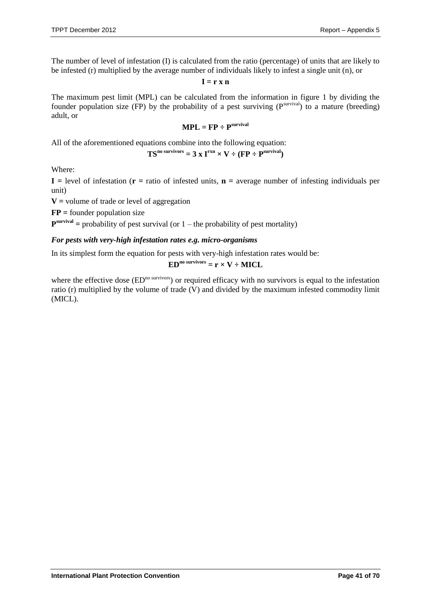The number of level of infestation (I) is calculated from the ratio (percentage) of units that are likely to be infested (r) multiplied by the average number of individuals likely to infest a single unit (n), or

 $I = r x n$ 

The maximum pest limit (MPL) can be calculated from the information in figure 1 by dividing the founder population size (FP) by the probability of a pest surviving  $(P^{survival})$  to a mature (breeding) adult, or

$$
MPL = FP \div P^{survival}
$$

All of the aforementioned equations combine into the following equation:

$$
TS^{no \text{ survives}} = 3 \times I^{rxn} \times V \div (FP \div P^{survival})
$$

Where:

 $I =$  level of infestation ( $r =$  ratio of infested units,  $n =$  average number of infesting individuals per unit)

**V =** volume of trade or level of aggregation

**FP =** founder population size

 $\mathbf{P}^{\text{survival}}$  = probability of pest survival (or  $1$  – the probability of pest mortality)

#### *For pests with very-high infestation rates e.g. micro-organisms*

In its simplest form the equation for pests with very-high infestation rates would be:

 $ED<sup>no</sup>$  survivors =  $r \times V \div MICL$ 

where the effective dose  $(ED<sup>no survivors</sup>)$  or required efficacy with no survivors is equal to the infestation ratio (r) multiplied by the volume of trade  $\overline{V}$  and divided by the maximum infested commodity limit (MICL).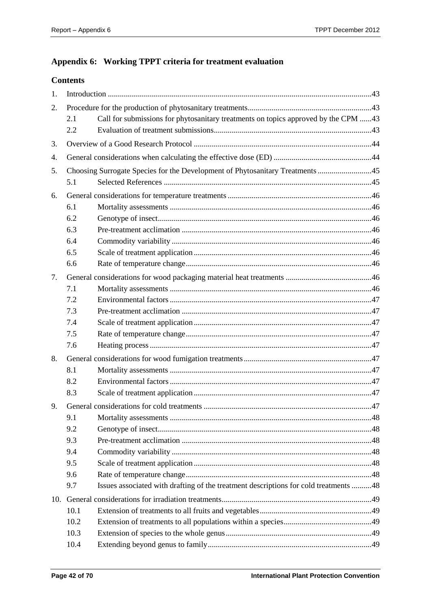# <span id="page-41-0"></span>**Appendix 6: Working TPPT criteria for treatment evaluation**

# **Contents**

| 1. |      |                                                                                      |  |
|----|------|--------------------------------------------------------------------------------------|--|
| 2. |      |                                                                                      |  |
|    | 2.1  | Call for submissions for phytosanitary treatments on topics approved by the CPM 43   |  |
|    | 2.2  |                                                                                      |  |
| 3. |      |                                                                                      |  |
| 4. |      |                                                                                      |  |
| 5. |      |                                                                                      |  |
|    | 5.1  |                                                                                      |  |
| 6. |      |                                                                                      |  |
|    | 6.1  |                                                                                      |  |
|    | 6.2  |                                                                                      |  |
|    | 6.3  |                                                                                      |  |
|    | 6.4  |                                                                                      |  |
|    | 6.5  |                                                                                      |  |
|    | 6.6  |                                                                                      |  |
| 7. |      |                                                                                      |  |
|    | 7.1  |                                                                                      |  |
|    | 7.2  |                                                                                      |  |
|    | 7.3  |                                                                                      |  |
|    | 7.4  |                                                                                      |  |
|    | 7.5  |                                                                                      |  |
|    | 7.6  |                                                                                      |  |
| 8. |      |                                                                                      |  |
|    | 8.1  |                                                                                      |  |
|    | 8.2  |                                                                                      |  |
|    | 8.3  |                                                                                      |  |
| 9. |      |                                                                                      |  |
|    | 9.1  |                                                                                      |  |
|    | 9.2  |                                                                                      |  |
|    | 9.3  |                                                                                      |  |
|    | 9.4  |                                                                                      |  |
|    | 9.5  |                                                                                      |  |
|    | 9.6  |                                                                                      |  |
|    | 9.7  | Issues associated with drafting of the treatment descriptions for cold treatments 48 |  |
|    |      |                                                                                      |  |
|    | 10.1 |                                                                                      |  |
|    | 10.2 |                                                                                      |  |
|    | 10.3 |                                                                                      |  |
|    | 10.4 |                                                                                      |  |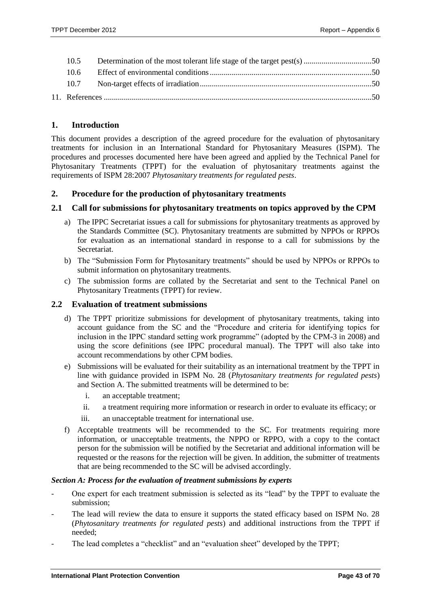| 10 <sub>5</sub> |  |
|-----------------|--|
|                 |  |
|                 |  |
|                 |  |

# <span id="page-42-0"></span>**1. Introduction**

This document provides a description of the agreed procedure for the evaluation of phytosanitary treatments for inclusion in an International Standard for Phytosanitary Measures (ISPM). The procedures and processes documented here have been agreed and applied by the Technical Panel for Phytosanitary Treatments (TPPT) for the evaluation of phytosanitary treatments against the requirements of ISPM 28:2007 *Phytosanitary treatments for regulated pests*.

# <span id="page-42-1"></span>**2. Procedure for the production of phytosanitary treatments**

#### <span id="page-42-2"></span>**2.1 Call for submissions for phytosanitary treatments on topics approved by the CPM**

- a) The IPPC Secretariat issues a call for submissions for phytosanitary treatments as approved by the Standards Committee (SC). Phytosanitary treatments are submitted by NPPOs or RPPOs for evaluation as an international standard in response to a call for submissions by the Secretariat.
- b) The "Submission Form for Phytosanitary treatments" should be used by NPPOs or RPPOs to submit information on phytosanitary treatments.
- c) The submission forms are collated by the Secretariat and sent to the Technical Panel on Phytosanitary Treatments (TPPT) for review.

#### <span id="page-42-3"></span>**2.2 Evaluation of treatment submissions**

- d) The TPPT prioritize submissions for development of phytosanitary treatments, taking into account guidance from the SC and the "Procedure and criteria for identifying topics for inclusion in the IPPC standard setting work programme" (adopted by the CPM-3 in 2008) and using the score definitions (see IPPC procedural manual). The TPPT will also take into account recommendations by other CPM bodies.
- e) Submissions will be evaluated for their suitability as an international treatment by the TPPT in line with guidance provided in ISPM No. 28 (*Phytosanitary treatments for regulated pests*) and Section A. The submitted treatments will be determined to be:
	- i. an acceptable treatment;
	- ii. a treatment requiring more information or research in order to evaluate its efficacy; or
	- iii. an unacceptable treatment for international use.
- f) Acceptable treatments will be recommended to the SC. For treatments requiring more information, or unacceptable treatments, the NPPO or RPPO, with a copy to the contact person for the submission will be notified by the Secretariat and additional information will be requested or the reasons for the rejection will be given. In addition, the submitter of treatments that are being recommended to the SC will be advised accordingly.

#### *Section A: Process for the evaluation of treatment submissions by experts*

- One expert for each treatment submission is selected as its "lead" by the TPPT to evaluate the submission;
- The lead will review the data to ensure it supports the stated efficacy based on ISPM No. 28 (*Phytosanitary treatments for regulated pests*) and additional instructions from the TPPT if needed;
- The lead completes a "checklist" and an "evaluation sheet" developed by the TPPT;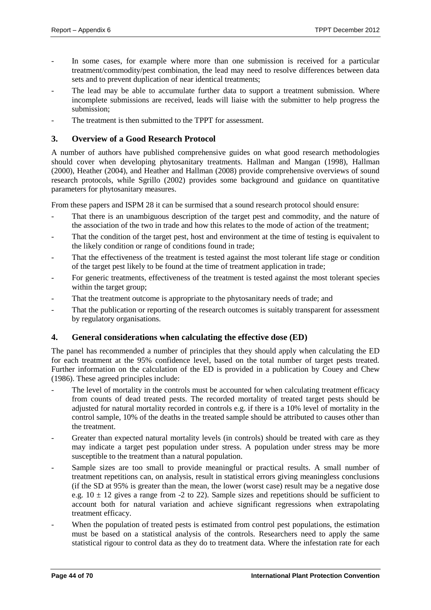- In some cases, for example where more than one submission is received for a particular treatment/commodity/pest combination, the lead may need to resolve differences between data sets and to prevent duplication of near identical treatments;
- The lead may be able to accumulate further data to support a treatment submission. Where incomplete submissions are received, leads will liaise with the submitter to help progress the submission;
- The treatment is then submitted to the TPPT for assessment.

# <span id="page-43-0"></span>**3. Overview of a Good Research Protocol**

A number of authors have published comprehensive guides on what good research methodologies should cover when developing phytosanitary treatments. Hallman and Mangan (1998), Hallman (2000), Heather (2004), and Heather and Hallman (2008) provide comprehensive overviews of sound research protocols, while Sgrillo (2002) provides some background and guidance on quantitative parameters for phytosanitary measures.

From these papers and ISPM 28 it can be surmised that a sound research protocol should ensure:

- That there is an unambiguous description of the target pest and commodity, and the nature of the association of the two in trade and how this relates to the mode of action of the treatment;
- That the condition of the target pest, host and environment at the time of testing is equivalent to the likely condition or range of conditions found in trade;
- That the effectiveness of the treatment is tested against the most tolerant life stage or condition of the target pest likely to be found at the time of treatment application in trade;
- For generic treatments, effectiveness of the treatment is tested against the most tolerant species within the target group;
- That the treatment outcome is appropriate to the phytosanitary needs of trade; and
- That the publication or reporting of the research outcomes is suitably transparent for assessment by regulatory organisations.

# <span id="page-43-1"></span>**4. General considerations when calculating the effective dose (ED)**

The panel has recommended a number of principles that they should apply when calculating the ED for each treatment at the 95% confidence level, based on the total number of target pests treated. Further information on the calculation of the ED is provided in a publication by Couey and Chew (1986). These agreed principles include:

- The level of mortality in the controls must be accounted for when calculating treatment efficacy from counts of dead treated pests. The recorded mortality of treated target pests should be adjusted for natural mortality recorded in controls e.g. if there is a 10% level of mortality in the control sample, 10% of the deaths in the treated sample should be attributed to causes other than the treatment.
- Greater than expected natural mortality levels (in controls) should be treated with care as they may indicate a target pest population under stress. A population under stress may be more susceptible to the treatment than a natural population.
- Sample sizes are too small to provide meaningful or practical results. A small number of treatment repetitions can, on analysis, result in statistical errors giving meaningless conclusions (if the SD at 95% is greater than the mean, the lower (worst case) result may be a negative dose e.g.  $10 \pm 12$  gives a range from -2 to 22). Sample sizes and repetitions should be sufficient to account both for natural variation and achieve significant regressions when extrapolating treatment efficacy.
- When the population of treated pests is estimated from control pest populations, the estimation must be based on a statistical analysis of the controls. Researchers need to apply the same statistical rigour to control data as they do to treatment data. Where the infestation rate for each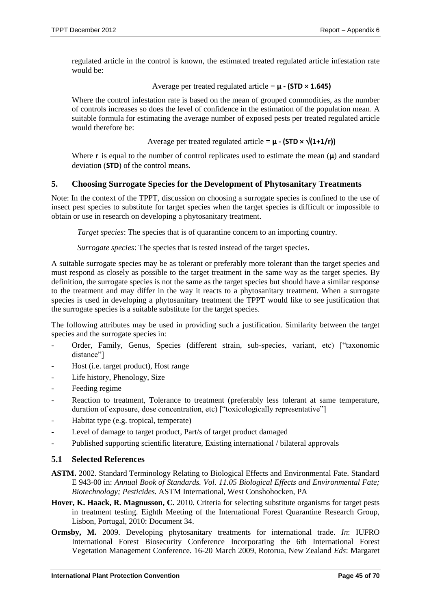regulated article in the control is known, the estimated treated regulated article infestation rate would be:

Average per treated regulated article = **µ - (STD × 1.645)**

Where the control infestation rate is based on the mean of grouped commodities, as the number of controls increases so does the level of confidence in the estimation of the population mean. A suitable formula for estimating the average number of exposed pests per treated regulated article would therefore be:

Average per treated regulated article =  $\mu$  **-** (STD  $\times \sqrt{(1+1/r)}$ )

Where **r** is equal to the number of control replicates used to estimate the mean  $(\mu)$  and standard deviation (**STD**) of the control means.

# <span id="page-44-0"></span>**5. Choosing Surrogate Species for the Development of Phytosanitary Treatments**

Note: In the context of the TPPT, discussion on choosing a surrogate species is confined to the use of insect pest species to substitute for target species when the target species is difficult or impossible to obtain or use in research on developing a phytosanitary treatment.

*Target species*: The species that is of quarantine concern to an importing country.

*Surrogate species*: The species that is tested instead of the target species.

A suitable surrogate species may be as tolerant or preferably more tolerant than the target species and must respond as closely as possible to the target treatment in the same way as the target species. By definition, the surrogate species is not the same as the target species but should have a similar response to the treatment and may differ in the way it reacts to a phytosanitary treatment. When a surrogate species is used in developing a phytosanitary treatment the TPPT would like to see justification that the surrogate species is a suitable substitute for the target species.

The following attributes may be used in providing such a justification. Similarity between the target species and the surrogate species in:

- Order, Family, Genus, Species (different strain, sub-species, variant, etc) ["taxonomic distance"]
- Host (i.e. target product), Host range
- Life history, Phenology, Size
- Feeding regime
- Reaction to treatment, Tolerance to treatment (preferably less tolerant at same temperature, duration of exposure, dose concentration, etc) ["toxicologically representative"]
- Habitat type (e.g. tropical, temperate)
- Level of damage to target product, Part/s of target product damaged
- Published supporting scientific literature, Existing international / bilateral approvals

# <span id="page-44-1"></span>**5.1 Selected References**

- **ASTM.** 2002. Standard Terminology Relating to Biological Effects and Environmental Fate. Standard E 943-00 in: *Annual Book of Standards. Vol. 11.05 Biological Effects and Environmental Fate; Biotechnology; Pesticides.* ASTM International, West Conshohocken, PA
- **Hover, K. Haack, R. Magnusson, C.** 2010. Criteria for selecting substitute organisms for target pests in treatment testing. Eighth Meeting of the International Forest Quarantine Research Group, Lisbon, Portugal, 2010: Document 34.
- **Ormsby, M.** 2009. Developing phytosanitary treatments for international trade. *In*: IUFRO International Forest Biosecurity Conference Incorporating the 6th International Forest Vegetation Management Conference. 16-20 March 2009, Rotorua, New Zealand *Eds*: Margaret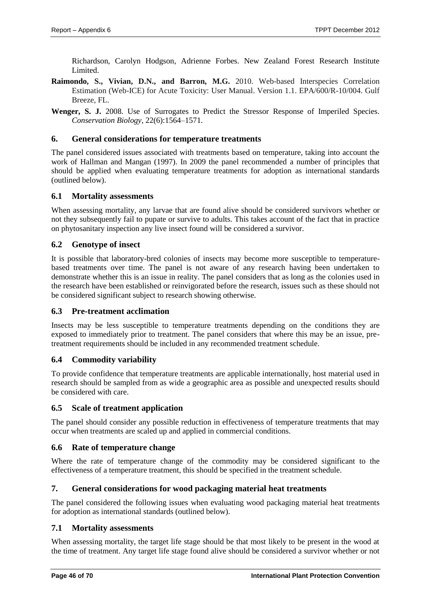Richardson, Carolyn Hodgson, Adrienne Forbes. New Zealand Forest Research Institute Limited.

- **Raimondo, S., Vivian, D.N., and Barron, M.G.** 2010. Web-based Interspecies Correlation Estimation (Web-ICE) for Acute Toxicity: User Manual. Version 1.1. EPA/600/R-10/004. Gulf Breeze, FL.
- **Wenger, S. J.** 2008. Use of Surrogates to Predict the Stressor Response of Imperiled Species. *Conservation Biology*, 22(6):1564–1571.

# <span id="page-45-0"></span>**6. General considerations for temperature treatments**

The panel considered issues associated with treatments based on temperature, taking into account the work of Hallman and Mangan (1997). In 2009 the panel recommended a number of principles that should be applied when evaluating temperature treatments for adoption as international standards (outlined below).

#### <span id="page-45-1"></span>**6.1 Mortality assessments**

When assessing mortality, any larvae that are found alive should be considered survivors whether or not they subsequently fail to pupate or survive to adults. This takes account of the fact that in practice on phytosanitary inspection any live insect found will be considered a survivor.

# <span id="page-45-2"></span>**6.2 Genotype of insect**

It is possible that laboratory-bred colonies of insects may become more susceptible to temperaturebased treatments over time. The panel is not aware of any research having been undertaken to demonstrate whether this is an issue in reality. The panel considers that as long as the colonies used in the research have been established or reinvigorated before the research, issues such as these should not be considered significant subject to research showing otherwise.

# <span id="page-45-3"></span>**6.3 Pre-treatment acclimation**

Insects may be less susceptible to temperature treatments depending on the conditions they are exposed to immediately prior to treatment. The panel considers that where this may be an issue, pretreatment requirements should be included in any recommended treatment schedule.

# <span id="page-45-4"></span>**6.4 Commodity variability**

To provide confidence that temperature treatments are applicable internationally, host material used in research should be sampled from as wide a geographic area as possible and unexpected results should be considered with care.

# <span id="page-45-5"></span>**6.5 Scale of treatment application**

The panel should consider any possible reduction in effectiveness of temperature treatments that may occur when treatments are scaled up and applied in commercial conditions.

# <span id="page-45-6"></span>**6.6 Rate of temperature change**

Where the rate of temperature change of the commodity may be considered significant to the effectiveness of a temperature treatment, this should be specified in the treatment schedule.

# <span id="page-45-7"></span>**7. General considerations for wood packaging material heat treatments**

The panel considered the following issues when evaluating wood packaging material heat treatments for adoption as international standards (outlined below).

#### <span id="page-45-8"></span>**7.1 Mortality assessments**

When assessing mortality, the target life stage should be that most likely to be present in the wood at the time of treatment. Any target life stage found alive should be considered a survivor whether or not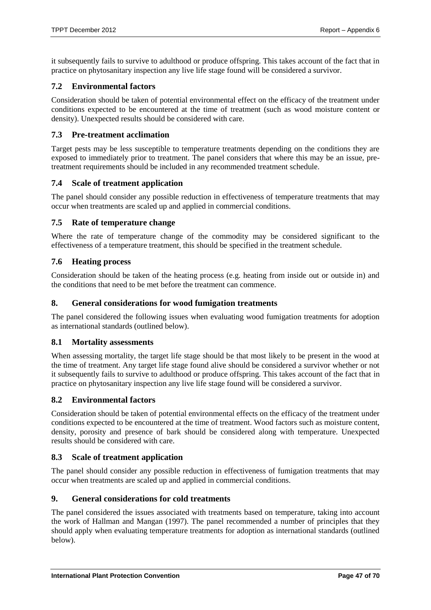it subsequently fails to survive to adulthood or produce offspring. This takes account of the fact that in practice on phytosanitary inspection any live life stage found will be considered a survivor.

# <span id="page-46-0"></span>**7.2 Environmental factors**

Consideration should be taken of potential environmental effect on the efficacy of the treatment under conditions expected to be encountered at the time of treatment (such as wood moisture content or density). Unexpected results should be considered with care.

# <span id="page-46-1"></span>**7.3 Pre-treatment acclimation**

Target pests may be less susceptible to temperature treatments depending on the conditions they are exposed to immediately prior to treatment. The panel considers that where this may be an issue, pretreatment requirements should be included in any recommended treatment schedule.

#### <span id="page-46-2"></span>**7.4 Scale of treatment application**

The panel should consider any possible reduction in effectiveness of temperature treatments that may occur when treatments are scaled up and applied in commercial conditions.

#### <span id="page-46-3"></span>**7.5 Rate of temperature change**

Where the rate of temperature change of the commodity may be considered significant to the effectiveness of a temperature treatment, this should be specified in the treatment schedule.

#### <span id="page-46-4"></span>**7.6 Heating process**

Consideration should be taken of the heating process (e.g. heating from inside out or outside in) and the conditions that need to be met before the treatment can commence.

#### <span id="page-46-5"></span>**8. General considerations for wood fumigation treatments**

The panel considered the following issues when evaluating wood fumigation treatments for adoption as international standards (outlined below).

#### <span id="page-46-6"></span>**8.1 Mortality assessments**

When assessing mortality, the target life stage should be that most likely to be present in the wood at the time of treatment. Any target life stage found alive should be considered a survivor whether or not it subsequently fails to survive to adulthood or produce offspring. This takes account of the fact that in practice on phytosanitary inspection any live life stage found will be considered a survivor.

#### <span id="page-46-7"></span>**8.2 Environmental factors**

Consideration should be taken of potential environmental effects on the efficacy of the treatment under conditions expected to be encountered at the time of treatment. Wood factors such as moisture content, density, porosity and presence of bark should be considered along with temperature. Unexpected results should be considered with care.

#### <span id="page-46-8"></span>**8.3 Scale of treatment application**

The panel should consider any possible reduction in effectiveness of fumigation treatments that may occur when treatments are scaled up and applied in commercial conditions.

#### <span id="page-46-9"></span>**9. General considerations for cold treatments**

The panel considered the issues associated with treatments based on temperature, taking into account the work of Hallman and Mangan (1997). The panel recommended a number of principles that they should apply when evaluating temperature treatments for adoption as international standards (outlined below).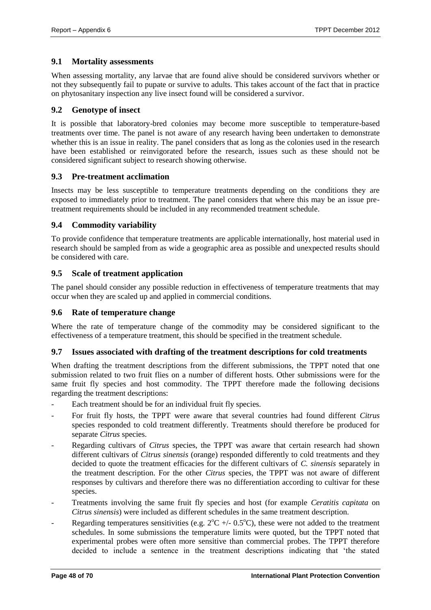# <span id="page-47-0"></span>**9.1 Mortality assessments**

When assessing mortality, any larvae that are found alive should be considered survivors whether or not they subsequently fail to pupate or survive to adults. This takes account of the fact that in practice on phytosanitary inspection any live insect found will be considered a survivor.

# <span id="page-47-1"></span>**9.2 Genotype of insect**

It is possible that laboratory-bred colonies may become more susceptible to temperature-based treatments over time. The panel is not aware of any research having been undertaken to demonstrate whether this is an issue in reality. The panel considers that as long as the colonies used in the research have been established or reinvigorated before the research, issues such as these should not be considered significant subject to research showing otherwise.

# <span id="page-47-2"></span>**9.3 Pre-treatment acclimation**

Insects may be less susceptible to temperature treatments depending on the conditions they are exposed to immediately prior to treatment. The panel considers that where this may be an issue pretreatment requirements should be included in any recommended treatment schedule.

# <span id="page-47-3"></span>**9.4 Commodity variability**

To provide confidence that temperature treatments are applicable internationally, host material used in research should be sampled from as wide a geographic area as possible and unexpected results should be considered with care.

# <span id="page-47-4"></span>**9.5 Scale of treatment application**

The panel should consider any possible reduction in effectiveness of temperature treatments that may occur when they are scaled up and applied in commercial conditions.

# <span id="page-47-5"></span>**9.6 Rate of temperature change**

Where the rate of temperature change of the commodity may be considered significant to the effectiveness of a temperature treatment, this should be specified in the treatment schedule.

# <span id="page-47-6"></span>**9.7 Issues associated with drafting of the treatment descriptions for cold treatments**

When drafting the treatment descriptions from the different submissions, the TPPT noted that one submission related to two fruit flies on a number of different hosts. Other submissions were for the same fruit fly species and host commodity. The TPPT therefore made the following decisions regarding the treatment descriptions:

- Each treatment should be for an individual fruit fly species.
- For fruit fly hosts, the TPPT were aware that several countries had found different *Citrus* species responded to cold treatment differently. Treatments should therefore be produced for separate *Citrus* species.
- Regarding cultivars of *Citrus* species, the TPPT was aware that certain research had shown different cultivars of *Citrus sinensis* (orange) responded differently to cold treatments and they decided to quote the treatment efficacies for the different cultivars of *C. sinensis* separately in the treatment description. For the other *Citrus* species, the TPPT was not aware of different responses by cultivars and therefore there was no differentiation according to cultivar for these species.
- Treatments involving the same fruit fly species and host (for example *Ceratitis capitata* on *Citrus sinensis*) were included as different schedules in the same treatment description.
- Regarding temperatures sensitivities (e.g.  $2^{\circ}\text{C}$  +/- 0.5<sup>o</sup>C), these were not added to the treatment schedules. In some submissions the temperature limits were quoted, but the TPPT noted that experimental probes were often more sensitive than commercial probes. The TPPT therefore decided to include a sentence in the treatment descriptions indicating that 'the stated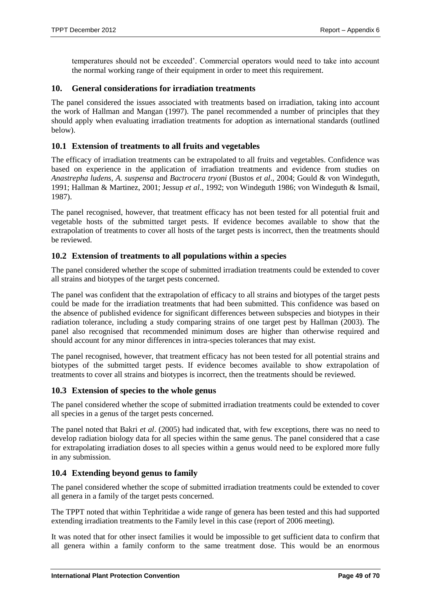<span id="page-48-0"></span>temperatures should not be exceeded'. Commercial operators would need to take into account the normal working range of their equipment in order to meet this requirement.

#### **10. General considerations for irradiation treatments**

The panel considered the issues associated with treatments based on irradiation, taking into account the work of Hallman and Mangan (1997). The panel recommended a number of principles that they should apply when evaluating irradiation treatments for adoption as international standards (outlined below).

# <span id="page-48-1"></span>**10.1 Extension of treatments to all fruits and vegetables**

The efficacy of irradiation treatments can be extrapolated to all fruits and vegetables. Confidence was based on experience in the application of irradiation treatments and evidence from studies on *Anastrepha ludens, A. suspensa* and *Bactrocera tryoni* (Bustos *et al*., 2004; Gould & von Windeguth, 1991; Hallman & Martinez, 2001; Jessup *et al*., 1992; von Windeguth 1986; von Windeguth & Ismail, 1987).

The panel recognised, however, that treatment efficacy has not been tested for all potential fruit and vegetable hosts of the submitted target pests. If evidence becomes available to show that the extrapolation of treatments to cover all hosts of the target pests is incorrect, then the treatments should be reviewed.

#### <span id="page-48-2"></span>**10.2 Extension of treatments to all populations within a species**

The panel considered whether the scope of submitted irradiation treatments could be extended to cover all strains and biotypes of the target pests concerned.

The panel was confident that the extrapolation of efficacy to all strains and biotypes of the target pests could be made for the irradiation treatments that had been submitted. This confidence was based on the absence of published evidence for significant differences between subspecies and biotypes in their radiation tolerance, including a study comparing strains of one target pest by Hallman (2003). The panel also recognised that recommended minimum doses are higher than otherwise required and should account for any minor differences in intra-species tolerances that may exist.

The panel recognised, however, that treatment efficacy has not been tested for all potential strains and biotypes of the submitted target pests. If evidence becomes available to show extrapolation of treatments to cover all strains and biotypes is incorrect, then the treatments should be reviewed.

# <span id="page-48-3"></span>**10.3 Extension of species to the whole genus**

The panel considered whether the scope of submitted irradiation treatments could be extended to cover all species in a genus of the target pests concerned.

The panel noted that Bakri *et al*. (2005) had indicated that, with few exceptions, there was no need to develop radiation biology data for all species within the same genus. The panel considered that a case for extrapolating irradiation doses to all species within a genus would need to be explored more fully in any submission.

# <span id="page-48-4"></span>**10.4 Extending beyond genus to family**

The panel considered whether the scope of submitted irradiation treatments could be extended to cover all genera in a family of the target pests concerned.

The TPPT noted that within Tephritidae a wide range of genera has been tested and this had supported extending irradiation treatments to the Family level in this case (report of 2006 meeting).

It was noted that for other insect families it would be impossible to get sufficient data to confirm that all genera within a family conform to the same treatment dose. This would be an enormous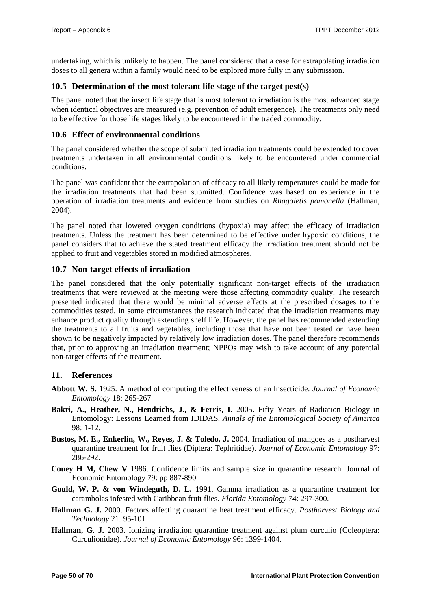undertaking, which is unlikely to happen. The panel considered that a case for extrapolating irradiation doses to all genera within a family would need to be explored more fully in any submission.

# <span id="page-49-0"></span>**10.5 Determination of the most tolerant life stage of the target pest(s)**

The panel noted that the insect life stage that is most tolerant to irradiation is the most advanced stage when identical objectives are measured (e.g. prevention of adult emergence). The treatments only need to be effective for those life stages likely to be encountered in the traded commodity.

# <span id="page-49-1"></span>**10.6 Effect of environmental conditions**

The panel considered whether the scope of submitted irradiation treatments could be extended to cover treatments undertaken in all environmental conditions likely to be encountered under commercial conditions.

The panel was confident that the extrapolation of efficacy to all likely temperatures could be made for the irradiation treatments that had been submitted. Confidence was based on experience in the operation of irradiation treatments and evidence from studies on *Rhagoletis pomonella* (Hallman, 2004).

The panel noted that lowered oxygen conditions (hypoxia) may affect the efficacy of irradiation treatments. Unless the treatment has been determined to be effective under hypoxic conditions, the panel considers that to achieve the stated treatment efficacy the irradiation treatment should not be applied to fruit and vegetables stored in modified atmospheres.

# <span id="page-49-2"></span>**10.7 Non-target effects of irradiation**

The panel considered that the only potentially significant non-target effects of the irradiation treatments that were reviewed at the meeting were those affecting commodity quality. The research presented indicated that there would be minimal adverse effects at the prescribed dosages to the commodities tested. In some circumstances the research indicated that the irradiation treatments may enhance product quality through extending shelf life. However, the panel has recommended extending the treatments to all fruits and vegetables, including those that have not been tested or have been shown to be negatively impacted by relatively low irradiation doses. The panel therefore recommends that, prior to approving an irradiation treatment; NPPOs may wish to take account of any potential non-target effects of the treatment.

# <span id="page-49-3"></span>**11. References**

- **Abbott W. S.** 1925. A method of computing the effectiveness of an Insecticide. *Journal of Economic Entomology* 18: 265-267
- **Bakri, A., Heather, N., Hendrichs, J., & Ferris, I.** 2005**.** Fifty Years of Radiation Biology in Entomology: Lessons Learned from IDIDAS. *Annals of the Entomological Society of America*  $98 \cdot 1 - 12$ .
- **Bustos, M. E., Enkerlin, W., Reyes, J. & Toledo, J.** 2004. Irradiation of mangoes as a postharvest quarantine treatment for fruit flies (Diptera: Tephritidae). *Journal of Economic Entomology* 97: 286-292.
- **Couey H M, Chew V** 1986. Confidence limits and sample size in quarantine research. Journal of Economic Entomology 79: pp 887-890
- **Gould, W. P. & von Windeguth, D. L.** 1991. Gamma irradiation as a quarantine treatment for carambolas infested with Caribbean fruit flies. *Florida Entomology* 74: 297-300.
- **Hallman G. J.** 2000. Factors affecting quarantine heat treatment efficacy. *Postharvest Biology and Technology* 21: 95-101
- **Hallman, G. J.** 2003. Ionizing irradiation quarantine treatment against plum curculio (Coleoptera: Curculionidae). *Journal of Economic Entomology* 96: 1399-1404.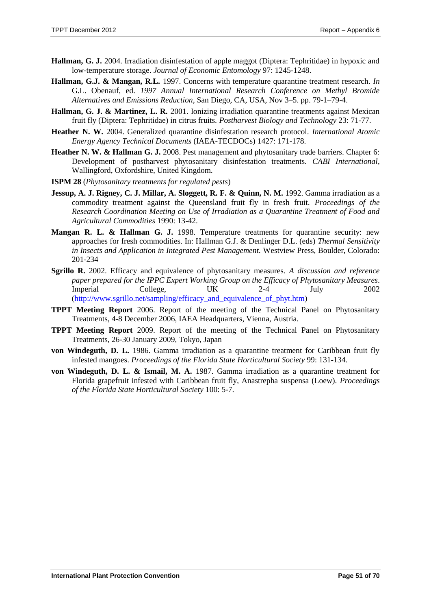- **Hallman, G. J.** 2004. Irradiation disinfestation of apple maggot (Diptera: Tephritidae) in hypoxic and low-temperature storage. *Journal of Economic Entomology* 97: 1245-1248.
- **Hallman, G.J. & Mangan, R.L.** 1997. Concerns with temperature quarantine treatment research. *In* G.L. Obenauf, ed. *1997 Annual International Research Conference on Methyl Bromide Alternatives and Emissions Reduction*, San Diego, CA, USA, Nov 3–5. pp. 79-1–79-4.
- **Hallman, G. J. & Martinez, L. R.** 2001. Ionizing irradiation quarantine treatments against Mexican fruit fly (Diptera: Tephritidae) in citrus fruits. *Postharvest Biology and Technology* 23: 71-77.
- **Heather N. W.** 2004. Generalized quarantine disinfestation research protocol. *International Atomic Energy Agency Technical Documents* (IAEA-TECDOCs) 1427: 171-178.
- **Heather N. W. & Hallman G. J.** 2008. Pest management and phytosanitary trade barriers. Chapter 6: Development of postharvest phytosanitary disinfestation treatments. *CABI International*, Wallingford, Oxfordshire, United Kingdom.
- **ISPM 28** (*Phytosanitary treatments for regulated pests*)
- **Jessup, A. J. Rigney, C. J. Millar, A. Sloggett, R. F. & Quinn, N. M.** 1992. Gamma irradiation as a commodity treatment against the Queensland fruit fly in fresh fruit. *Proceedings of the Research Coordination Meeting on Use of Irradiation as a Quarantine Treatment of Food and Agricultural Commodities* 1990: 13-42.
- **Mangan R. L. & Hallman G. J.** 1998. Temperature treatments for quarantine security: new approaches for fresh commodities. In: Hallman G.J. & Denlinger D.L. (eds) *Thermal Sensitivity in Insects and Application in Integrated Pest Management.* Westview Press, Boulder, Colorado: 201-234
- **Sgrillo R.** 2002. Efficacy and equivalence of phytosanitary measures. *A discussion and reference paper prepared for the IPPC Expert Working Group on the Efficacy of Phytosanitary Measures*. Imperial College, UK 2-4 July 2002 [\(http://www.sgrillo.net/sampling/efficacy\\_and\\_equivalence\\_of\\_phyt.htm\)](http://www.sgrillo.net/sampling/efficacy_and_equivalence_of_phyt.htm)
- **TPPT Meeting Report** 2006. Report of the meeting of the Technical Panel on Phytosanitary Treatments, 4-8 December 2006, IAEA Headquarters, Vienna, Austria.
- **TPPT Meeting Report** 2009. Report of the meeting of the Technical Panel on Phytosanitary Treatments, 26-30 January 2009, Tokyo, Japan
- **von Windeguth, D. L.** 1986. Gamma irradiation as a quarantine treatment for Caribbean fruit fly infested mangoes. *Proceedings of the Florida State Horticultural Society* 99: 131-134.
- **von Windeguth, D. L. & Ismail, M. A.** 1987. Gamma irradiation as a quarantine treatment for Florida grapefruit infested with Caribbean fruit fly, Anastrepha suspensa (Loew). *Proceedings of the Florida State Horticultural Society* 100: 5-7.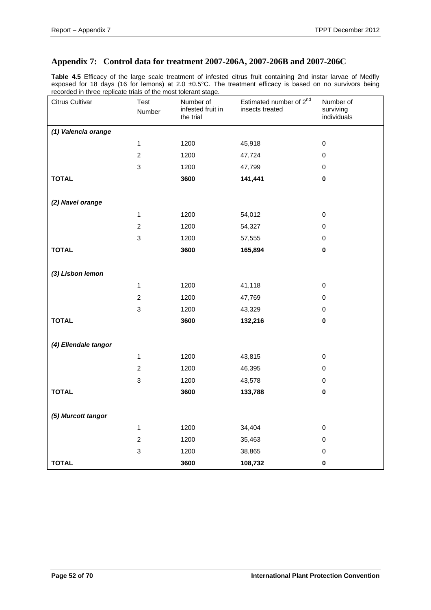# <span id="page-51-0"></span>**Appendix 7: Control data for treatment 2007-206A, 2007-206B and 2007-206C**

**Table 4.5** Efficacy of the large scale treatment of infested citrus fruit containing 2nd instar larvae of Medfly exposed for 18 days (16 for lemons) at 2.0 ±0.5°C. The treatment efficacy is based on no survivors being recorded in three replicate trials of the most tolerant stage.

| Citrus Cultivar      | Test<br>Number            | Number of<br>infested fruit in<br>the trial | Estimated number of 2 <sup>nd</sup><br>insects treated | Number of<br>surviving<br>individuals |
|----------------------|---------------------------|---------------------------------------------|--------------------------------------------------------|---------------------------------------|
| (1) Valencia orange  |                           |                                             |                                                        |                                       |
|                      | $\mathbf{1}$              | 1200                                        | 45,918                                                 | $\mathbf 0$                           |
|                      | $\boldsymbol{2}$          | 1200                                        | 47,724                                                 | $\mathbf 0$                           |
|                      | $\mathsf 3$               | 1200                                        | 47,799                                                 | 0                                     |
| <b>TOTAL</b>         |                           | 3600                                        | 141,441                                                | $\pmb{0}$                             |
| (2) Navel orange     |                           |                                             |                                                        |                                       |
|                      | $\mathbf{1}$              | 1200                                        | 54,012                                                 | $\mathbf 0$                           |
|                      | $\overline{c}$            | 1200                                        | 54,327                                                 | $\pmb{0}$                             |
|                      | $\ensuremath{\mathsf{3}}$ | 1200                                        | 57,555                                                 | $\pmb{0}$                             |
| <b>TOTAL</b>         |                           | 3600                                        | 165,894                                                | $\pmb{0}$                             |
| (3) Lisbon lemon     |                           |                                             |                                                        |                                       |
|                      | $\mathbf{1}$              | 1200                                        | 41,118                                                 | $\pmb{0}$                             |
|                      | $\boldsymbol{2}$          | 1200                                        | 47,769                                                 | $\pmb{0}$                             |
|                      | 3                         | 1200                                        | 43,329                                                 | $\mathbf 0$                           |
| <b>TOTAL</b>         |                           | 3600                                        | 132,216                                                | $\pmb{0}$                             |
| (4) Ellendale tangor |                           |                                             |                                                        |                                       |
|                      | $\mathbf{1}$              | 1200                                        | 43,815                                                 | $\mathbf 0$                           |
|                      | $\boldsymbol{2}$          | 1200                                        | 46,395                                                 | $\pmb{0}$                             |
|                      | 3                         | 1200                                        | 43,578                                                 | $\pmb{0}$                             |
| <b>TOTAL</b>         |                           | 3600                                        | 133,788                                                | $\pmb{0}$                             |
| (5) Murcott tangor   |                           |                                             |                                                        |                                       |
|                      | $\mathbf{1}$              | 1200                                        | 34,404                                                 | $\pmb{0}$                             |
|                      | $\boldsymbol{2}$          | 1200                                        | 35,463                                                 | $\pmb{0}$                             |
|                      | 3                         | 1200                                        | 38,865                                                 | $\mathbf 0$                           |
| <b>TOTAL</b>         |                           | 3600                                        | 108,732                                                | $\mathbf 0$                           |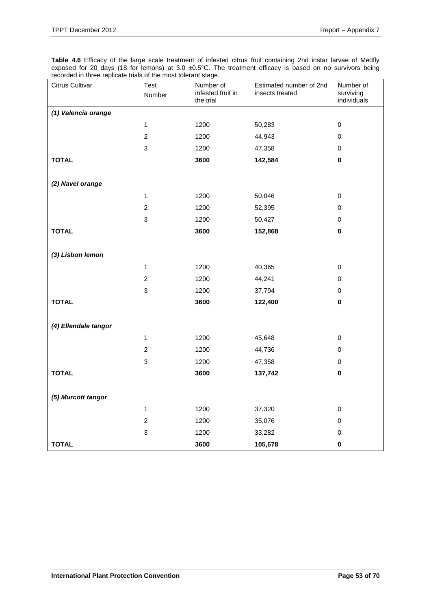**Table 4.6** Efficacy of the large scale treatment of infested citrus fruit containing 2nd instar larvae of Medfly exposed for 20 days (18 for lemons) at 3.0  $\pm$ 0.5°C. The treatment efficacy is based on no survivors being recorded in three replicate trials of the most tolerant stage.

| Citrus Cultivar      | Test<br>Number            | Number of<br>infested fruit in<br>the trial | Estimated number of 2nd<br>insects treated | Number of<br>surviving<br>individuals |
|----------------------|---------------------------|---------------------------------------------|--------------------------------------------|---------------------------------------|
| (1) Valencia orange  |                           |                                             |                                            |                                       |
|                      | $\mathbf{1}$              | 1200                                        | 50,283                                     | $\mathbf 0$                           |
|                      | $\boldsymbol{2}$          | 1200                                        | 44,943                                     | $\pmb{0}$                             |
|                      | 3                         | 1200                                        | 47,358                                     | 0                                     |
| <b>TOTAL</b>         |                           | 3600                                        | 142,584                                    | $\pmb{0}$                             |
|                      |                           |                                             |                                            |                                       |
| (2) Navel orange     |                           |                                             |                                            |                                       |
|                      | $\mathbf{1}$              | 1200                                        | 50,046                                     | $\pmb{0}$                             |
|                      | $\boldsymbol{2}$          | 1200                                        | 52,395                                     | 0                                     |
|                      | $\ensuremath{\mathsf{3}}$ | 1200                                        | 50,427                                     | $\pmb{0}$                             |
| <b>TOTAL</b>         |                           | 3600                                        | 152,868                                    | $\pmb{0}$                             |
|                      |                           |                                             |                                            |                                       |
| (3) Lisbon lemon     |                           |                                             |                                            |                                       |
|                      | $\mathbf{1}$              | 1200                                        | 40,365                                     | $\pmb{0}$                             |
|                      | $\boldsymbol{2}$          | 1200                                        | 44,241                                     | $\pmb{0}$                             |
|                      | $\ensuremath{\mathsf{3}}$ | 1200                                        | 37,794                                     | $\pmb{0}$                             |
| <b>TOTAL</b>         |                           | 3600                                        | 122,400                                    | 0                                     |
|                      |                           |                                             |                                            |                                       |
| (4) Ellendale tangor |                           |                                             |                                            |                                       |
|                      | $\mathbf{1}$              | 1200                                        | 45,648                                     | $\pmb{0}$                             |
|                      | $\boldsymbol{2}$          | 1200                                        | 44,736                                     | $\pmb{0}$                             |
|                      | $\,$ 3 $\,$               | 1200                                        | 47,358                                     | 0                                     |
| <b>TOTAL</b>         |                           | 3600                                        | 137,742                                    | $\pmb{0}$                             |
|                      |                           |                                             |                                            |                                       |
| (5) Murcott tangor   |                           |                                             |                                            |                                       |
|                      | $\mathbf{1}$              | 1200                                        | 37,320                                     | $\pmb{0}$                             |
|                      | $\overline{c}$            | 1200                                        | 35,076                                     | 0                                     |
|                      | $\ensuremath{\mathsf{3}}$ | 1200                                        | 33,282                                     | $\mathbf 0$                           |
| <b>TOTAL</b>         |                           | 3600                                        | 105,678                                    | $\bf{0}$                              |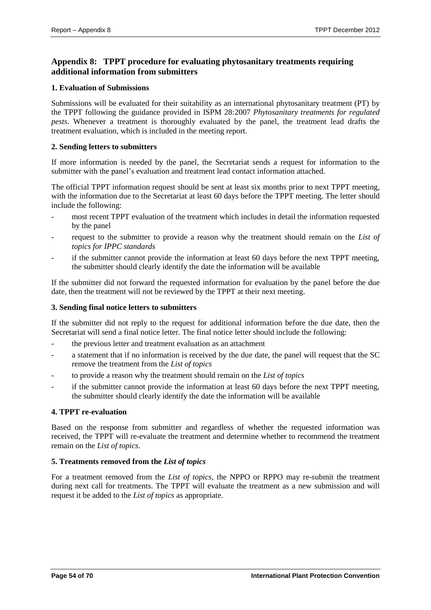# <span id="page-53-0"></span>**Appendix 8: TPPT procedure for evaluating phytosanitary treatments requiring additional information from submitters**

#### **1. Evaluation of Submissions**

Submissions will be evaluated for their suitability as an international phytosanitary treatment (PT) by the TPPT following the guidance provided in ISPM 28:2007 *Phytosanitary treatments for regulated pests*. Whenever a treatment is thoroughly evaluated by the panel, the treatment lead drafts the treatment evaluation, which is included in the meeting report.

#### **2. Sending letters to submitters**

If more information is needed by the panel, the Secretariat sends a request for information to the submitter with the panel's evaluation and treatment lead contact information attached.

The official TPPT information request should be sent at least six months prior to next TPPT meeting, with the information due to the Secretariat at least 60 days before the TPPT meeting. The letter should include the following:

- most recent TPPT evaluation of the treatment which includes in detail the information requested by the panel
- request to the submitter to provide a reason why the treatment should remain on the *List of topics for IPPC standards*
- if the submitter cannot provide the information at least 60 days before the next TPPT meeting, the submitter should clearly identify the date the information will be available

If the submitter did not forward the requested information for evaluation by the panel before the due date, then the treatment will not be reviewed by the TPPT at their next meeting.

#### **3. Sending final notice letters to submitters**

If the submitter did not reply to the request for additional information before the due date, then the Secretariat will send a final notice letter. The final notice letter should include the following:

- the previous letter and treatment evaluation as an attachment
- a statement that if no information is received by the due date, the panel will request that the SC remove the treatment from the *List of topics*
- to provide a reason why the treatment should remain on the *List of topics*
- if the submitter cannot provide the information at least 60 days before the next TPPT meeting, the submitter should clearly identify the date the information will be available

#### **4. TPPT re-evaluation**

Based on the response from submitter and regardless of whether the requested information was received, the TPPT will re-evaluate the treatment and determine whether to recommend the treatment remain on the *List of topics*.

# **5. Treatments removed from the** *List of topics*

For a treatment removed from the *List of topics*, the NPPO or RPPO may re-submit the treatment during next call for treatments. The TPPT will evaluate the treatment as a new submission and will request it be added to the *List of topics* as appropriate.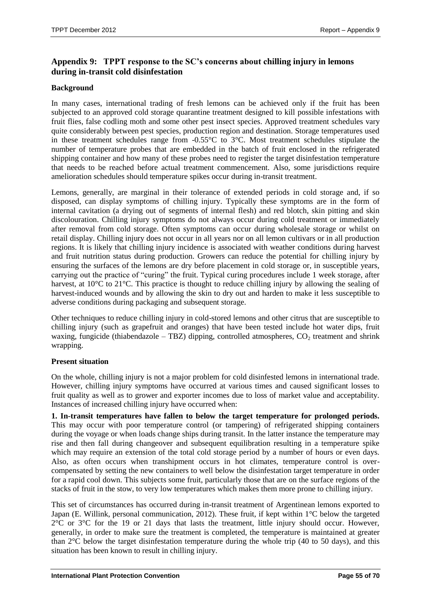# <span id="page-54-0"></span>**Appendix 9: TPPT response to the SC's concerns about chilling injury in lemons during in-transit cold disinfestation**

#### **Background**

In many cases, international trading of fresh lemons can be achieved only if the fruit has been subjected to an approved cold storage quarantine treatment designed to kill possible infestations with fruit flies, false codling moth and some other pest insect species. Approved treatment schedules vary quite considerably between pest species, production region and destination. Storage temperatures used in these treatment schedules range from -0.55°C to 3°C. Most treatment schedules stipulate the number of temperature probes that are embedded in the batch of fruit enclosed in the refrigerated shipping container and how many of these probes need to register the target disinfestation temperature that needs to be reached before actual treatment commencement. Also, some jurisdictions require amelioration schedules should temperature spikes occur during in-transit treatment.

Lemons, generally, are marginal in their tolerance of extended periods in cold storage and, if so disposed, can display symptoms of chilling injury. Typically these symptoms are in the form of internal cavitation (a drying out of segments of internal flesh) and red blotch, skin pitting and skin discolouration. Chilling injury symptoms do not always occur during cold treatment or immediately after removal from cold storage. Often symptoms can occur during wholesale storage or whilst on retail display. Chilling injury does not occur in all years nor on all lemon cultivars or in all production regions. It is likely that chilling injury incidence is associated with weather conditions during harvest and fruit nutrition status during production. Growers can reduce the potential for chilling injury by ensuring the surfaces of the lemons are dry before placement in cold storage or, in susceptible years, carrying out the practice of "curing" the fruit. Typical curing procedures include 1 week storage, after harvest, at 10<sup>o</sup>C to 21<sup>o</sup>C. This practice is thought to reduce chilling injury by allowing the sealing of harvest-induced wounds and by allowing the skin to dry out and harden to make it less susceptible to adverse conditions during packaging and subsequent storage.

Other techniques to reduce chilling injury in cold-stored lemons and other citrus that are susceptible to chilling injury (such as grapefruit and oranges) that have been tested include hot water dips, fruit waxing, fungicide (thiabendazole – TBZ) dipping, controlled atmospheres,  $CO<sub>2</sub>$  treatment and shrink wrapping.

#### **Present situation**

On the whole, chilling injury is not a major problem for cold disinfested lemons in international trade. However, chilling injury symptoms have occurred at various times and caused significant losses to fruit quality as well as to grower and exporter incomes due to loss of market value and acceptability. Instances of increased chilling injury have occurred when:

**1. In-transit temperatures have fallen to below the target temperature for prolonged periods.** This may occur with poor temperature control (or tampering) of refrigerated shipping containers during the voyage or when loads change ships during transit. In the latter instance the temperature may rise and then fall during changeover and subsequent equilibration resulting in a temperature spike which may require an extension of the total cold storage period by a number of hours or even days. Also, as often occurs when transhipment occurs in hot climates, temperature control is overcompensated by setting the new containers to well below the disinfestation target temperature in order for a rapid cool down. This subjects some fruit, particularly those that are on the surface regions of the stacks of fruit in the stow, to very low temperatures which makes them more prone to chilling injury.

This set of circumstances has occurred during in-transit treatment of Argentinean lemons exported to Japan (E. Willink, personal communication, 2012). These fruit, if kept within 1°C below the targeted  $2^{\circ}$ C or  $3^{\circ}$ C for the 19 or 21 days that lasts the treatment, little injury should occur. However, generally, in order to make sure the treatment is completed, the temperature is maintained at greater than 2°C below the target disinfestation temperature during the whole trip (40 to 50 days), and this situation has been known to result in chilling injury.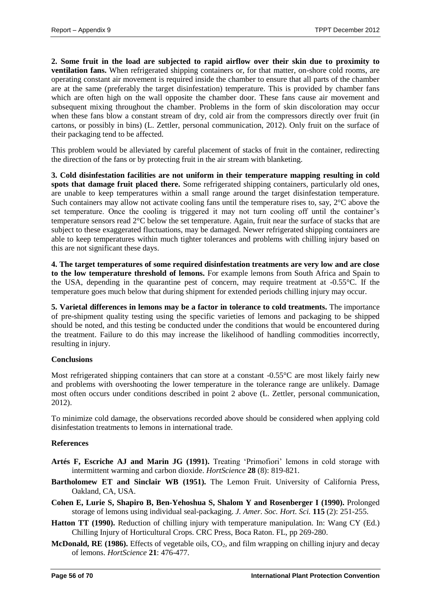**2. Some fruit in the load are subjected to rapid airflow over their skin due to proximity to ventilation fans.** When refrigerated shipping containers or, for that matter, on-shore cold rooms, are operating constant air movement is required inside the chamber to ensure that all parts of the chamber are at the same (preferably the target disinfestation) temperature. This is provided by chamber fans which are often high on the wall opposite the chamber door. These fans cause air movement and subsequent mixing throughout the chamber. Problems in the form of skin discoloration may occur when these fans blow a constant stream of dry, cold air from the compressors directly over fruit (in cartons, or possibly in bins) (L. Zettler, personal communication, 2012). Only fruit on the surface of their packaging tend to be affected.

This problem would be alleviated by careful placement of stacks of fruit in the container, redirecting the direction of the fans or by protecting fruit in the air stream with blanketing.

**3. Cold disinfestation facilities are not uniform in their temperature mapping resulting in cold spots that damage fruit placed there.** Some refrigerated shipping containers, particularly old ones, are unable to keep temperatures within a small range around the target disinfestation temperature. Such containers may allow not activate cooling fans until the temperature rises to, say, 2°C above the set temperature. Once the cooling is triggered it may not turn cooling off until the container's temperature sensors read 2°C below the set temperature. Again, fruit near the surface of stacks that are subject to these exaggerated fluctuations, may be damaged. Newer refrigerated shipping containers are able to keep temperatures within much tighter tolerances and problems with chilling injury based on this are not significant these days.

**4. The target temperatures of some required disinfestation treatments are very low and are close to the low temperature threshold of lemons.** For example lemons from South Africa and Spain to the USA, depending in the quarantine pest of concern, may require treatment at -0.55°C. If the temperature goes much below that during shipment for extended periods chilling injury may occur.

**5. Varietal differences in lemons may be a factor in tolerance to cold treatments.** The importance of pre-shipment quality testing using the specific varieties of lemons and packaging to be shipped should be noted, and this testing be conducted under the conditions that would be encountered during the treatment. Failure to do this may increase the likelihood of handling commodities incorrectly, resulting in injury.

#### **Conclusions**

Most refrigerated shipping containers that can store at a constant -0.55<sup>o</sup>C are most likely fairly new and problems with overshooting the lower temperature in the tolerance range are unlikely. Damage most often occurs under conditions described in point 2 above (L. Zettler, personal communication, 2012).

To minimize cold damage, the observations recorded above should be considered when applying cold disinfestation treatments to lemons in international trade.

#### **References**

- **Artés F, Escriche AJ and Marin JG (1991).** Treating 'Primofiori' lemons in cold storage with intermittent warming and carbon dioxide. *HortScience* **28** (8): 819-821.
- **Bartholomew ET and Sinclair WB (1951).** The Lemon Fruit. University of California Press, Oakland, CA, USA.
- **Cohen E, Lurie S, Shapiro B, Ben-Yehoshua S, Shalom Y and Rosenberger I (1990).** Prolonged storage of lemons using individual seal-packaging. *J. Amer. Soc. Hort. Sci.* **115** (2): 251-255.
- **Hatton TT (1990).** Reduction of chilling injury with temperature manipulation. In: Wang CY (Ed.) Chilling Injury of Horticultural Crops. CRC Press, Boca Raton. FL, pp 269-280.
- McDonald, RE (1986). Effects of vegetable oils, CO<sub>2</sub>, and film wrapping on chilling injury and decay of lemons. *HortScience* **21**: 476-477.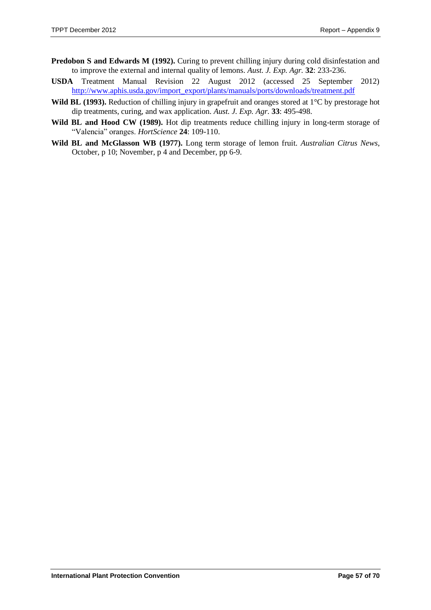- **Predobon S and Edwards M (1992).** Curing to prevent chilling injury during cold disinfestation and to improve the external and internal quality of lemons. *Aust. J. Exp. Agr.* **32**: 233-236.
- **USDA** Treatment Manual Revision 22 August 2012 (accessed 25 September 2012) [http://www.aphis.usda.gov/import\\_export/plants/manuals/ports/downloads/treatment.pdf](http://www.aphis.usda.gov/import_export/plants/manuals/ports/downloads/treatment.pdf)
- **Wild BL (1993).** Reduction of chilling injury in grapefruit and oranges stored at 1°C by prestorage hot dip treatments, curing, and wax application. *Aust. J. Exp. Agr.* **33**: 495-498.
- Wild BL and Hood CW (1989). Hot dip treatments reduce chilling injury in long-term storage of "Valencia" oranges. *HortScience* **24**: 109-110.
- **Wild BL and McGlasson WB (1977).** Long term storage of lemon fruit. *Australian Citrus News*, October, p 10; November, p 4 and December, pp 6-9.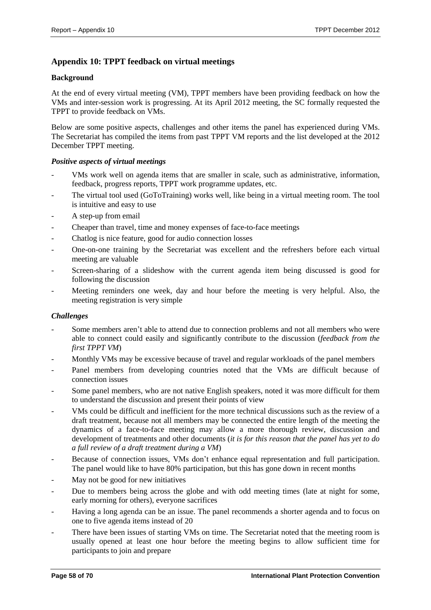# <span id="page-57-0"></span>**Appendix 10: TPPT feedback on virtual meetings**

#### **Background**

At the end of every virtual meeting (VM), TPPT members have been providing feedback on how the VMs and inter-session work is progressing. At its April 2012 meeting, the SC formally requested the TPPT to provide feedback on VMs.

Below are some positive aspects, challenges and other items the panel has experienced during VMs. The Secretariat has compiled the items from past TPPT VM reports and the list developed at the 2012 December TPPT meeting.

#### *Positive aspects of virtual meetings*

- VMs work well on agenda items that are smaller in scale, such as administrative, information, feedback, progress reports, TPPT work programme updates, etc.
- The virtual tool used (GoToTraining) works well, like being in a virtual meeting room. The tool is intuitive and easy to use
- A step-up from email
- Cheaper than travel, time and money expenses of face-to-face meetings
- Chatlog is nice feature, good for audio connection losses
- One-on-one training by the Secretariat was excellent and the refreshers before each virtual meeting are valuable
- Screen-sharing of a slideshow with the current agenda item being discussed is good for following the discussion
- Meeting reminders one week, day and hour before the meeting is very helpful. Also, the meeting registration is very simple

#### *Challenges*

- Some members aren't able to attend due to connection problems and not all members who were able to connect could easily and significantly contribute to the discussion (*feedback from the first TPPT VM*)
- Monthly VMs may be excessive because of travel and regular workloads of the panel members
- Panel members from developing countries noted that the VMs are difficult because of connection issues
- Some panel members, who are not native English speakers, noted it was more difficult for them to understand the discussion and present their points of view
- VMs could be difficult and inefficient for the more technical discussions such as the review of a draft treatment, because not all members may be connected the entire length of the meeting the dynamics of a face-to-face meeting may allow a more thorough review, discussion and development of treatments and other documents (*it is for this reason that the panel has yet to do a full review of a draft treatment during a VM*)
- Because of connection issues, VMs don't enhance equal representation and full participation. The panel would like to have 80% participation, but this has gone down in recent months
- May not be good for new initiatives
- Due to members being across the globe and with odd meeting times (late at night for some, early morning for others), everyone sacrifices
- Having a long agenda can be an issue. The panel recommends a shorter agenda and to focus on one to five agenda items instead of 20
- There have been issues of starting VMs on time. The Secretariat noted that the meeting room is usually opened at least one hour before the meeting begins to allow sufficient time for participants to join and prepare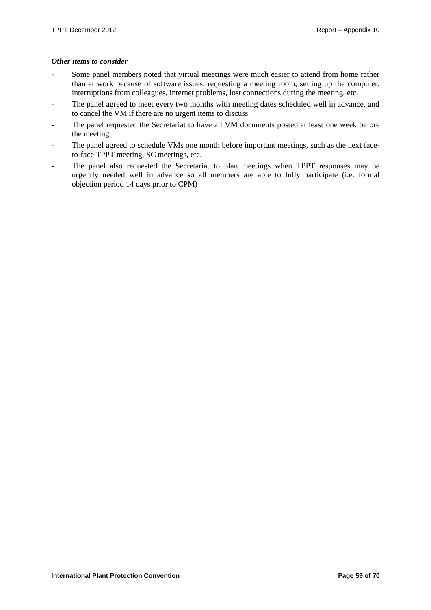#### *Other items to consider*

- Some panel members noted that virtual meetings were much easier to attend from home rather than at work because of software issues, requesting a meeting room, setting up the computer, interruptions from colleagues, internet problems, lost connections during the meeting, etc.
- The panel agreed to meet every two months with meeting dates scheduled well in advance, and to cancel the VM if there are no urgent items to discuss
- The panel requested the Secretariat to have all VM documents posted at least one week before the meeting.
- The panel agreed to schedule VMs one month before important meetings, such as the next faceto-face TPPT meeting, SC meetings, etc.
- The panel also requested the Secretariat to plan meetings when TPPT responses may be urgently needed well in advance so all members are able to fully participate (i.e. formal objection period 14 days prior to CPM)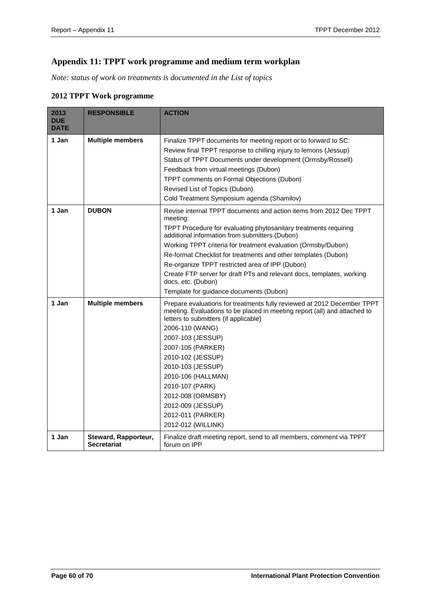# <span id="page-59-0"></span>**Appendix 11: TPPT work programme and medium term workplan**

*Note: status of work on treatments is documented in the List of topics*

#### **2012 TPPT Work programme**

| 2013<br><b>DUE</b><br><b>DATE</b> | <b>RESPONSIBLE</b>                         | <b>ACTION</b>                                                                                                                                                                                                                                                                                                                                                                                                                                                                                                                        |
|-----------------------------------|--------------------------------------------|--------------------------------------------------------------------------------------------------------------------------------------------------------------------------------------------------------------------------------------------------------------------------------------------------------------------------------------------------------------------------------------------------------------------------------------------------------------------------------------------------------------------------------------|
| 1 Jan                             | <b>Multiple members</b>                    | Finalize TPPT documents for meeting report or to forward to SC:<br>Review final TPPT response to chilling injury to lemons (Jessup)<br>Status of TPPT Documents under development (Ormsby/Rossell)                                                                                                                                                                                                                                                                                                                                   |
|                                   |                                            | Feedback from virtual meetings (Dubon)<br>TPPT comments on Formal Objections (Dubon)<br>Revised List of Topics (Dubon)<br>Cold Treatment Symposium agenda (Shamilov)                                                                                                                                                                                                                                                                                                                                                                 |
| 1 Jan                             | <b>DUBON</b>                               | Revise internal TPPT documents and action items from 2012 Dec TPPT<br>meeting:<br>TPPT Procedure for evaluating phytosanitary treatments requiring<br>additional information from submitters (Dubon)<br>Working TPPT criteria for treatment evaluation (Ormsby/Dubon)<br>Re-format Checklist for treatments and other templates (Dubon)<br>Re-organize TPPT restricted area of IPP (Dubon)<br>Create FTP server for draft PTs and relevant docs, templates, working<br>docs, etc. (Dubon)<br>Template for guidance documents (Dubon) |
| 1 Jan                             | <b>Multiple members</b>                    | Prepare evaluations for treatments fully reviewed at 2012 December TPPT<br>meeting. Evaluations to be placed in meeting report (all) and attached to<br>letters to submitters (if applicable)<br>2006-110 (WANG)<br>2007-103 (JESSUP)<br>2007-105 (PARKER)<br>2010-102 (JESSUP)<br>2010-103 (JESSUP)<br>2010-106 (HALLMAN)<br>2010-107 (PARK)<br>2012-008 (ORMSBY)<br>2012-009 (JESSUP)<br>2012-011 (PARKER)<br>2012-012 (WILLINK)                                                                                                   |
| 1 Jan                             | Steward, Rapporteur,<br><b>Secretariat</b> | Finalize draft meeting report, send to all members, comment via TPPT<br>forum on IPP                                                                                                                                                                                                                                                                                                                                                                                                                                                 |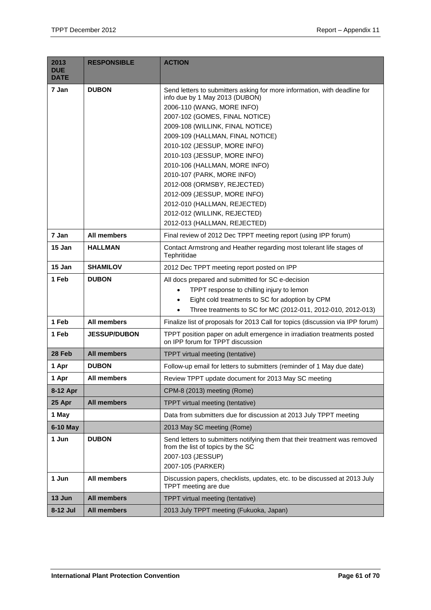| 2013<br><b>DUE</b><br><b>DATE</b> | <b>RESPONSIBLE</b>  | <b>ACTION</b>                                                                                                                                                                                                                                                                                                                                                                                                                                                                                                                                     |  |
|-----------------------------------|---------------------|---------------------------------------------------------------------------------------------------------------------------------------------------------------------------------------------------------------------------------------------------------------------------------------------------------------------------------------------------------------------------------------------------------------------------------------------------------------------------------------------------------------------------------------------------|--|
| 7 Jan                             | <b>DUBON</b>        | Send letters to submitters asking for more information, with deadline for<br>info due by 1 May 2013 (DUBON)<br>2006-110 (WANG, MORE INFO)<br>2007-102 (GOMES, FINAL NOTICE)<br>2009-108 (WILLINK, FINAL NOTICE)<br>2009-109 (HALLMAN, FINAL NOTICE)<br>2010-102 (JESSUP, MORE INFO)<br>2010-103 (JESSUP, MORE INFO)<br>2010-106 (HALLMAN, MORE INFO)<br>2010-107 (PARK, MORE INFO)<br>2012-008 (ORMSBY, REJECTED)<br>2012-009 (JESSUP, MORE INFO)<br>2012-010 (HALLMAN, REJECTED)<br>2012-012 (WILLINK, REJECTED)<br>2012-013 (HALLMAN, REJECTED) |  |
| 7 Jan                             | <b>All members</b>  | Final review of 2012 Dec TPPT meeting report (using IPP forum)                                                                                                                                                                                                                                                                                                                                                                                                                                                                                    |  |
| 15 Jan                            | <b>HALLMAN</b>      | Contact Armstrong and Heather regarding most tolerant life stages of<br>Tephritidae                                                                                                                                                                                                                                                                                                                                                                                                                                                               |  |
| 15 Jan                            | <b>SHAMILOV</b>     | 2012 Dec TPPT meeting report posted on IPP                                                                                                                                                                                                                                                                                                                                                                                                                                                                                                        |  |
| 1 Feb                             | <b>DUBON</b>        | All docs prepared and submitted for SC e-decision<br>TPPT response to chilling injury to lemon<br>$\bullet$<br>Eight cold treatments to SC for adoption by CPM<br>$\bullet$<br>Three treatments to SC for MC (2012-011, 2012-010, 2012-013)<br>$\bullet$                                                                                                                                                                                                                                                                                          |  |
| 1 Feb                             | All members         | Finalize list of proposals for 2013 Call for topics (discussion via IPP forum)                                                                                                                                                                                                                                                                                                                                                                                                                                                                    |  |
| 1 Feb                             | <b>JESSUP/DUBON</b> | TPPT position paper on adult emergence in irradiation treatments posted<br>on IPP forum for TPPT discussion                                                                                                                                                                                                                                                                                                                                                                                                                                       |  |
| 28 Feb                            | <b>All members</b>  | <b>TPPT</b> virtual meeting (tentative)                                                                                                                                                                                                                                                                                                                                                                                                                                                                                                           |  |
| 1 Apr                             | <b>DUBON</b>        | Follow-up email for letters to submitters (reminder of 1 May due date)                                                                                                                                                                                                                                                                                                                                                                                                                                                                            |  |
| 1 Apr                             | All members         | Review TPPT update document for 2013 May SC meeting                                                                                                                                                                                                                                                                                                                                                                                                                                                                                               |  |
| 8-12 Apr                          |                     | CPM-8 (2013) meeting (Rome)                                                                                                                                                                                                                                                                                                                                                                                                                                                                                                                       |  |
| 25 Apr                            | <b>All members</b>  | TPPT virtual meeting (tentative)                                                                                                                                                                                                                                                                                                                                                                                                                                                                                                                  |  |
| 1 May                             |                     | Data from submitters due for discussion at 2013 July TPPT meeting                                                                                                                                                                                                                                                                                                                                                                                                                                                                                 |  |
| 6-10 May                          |                     | 2013 May SC meeting (Rome)                                                                                                                                                                                                                                                                                                                                                                                                                                                                                                                        |  |
| 1 Jun                             | <b>DUBON</b>        | Send letters to submitters notifying them that their treatment was removed<br>from the list of topics by the SC<br>2007-103 (JESSUP)<br>2007-105 (PARKER)                                                                                                                                                                                                                                                                                                                                                                                         |  |
| 1 Jun                             | All members         | Discussion papers, checklists, updates, etc. to be discussed at 2013 July<br>TPPT meeting are due                                                                                                                                                                                                                                                                                                                                                                                                                                                 |  |
| 13 Jun                            | <b>All members</b>  | TPPT virtual meeting (tentative)                                                                                                                                                                                                                                                                                                                                                                                                                                                                                                                  |  |
| 8-12 Jul                          | <b>All members</b>  | 2013 July TPPT meeting (Fukuoka, Japan)                                                                                                                                                                                                                                                                                                                                                                                                                                                                                                           |  |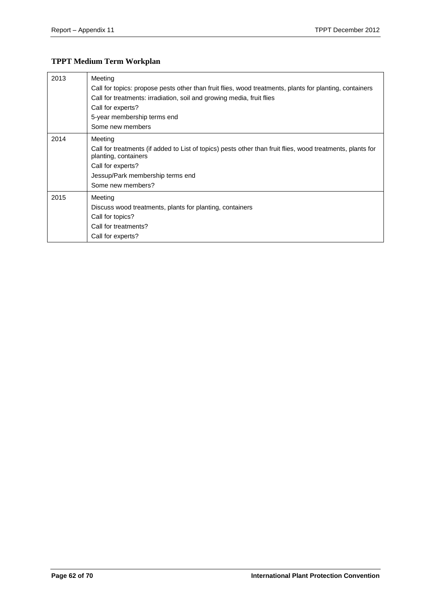# **TPPT Medium Term Workplan**

| 2013 | Meeting                                                                                                                            |
|------|------------------------------------------------------------------------------------------------------------------------------------|
|      | Call for topics: propose pests other than fruit flies, wood treatments, plants for planting, containers                            |
|      | Call for treatments: irradiation, soil and growing media, fruit flies                                                              |
|      | Call for experts?                                                                                                                  |
|      | 5-year membership terms end                                                                                                        |
|      | Some new members                                                                                                                   |
| 2014 | Meeting                                                                                                                            |
|      | Call for treatments (if added to List of topics) pests other than fruit flies, wood treatments, plants for<br>planting, containers |
|      | Call for experts?                                                                                                                  |
|      | Jessup/Park membership terms end                                                                                                   |
|      | Some new members?                                                                                                                  |
| 2015 | Meeting                                                                                                                            |
|      | Discuss wood treatments, plants for planting, containers                                                                           |
|      | Call for topics?                                                                                                                   |
|      | Call for treatments?                                                                                                               |
|      | Call for experts?                                                                                                                  |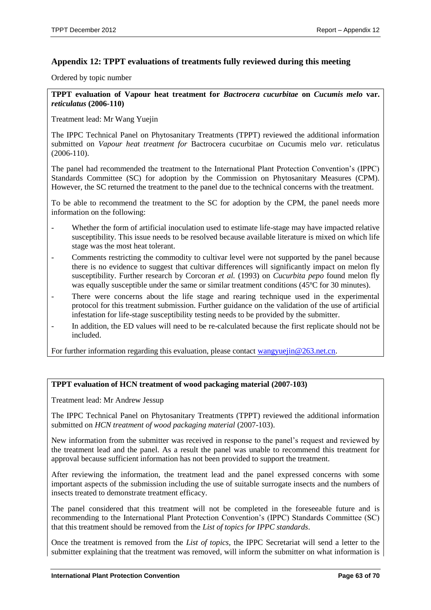# <span id="page-62-0"></span>**Appendix 12: TPPT evaluations of treatments fully reviewed during this meeting**

Ordered by topic number

**TPPT evaluation of Vapour heat treatment for** *Bactrocera cucurbitae* **on** *Cucumis melo* **var.**  *reticulatus* **(2006-110)**

Treatment lead: Mr Wang Yuejin

The IPPC Technical Panel on Phytosanitary Treatments (TPPT) reviewed the additional information submitted on *Vapour heat treatment for* Bactrocera cucurbitae *on* Cucumis melo *var.* reticulatus (2006-110).

The panel had recommended the treatment to the International Plant Protection Convention's (IPPC) Standards Committee (SC) for adoption by the Commission on Phytosanitary Measures (CPM). However, the SC returned the treatment to the panel due to the technical concerns with the treatment.

To be able to recommend the treatment to the SC for adoption by the CPM, the panel needs more information on the following:

- Whether the form of artificial inoculation used to estimate life-stage may have impacted relative susceptibility. This issue needs to be resolved because available literature is mixed on which life stage was the most heat tolerant.
- Comments restricting the commodity to cultivar level were not supported by the panel because there is no evidence to suggest that cultivar differences will significantly impact on melon fly susceptibility. Further research by Corcoran *et al.* (1993) on *Cucurbita pepo* found melon fly was equally susceptible under the same or similar treatment conditions (45<sup>o</sup>C for 30 minutes).
- There were concerns about the life stage and rearing technique used in the experimental protocol for this treatment submission. Further guidance on the validation of the use of artificial infestation for life-stage susceptibility testing needs to be provided by the submitter.
- In addition, the ED values will need to be re-calculated because the first replicate should not be included.

For further information regarding this evaluation, please contact wangyuejin@263.net.cn.

#### **TPPT evaluation of HCN treatment of wood packaging material (2007-103)**

Treatment lead: Mr Andrew Jessup

The IPPC Technical Panel on Phytosanitary Treatments (TPPT) reviewed the additional information submitted on *HCN treatment of wood packaging material* (2007-103).

New information from the submitter was received in response to the panel's request and reviewed by the treatment lead and the panel. As a result the panel was unable to recommend this treatment for approval because sufficient information has not been provided to support the treatment.

After reviewing the information, the treatment lead and the panel expressed concerns with some important aspects of the submission including the use of suitable surrogate insects and the numbers of insects treated to demonstrate treatment efficacy.

The panel considered that this treatment will not be completed in the foreseeable future and is recommending to the International Plant Protection Convention's (IPPC) Standards Committee (SC) that this treatment should be removed from the *List of topics for IPPC standards*.

Once the treatment is removed from the *List of topics*, the IPPC Secretariat will send a letter to the submitter explaining that the treatment was removed, will inform the submitter on what information is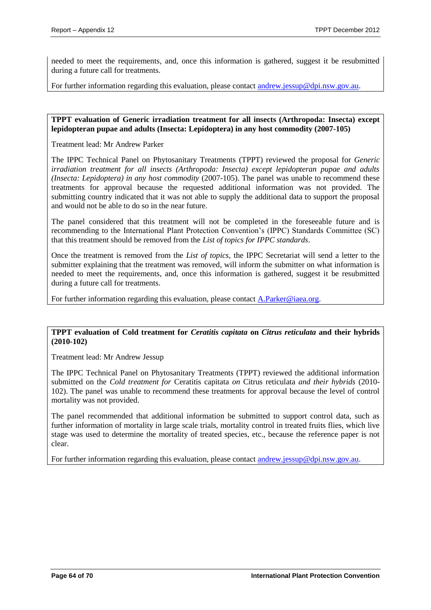needed to meet the requirements, and, once this information is gathered, suggest it be resubmitted during a future call for treatments.

For further information regarding this evaluation, please contact [andrew.jessup@dpi.nsw.gov.au.](mailto:andrew.jessup@dpi.nsw.gov.au)

**TPPT evaluation of Generic irradiation treatment for all insects (Arthropoda: Insecta) except lepidopteran pupae and adults (Insecta: Lepidoptera) in any host commodity (2007-105)**

Treatment lead: Mr Andrew Parker

The IPPC Technical Panel on Phytosanitary Treatments (TPPT) reviewed the proposal for *Generic irradiation treatment for all insects (Arthropoda: Insecta) except lepidopteran pupae and adults (Insecta: Lepidoptera) in any host commodity* (2007-105). The panel was unable to recommend these treatments for approval because the requested additional information was not provided. The submitting country indicated that it was not able to supply the additional data to support the proposal and would not be able to do so in the near future.

The panel considered that this treatment will not be completed in the foreseeable future and is recommending to the International Plant Protection Convention's (IPPC) Standards Committee (SC) that this treatment should be removed from the *List of topics for IPPC standards*.

Once the treatment is removed from the *List of topics*, the IPPC Secretariat will send a letter to the submitter explaining that the treatment was removed, will inform the submitter on what information is needed to meet the requirements, and, once this information is gathered, suggest it be resubmitted during a future call for treatments.

For further information regarding this evaluation, please contact [A.Parker@iaea.org.](mailto:A.Parker@iaea.org)

#### **TPPT evaluation of Cold treatment for** *Ceratitis capitata* **on** *Citrus reticulata* **and their hybrids (2010-102)**

Treatment lead: Mr Andrew Jessup

The IPPC Technical Panel on Phytosanitary Treatments (TPPT) reviewed the additional information submitted on the *Cold treatment for* Ceratitis capitata *on* Citrus reticulata *and their hybrids* (2010- 102). The panel was unable to recommend these treatments for approval because the level of control mortality was not provided.

The panel recommended that additional information be submitted to support control data, such as further information of mortality in large scale trials, mortality control in treated fruits flies, which live stage was used to determine the mortality of treated species, etc., because the reference paper is not clear.

For further information regarding this evaluation, please contact [andrew.jessup@dpi.nsw.gov.au.](mailto:andrew.jessup@dpi.nsw.gov.au)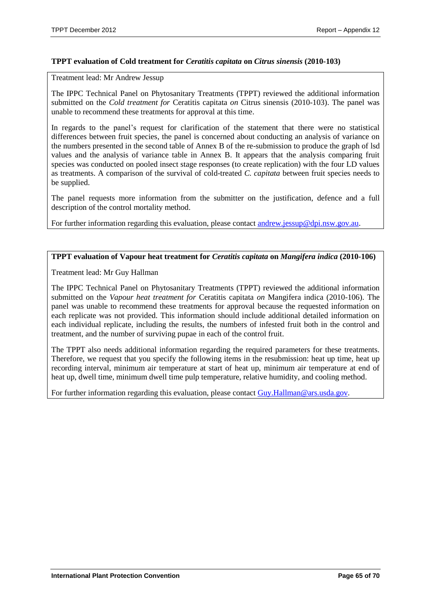#### **TPPT evaluation of Cold treatment for** *Ceratitis capitata* **on** *Citrus sinensis* **(2010-103)**

Treatment lead: Mr Andrew Jessup

The IPPC Technical Panel on Phytosanitary Treatments (TPPT) reviewed the additional information submitted on the *Cold treatment for* Ceratitis capitata *on* Citrus sinensis (2010-103). The panel was unable to recommend these treatments for approval at this time.

In regards to the panel's request for clarification of the statement that there were no statistical differences between fruit species, the panel is concerned about conducting an analysis of variance on the numbers presented in the second table of Annex B of the re-submission to produce the graph of lsd values and the analysis of variance table in Annex B. It appears that the analysis comparing fruit species was conducted on pooled insect stage responses (to create replication) with the four LD values as treatments. A comparison of the survival of cold-treated *C. capitata* between fruit species needs to be supplied.

The panel requests more information from the submitter on the justification, defence and a full description of the control mortality method.

For further information regarding this evaluation, please contact [andrew.jessup@dpi.nsw.gov.au.](mailto:andrew.jessup@dpi.nsw.gov.au)

#### **TPPT evaluation of Vapour heat treatment for** *Ceratitis capitata* **on** *Mangifera indica* **(2010-106)**

Treatment lead: Mr Guy Hallman

The IPPC Technical Panel on Phytosanitary Treatments (TPPT) reviewed the additional information submitted on the *Vapour heat treatment for* Ceratitis capitata *on* Mangifera indica (2010-106). The panel was unable to recommend these treatments for approval because the requested information on each replicate was not provided. This information should include additional detailed information on each individual replicate, including the results, the numbers of infested fruit both in the control and treatment, and the number of surviving pupae in each of the control fruit.

The TPPT also needs additional information regarding the required parameters for these treatments. Therefore, we request that you specify the following items in the resubmission: heat up time, heat up recording interval, minimum air temperature at start of heat up, minimum air temperature at end of heat up, dwell time, minimum dwell time pulp temperature, relative humidity, and cooling method.

For further information regarding this evaluation, please contact [Guy.Hallman@ars.usda.gov.](mailto:Guy.Hallman@ars.usda.gov)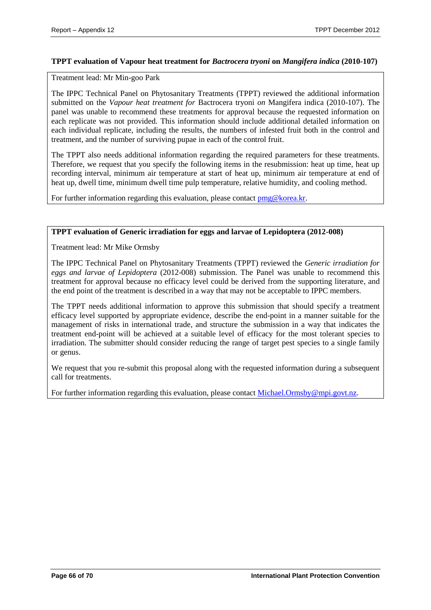#### **TPPT evaluation of Vapour heat treatment for** *Bactrocera tryoni* **on** *Mangifera indica* **(2010-107)**

Treatment lead: Mr Min-goo Park

The IPPC Technical Panel on Phytosanitary Treatments (TPPT) reviewed the additional information submitted on the *Vapour heat treatment for* Bactrocera tryoni *on* Mangifera indica (2010-107). The panel was unable to recommend these treatments for approval because the requested information on each replicate was not provided. This information should include additional detailed information on each individual replicate, including the results, the numbers of infested fruit both in the control and treatment, and the number of surviving pupae in each of the control fruit.

The TPPT also needs additional information regarding the required parameters for these treatments. Therefore, we request that you specify the following items in the resubmission: heat up time, heat up recording interval, minimum air temperature at start of heat up, minimum air temperature at end of heat up, dwell time, minimum dwell time pulp temperature, relative humidity, and cooling method.

For further information regarding this evaluation, please contact  $\text{pmg@korea.kr.}$ 

#### **TPPT evaluation of Generic irradiation for eggs and larvae of Lepidoptera (2012-008)**

Treatment lead: Mr Mike Ormsby

The IPPC Technical Panel on Phytosanitary Treatments (TPPT) reviewed the *Generic irradiation for eggs and larvae of Lepidoptera* (2012-008) submission. The Panel was unable to recommend this treatment for approval because no efficacy level could be derived from the supporting literature, and the end point of the treatment is described in a way that may not be acceptable to IPPC members.

The TPPT needs additional information to approve this submission that should specify a treatment efficacy level supported by appropriate evidence, describe the end-point in a manner suitable for the management of risks in international trade, and structure the submission in a way that indicates the treatment end-point will be achieved at a suitable level of efficacy for the most tolerant species to irradiation. The submitter should consider reducing the range of target pest species to a single family or genus.

We request that you re-submit this proposal along with the requested information during a subsequent call for treatments.

For further information regarding this evaluation, please contact [Michael.Ormsby@mpi.govt.nz.](mailto:Michael.Ormsby@mpi.govt.nz)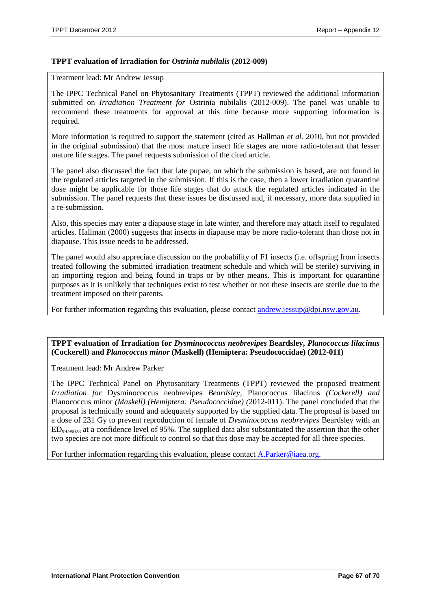#### **TPPT evaluation of Irradiation for** *Ostrinia nubilalis* **(2012-009)**

Treatment lead: Mr Andrew Jessup

The IPPC Technical Panel on Phytosanitary Treatments (TPPT) reviewed the additional information submitted on *Irradiation Treatment for* Ostrinia nubilalis (2012-009). The panel was unable to recommend these treatments for approval at this time because more supporting information is required.

More information is required to support the statement (cited as Hallman *et al.* 2010, but not provided in the original submission) that the most mature insect life stages are more radio-tolerant that lesser mature life stages. The panel requests submission of the cited article.

The panel also discussed the fact that late pupae, on which the submission is based, are not found in the regulated articles targeted in the submission. If this is the case, then a lower irradiation quarantine dose might be applicable for those life stages that do attack the regulated articles indicated in the submission. The panel requests that these issues be discussed and, if necessary, more data supplied in a re-submission.

Also, this species may enter a diapause stage in late winter, and therefore may attach itself to regulated articles. Hallman (2000) suggests that insects in diapause may be more radio-tolerant than those not in diapause. This issue needs to be addressed.

The panel would also appreciate discussion on the probability of F1 insects (i.e. offspring from insects treated following the submitted irradiation treatment schedule and which will be sterile) surviving in an importing region and being found in traps or by other means. This is important for quarantine purposes as it is unlikely that techniques exist to test whether or not these insects are sterile due to the treatment imposed on their parents.

For further information regarding this evaluation, please contact [andrew.jessup@dpi.nsw.gov.au.](mailto:andrew.jessup@dpi.nsw.gov.au)

#### **TPPT evaluation of Irradiation for** *Dysminococcus neobrevipes* **Beardsley,** *Planococcus lilacinus* **(Cockerell) and** *Planococcus minor* **(Maskell) (Hemiptera: Pseudococcidae) (2012-011)**

Treatment lead: Mr Andrew Parker

The IPPC Technical Panel on Phytosanitary Treatments (TPPT) reviewed the proposed treatment *Irradiation for* Dysminococcus neobrevipes *Beardsley,* Planococcus lilacinus *(Cockerell) and*  Planococcus minor *(Maskell) (Hemiptera: Pseudococcidae) (*2012-011). The panel concluded that the proposal is technically sound and adequately supported by the supplied data. The proposal is based on a dose of 231 Gy to prevent reproduction of female of *Dysminococcus neobrevipes* Beardsley with an ED99.99023 at a confidence level of 95%. The supplied data also substantiated the assertion that the other two species are not more difficult to control so that this dose may be accepted for all three species.

For further information regarding this evaluation, please contact [A.Parker@iaea.org.](mailto:A.Parker@iaea.org)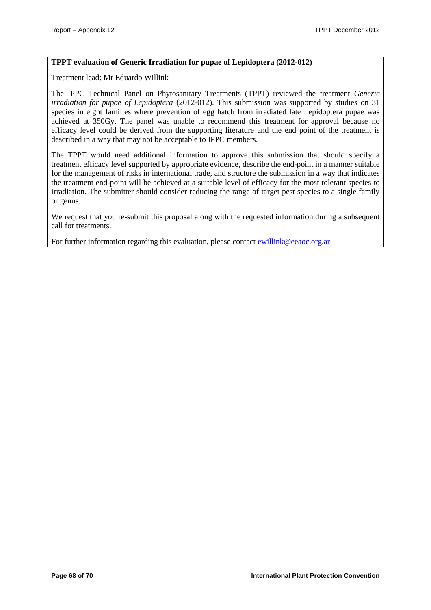#### **TPPT evaluation of Generic Irradiation for pupae of Lepidoptera (2012-012)**

Treatment lead: Mr Eduardo Willink

The IPPC Technical Panel on Phytosanitary Treatments (TPPT) reviewed the treatment *Generic irradiation for pupae of Lepidoptera* (2012-012). This submission was supported by studies on 31 species in eight families where prevention of egg hatch from irradiated late Lepidoptera pupae was achieved at 350Gy. The panel was unable to recommend this treatment for approval because no efficacy level could be derived from the supporting literature and the end point of the treatment is described in a way that may not be acceptable to IPPC members.

The TPPT would need additional information to approve this submission that should specify a treatment efficacy level supported by appropriate evidence, describe the end-point in a manner suitable for the management of risks in international trade, and structure the submission in a way that indicates the treatment end-point will be achieved at a suitable level of efficacy for the most tolerant species to irradiation. The submitter should consider reducing the range of target pest species to a single family or genus.

We request that you re-submit this proposal along with the requested information during a subsequent call for treatments.

For further information regarding this evaluation, please contact [ewillink@eeaoc.org.ar](mailto:ewillink@eeaoc.org.ar)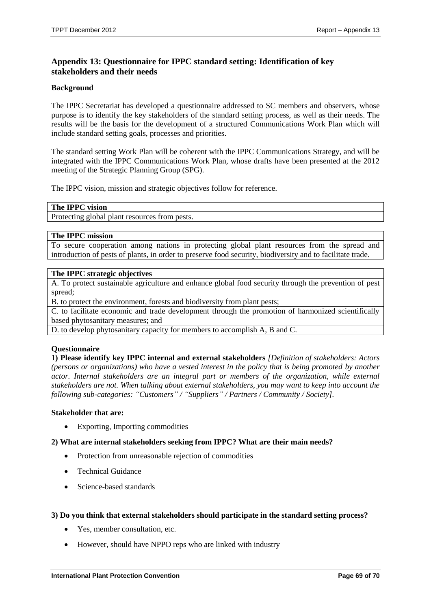# <span id="page-68-0"></span>**Appendix 13: Questionnaire for IPPC standard setting: Identification of key stakeholders and their needs**

#### **Background**

The IPPC Secretariat has developed a questionnaire addressed to SC members and observers, whose purpose is to identify the key stakeholders of the standard setting process, as well as their needs. The results will be the basis for the development of a structured Communications Work Plan which will include standard setting goals, processes and priorities.

The standard setting Work Plan will be coherent with the IPPC Communications Strategy, and will be integrated with the IPPC Communications Work Plan, whose drafts have been presented at the 2012 meeting of the Strategic Planning Group (SPG).

The IPPC vision, mission and strategic objectives follow for reference.

#### **The IPPC vision**

Protecting global plant resources from pests.

#### **The IPPC mission**

To secure cooperation among nations in protecting global plant resources from the spread and introduction of pests of plants, in order to preserve food security, biodiversity and to facilitate trade.

#### **The IPPC strategic objectives**

A. To protect sustainable agriculture and enhance global food security through the prevention of pest spread;

B. to protect the environment, forests and biodiversity from plant pests;

C. to facilitate economic and trade development through the promotion of harmonized scientifically based phytosanitary measures; and

D. to develop phytosanitary capacity for members to accomplish A, B and C.

#### **Questionnaire**

**1) Please identify key IPPC internal and external stakeholders** *[Definition of stakeholders: Actors (persons or organizations) who have a vested interest in the policy that is being promoted by another actor. Internal stakeholders are an integral part or members of the organization, while external stakeholders are not. When talking about external stakeholders, you may want to keep into account the following sub-categories: "Customers" / "Suppliers" / Partners / Community / Society].*

#### **Stakeholder that are:**

• Exporting, Importing commodities

#### **2) What are internal stakeholders seeking from IPPC? What are their main needs?**

- Protection from unreasonable rejection of commodities
- Technical Guidance
- Science-based standards

#### **3) Do you think that external stakeholders should participate in the standard setting process?**

- Yes, member consultation, etc.
- However, should have NPPO reps who are linked with industry